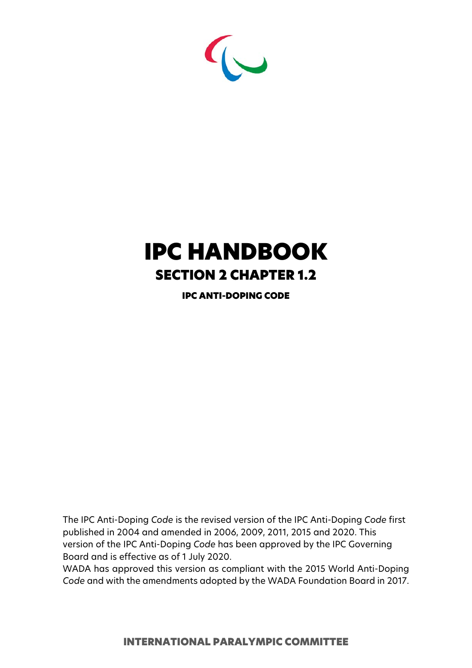

# IPC HANDBOOK SECTION 2 CHAPTER 1.2

IPC ANTI-DOPING CODE

The IPC Anti-Doping *Code* is the revised version of the IPC Anti-Doping *Code* first published in 2004 and amended in 2006, 2009, 2011, 2015 and 2020. This version of the IPC Anti-Doping *Code* has been approved by the IPC Governing Board and is effective as of 1 July 2020.

WADA has approved this version as compliant with the 2015 World Anti-Doping *Code* and with the amendments adopted by the WADA Foundation Board in 2017.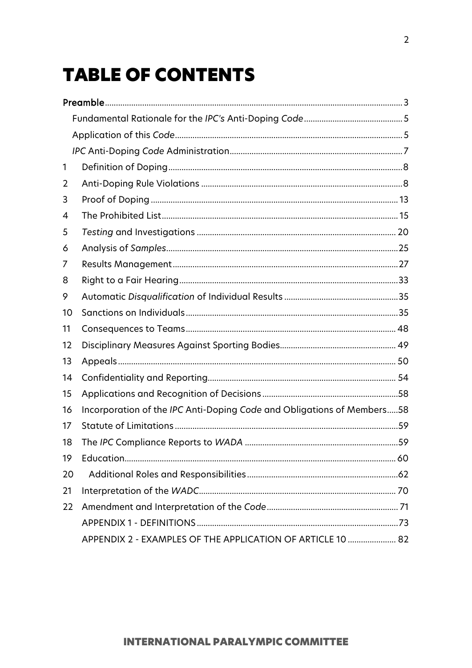# **TABLE OF CONTENTS**

| 1  |                                                                        |  |
|----|------------------------------------------------------------------------|--|
| 2  |                                                                        |  |
| 3  |                                                                        |  |
| 4  |                                                                        |  |
| 5  |                                                                        |  |
| 6  |                                                                        |  |
| 7  |                                                                        |  |
| 8  |                                                                        |  |
| 9  |                                                                        |  |
| 10 |                                                                        |  |
| 11 |                                                                        |  |
| 12 |                                                                        |  |
| 13 |                                                                        |  |
| 14 |                                                                        |  |
| 15 |                                                                        |  |
| 16 | Incorporation of the IPC Anti-Doping Code and Obligations of Members58 |  |
| 17 |                                                                        |  |
| 18 |                                                                        |  |
| 19 |                                                                        |  |
| 20 |                                                                        |  |
| 21 |                                                                        |  |
| 22 |                                                                        |  |
|    |                                                                        |  |
|    | APPENDIX 2 - EXAMPLES OF THE APPLICATION OF ARTICLE 10  82             |  |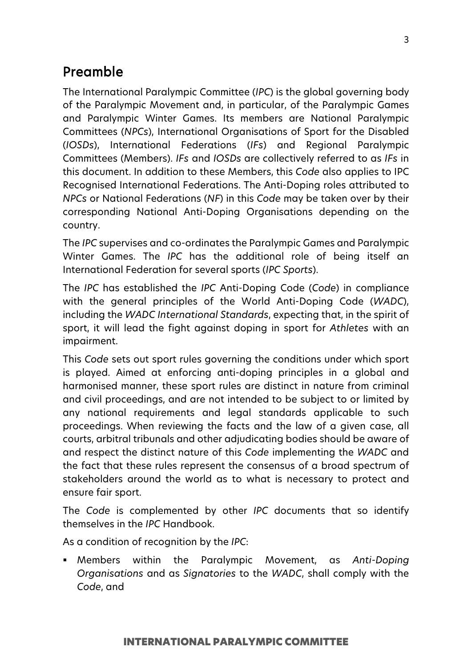## <span id="page-2-0"></span>Preamble

The International Paralympic Committee (*IPC*) is the global governing body of the Paralympic Movement and, in particular, of the Paralympic Games and Paralympic Winter Games. Its members are National Paralympic Committees (*NPCs*), International Organisations of Sport for the Disabled (*IOSDs*), International Federations (*IFs*) and Regional Paralympic Committees (Members). *IFs* and *IOSDs* are collectively referred to as *IFs* in this document. In addition to these Members, this *Code* also applies to IPC Recognised International Federations. The Anti-Doping roles attributed to *NPCs* or National Federations (*NF*) in this *Code* may be taken over by their corresponding National Anti-Doping Organisations depending on the country.

The *IPC* supervises and co-ordinates the Paralympic Games and Paralympic Winter Games. The *IPC* has the additional role of being itself an International Federation for several sports (*IPC Sports*).

The *IPC* has established the *IPC* Anti-Doping Code (*Code*) in compliance with the general principles of the World Anti-Doping Code (*WADC*), including the *WADC International Standards*, expecting that, in the spirit of sport, it will lead the fight against doping in sport for *Athletes* with an impairment.

This *Code* sets out sport rules governing the conditions under which sport is played. Aimed at enforcing anti-doping principles in a global and harmonised manner, these sport rules are distinct in nature from criminal and civil proceedings, and are not intended to be subject to or limited by any national requirements and legal standards applicable to such proceedings. When reviewing the facts and the law of a given case, all courts, arbitral tribunals and other adjudicating bodies should be aware of and respect the distinct nature of this *Code* implementing the *WADC* and the fact that these rules represent the consensus of a broad spectrum of stakeholders around the world as to what is necessary to protect and ensure fair sport.

The *Code* is complemented by other *IPC* documents that so identify themselves in the *IPC* Handbook.

As a condition of recognition by the *IPC*:

 Members within the Paralympic Movement, as *Anti-Doping Organisations* and as *Signatories* to the *WADC*, shall comply with the *Code*, and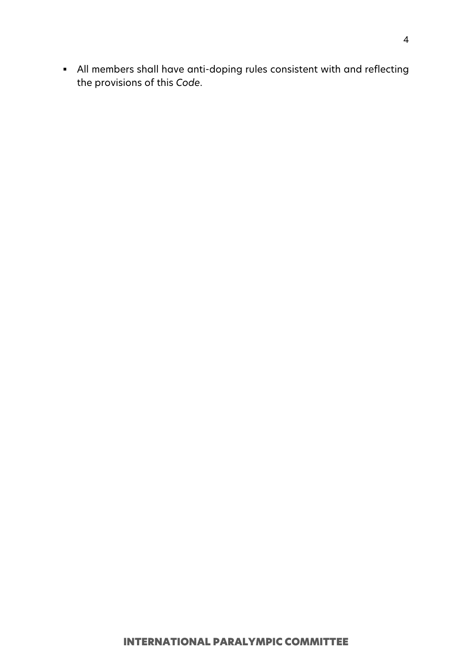All members shall have anti-doping rules consistent with and reflecting the provisions of this *Code*.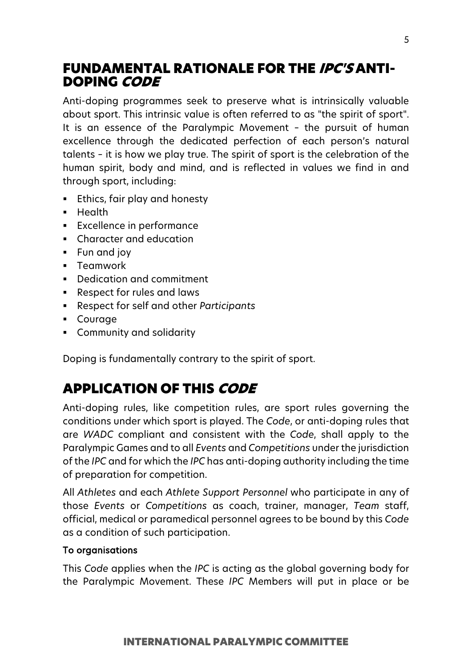## <span id="page-4-0"></span>FUNDAMENTAL RATIONALE FOR THE IPC'S ANTI-DOPING CODE

Anti-doping programmes seek to preserve what is intrinsically valuable about sport. This intrinsic value is often referred to as "the spirit of sport". It is an essence of the Paralympic Movement – the pursuit of human excellence through the dedicated perfection of each person's natural talents – it is how we play true. The spirit of sport is the celebration of the human spirit, body and mind, and is reflected in values we find in and through sport, including:

- Ethics, fair play and honesty
- **-** Health
- **Excellence in performance**
- Character and education
- Fun and joy
- **Teamwork**
- Dedication and commitment
- Respect for rules and laws
- Respect for self and other *Participants*
- Courage
- Community and solidarity

Doping is fundamentally contrary to the spirit of sport.

## <span id="page-4-1"></span>APPLICATION OF THIS CODE

Anti-doping rules, like competition rules, are sport rules governing the conditions under which sport is played. The *Code*, or anti-doping rules that are *WADC* compliant and consistent with the *Code*, shall apply to the Paralympic Games and to all *Events* and *Competitions* under the jurisdiction of the *IPC* and for which the *IPC* has anti-doping authority including the time of preparation for competition.

All *Athletes* and each *Athlete Support Personnel* who participate in any of those *Events* or *Competitions* as coach, trainer, manager, *Team* staff, official, medical or paramedical personnel agrees to be bound by this *Code* as a condition of such participation.

## To organisations

This *Code* applies when the *IPC* is acting as the global governing body for the Paralympic Movement. These *IPC* Members will put in place or be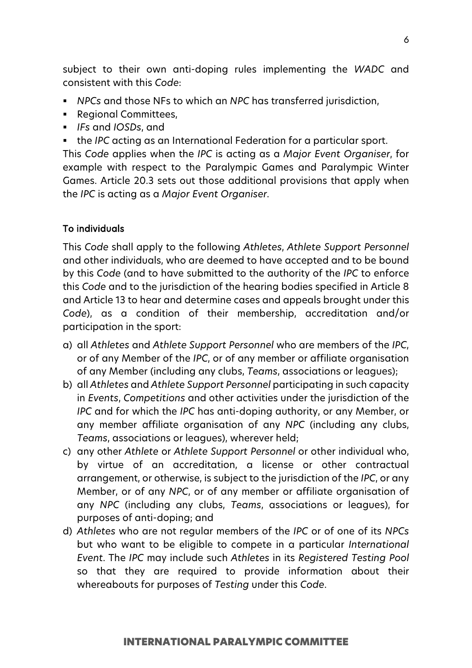subject to their own anti-doping rules implementing the *WADC* and consistent with this *Code*:

- *NPCs* and those NFs to which an *NPC* has transferred jurisdiction,
- **Regional Committees,**
- *IFs* and *IOSDs*, and
- the *IPC* acting as an International Federation for a particular sport.

This *Code* applies when the *IPC* is acting as a *Major Event Organiser*, for example with respect to the Paralympic Games and Paralympic Winter Games. Article 20.3 sets out those additional provisions that apply when the *IPC* is acting as a *Major Event Organiser*.

## To individuals

This *Code* shall apply to the following *Athletes*, *Athlete Support Personnel* and other individuals, who are deemed to have accepted and to be bound by this *Code* (and to have submitted to the authority of the *IPC* to enforce this *Code* and to the jurisdiction of the hearing bodies specified in Article 8 and Article 13 to hear and determine cases and appeals brought under this *Code*), as a condition of their membership, accreditation and/or participation in the sport:

- a) all *Athletes* and *Athlete Support Personnel* who are members of the *IPC*, or of any Member of the *IPC*, or of any member or affiliate organisation of any Member (including any clubs, *Teams*, associations or leagues);
- b) all *Athletes* and *Athlete Support Personnel* participating in such capacity in *Events*, *Competitions* and other activities under the jurisdiction of the *IPC* and for which the *IPC* has anti-doping authority, or any Member, or any member affiliate organisation of any *NPC* (including any clubs, *Teams*, associations or leagues), wherever held;
- c) any other *Athlete* or *Athlete Support Personnel* or other individual who, by virtue of an accreditation, a license or other contractual arrangement, or otherwise, is subject to the jurisdiction of the *IPC*, or any Member, or of any *NPC*, or of any member or affiliate organisation of any *NPC* (including any clubs, *Teams*, associations or leagues), for purposes of anti-doping; and
- d) *Athletes* who are not regular members of the *IPC* or of one of its *NPCs* but who want to be eligible to compete in a particular *International Event*. The *IPC* may include such *Athletes* in its *Registered Testing Pool* so that they are required to provide information about their whereabouts for purposes of *Testing* under this *Code*.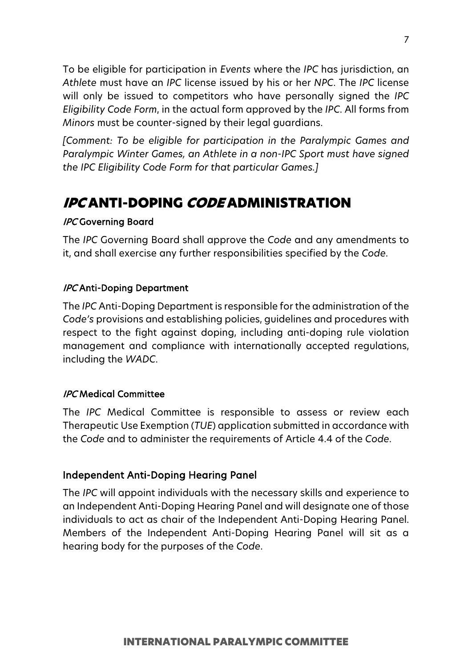To be eligible for participation in *Events* where the *IPC* has jurisdiction, an *Athlete* must have an *IPC* license issued by his or her *NPC*. The *IPC* license will only be issued to competitors who have personally signed the *IPC Eligibility Code Form*, in the actual form approved by the *IPC*. All forms from *Minors* must be counter-signed by their legal guardians.

*[Comment: To be eligible for participation in the Paralympic Games and Paralympic Winter Games, an Athlete in a non-IPC Sport must have signed the IPC Eligibility Code Form for that particular Games.]*

## <span id="page-6-0"></span>IPC ANTI-DOPING CODE ADMINISTRATION

## IPC Governing Board

The *IPC* Governing Board shall approve the *Code* and any amendments to it, and shall exercise any further responsibilities specified by the *Code*.

## **IPC Anti-Doping Department**

The *IPC* Anti-Doping Department is responsible for the administration of the *Code's* provisions and establishing policies, guidelines and procedures with respect to the fight against doping, including anti-doping rule violation management and compliance with internationally accepted regulations, including the *WADC*.

## IPC Medical Committee

The *IPC* Medical Committee is responsible to assess or review each Therapeutic Use Exemption (*TUE*) application submitted in accordance with the *Code* and to administer the requirements of Article 4.4 of the *Code*.

## Independent Anti-Doping Hearing Panel

The *IPC* will appoint individuals with the necessary skills and experience to an Independent Anti-Doping Hearing Panel and will designate one of those individuals to act as chair of the Independent Anti-Doping Hearing Panel. Members of the Independent Anti-Doping Hearing Panel will sit as a hearing body for the purposes of the *Code*.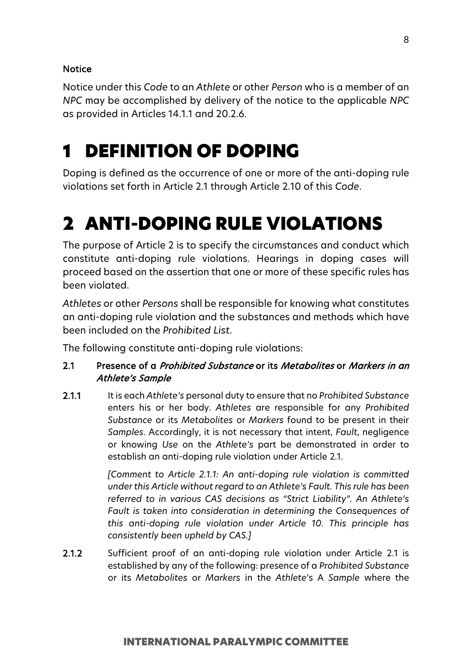## Notice

Notice under this *Code* to an *Athlete* or other *Person* who is a member of an *NPC* may be accomplished by delivery of the notice to the applicable *NPC* as provided in Articles 14.1.1 and 20.2.6.

# <span id="page-7-0"></span>1 DEFINITION OF DOPING

Doping is defined as the occurrence of one or more of the anti-doping rule violations set forth in Article 2.1 through Article 2.10 of this *Code*.

# <span id="page-7-1"></span>2 ANTI-DOPING RULE VIOLATIONS

The purpose of Article 2 is to specify the circumstances and conduct which constitute anti-doping rule violations. Hearings in doping cases will proceed based on the assertion that one or more of these specific rules has been violated.

*Athletes* or other *Persons* shall be responsible for knowing what constitutes an anti-doping rule violation and the substances and methods which have been included on the *Prohibited List*.

The following constitute anti-doping rule violations:

## 2.1 Presence of a Prohibited Substance or its Metabolites or Markers in an Athlete's Sample

2.1.1 It is each *Athlete's* personal duty to ensure that no *Prohibited Substance* enters his or her body. *Athletes* are responsible for any *Prohibited Substance* or its *Metabolites* or *Markers* found to be present in their *Samples*. Accordingly, it is not necessary that intent, *Fault*, negligence or knowing *Use* on the *Athlete's* part be demonstrated in order to establish an anti-doping rule violation under Article 2.1.

> *[Comment to Article 2.1.1: An anti-doping rule violation is committed under this Article without regard to an Athlete's Fault. This rule has been referred to in various CAS decisions as "Strict Liability". An Athlete's Fault is taken into consideration in determining the Consequences of this anti-doping rule violation under Article 10. This principle has consistently been upheld by CAS.]*

2.1.2 Sufficient proof of an anti-doping rule violation under Article 2.1 is established by any of the following: presence of a *Prohibited Substance* or its *Metabolites* or *Markers* in the *Athlete*'s A *Sample* where the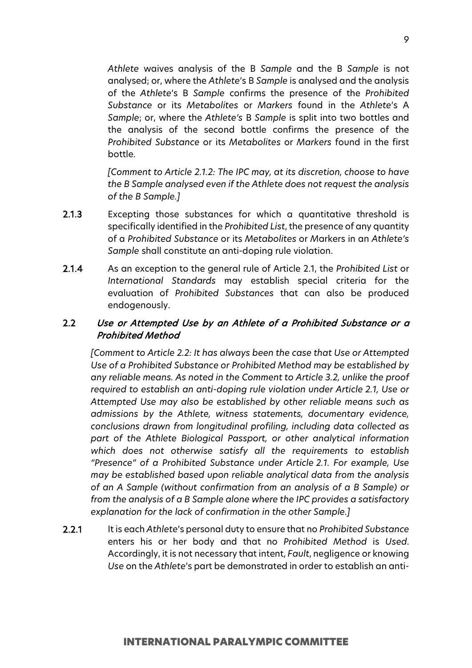*Athlete* waives analysis of the B *Sample* and the B *Sample* is not analysed; or, where the *Athlete*'s B *Sample* is analysed and the analysis of the *Athlete*'s B *Sample* confirms the presence of the *Prohibited Substance* or its *Metabolites* or *Markers* found in the *Athlete*'s A *Sample*; or, where the *Athlete's* B *Sample* is split into two bottles and the analysis of the second bottle confirms the presence of the *Prohibited Substance* or its *Metabolites* or *Markers* found in the first bottle.

*[Comment to Article 2.1.2: The IPC may, at its discretion, choose to have the B Sample analysed even if the Athlete does not request the analysis of the B Sample.]*

- 2.1.3 Excepting those substances for which a quantitative threshold is specifically identified in the *Prohibited List*, the presence of any quantity of a *Prohibited Substance* or its *Metabolites* or *M*arkers in an *Athlete's Sample* shall constitute an anti-doping rule violation.
- 2.1.4 As an exception to the general rule of Article 2.1, the *Prohibited List* or *International Standards* may establish special criteria for the evaluation of *Prohibited Substances* that can also be produced endogenously.

## 2.2 Use or Attempted Use by an Athlete of a Prohibited Substance or a Prohibited Method

*[Comment to Article 2.2: It has always been the case that Use or Attempted Use of a Prohibited Substance or Prohibited Method may be established by any reliable means. As noted in the Comment to Article 3.2, unlike the proof required to establish an anti-doping rule violation under Article 2.1, Use or Attempted Use may also be established by other reliable means such as admissions by the Athlete, witness statements, documentary evidence, conclusions drawn from longitudinal profiling, including data collected as part of the Athlete Biological Passport, or other analytical information which does not otherwise satisfy all the requirements to establish "Presence" of a Prohibited Substance under Article 2.1. For example, Use may be established based upon reliable analytical data from the analysis of an A Sample (without confirmation from an analysis of a B Sample) or from the analysis of a B Sample alone where the IPC provides a satisfactory explanation for the lack of confirmation in the other Sample.]*

2.2.1 It is each *Athlete*'s personal duty to ensure that no *Prohibited Substance* enters his or her body and that no *Prohibited Method* is *Used*. Accordingly, it is not necessary that intent, *Fault*, negligence or knowing *Use* on the *Athlete*'s part be demonstrated in order to establish an anti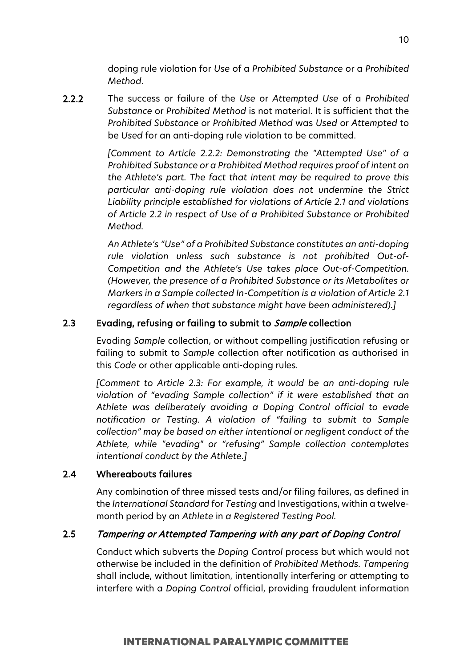doping rule violation for *Use* of a *Prohibited Substance* or a *Prohibited Method*.

2.2.2 The success or failure of the *Use* or *Attempted Use* of a *Prohibited Substance* or *Prohibited Method* is not material. It is sufficient that the *Prohibited Substance* or *Prohibited Method* was *Used* or *Attempted* to be *Used* for an anti-doping rule violation to be committed.

> *[Comment to Article 2.2.2: Demonstrating the "Attempted Use" of a Prohibited Substance or a Prohibited Method requires proof of intent on the Athlete's part. The fact that intent may be required to prove this particular anti-doping rule violation does not undermine the Strict Liability principle established for violations of Article 2.1 and violations of Article 2.2 in respect of Use of a Prohibited Substance or Prohibited Method.*

> *An Athlete's "Use" of a Prohibited Substance constitutes an anti-doping rule violation unless such substance is not prohibited Out-of-Competition and the Athlete's Use takes place Out-of-Competition. (However, the presence of a Prohibited Substance or its Metabolites or Markers in a Sample collected In-Competition is a violation of Article 2.1 regardless of when that substance might have been administered).]*

## 2.3 Evading, refusing or failing to submit to Sample collection

Evading *Sample* collection, or without compelling justification refusing or failing to submit to *Sample* collection after notification as authorised in this *Code* or other applicable anti-doping rules.

*[Comment to Article 2.3: For example, it would be an anti-doping rule violation of "evading Sample collection" if it were established that an Athlete was deliberately avoiding a Doping Control official to evade notification or Testing. A violation of "failing to submit to Sample collection" may be based on either intentional or negligent conduct of the Athlete, while "evading" or "refusing" Sample collection contemplates intentional conduct by the Athlete.]*

#### 2.4 Whereabouts failures

Any combination of three missed tests and/or filing failures, as defined in the *International Standard* for *Testing* and Investigations, within a twelvemonth period by an *Athlete* in *a Registered Testing Pool.*

## 2.5 Tampering or Attempted Tampering with any part of Doping Control

Conduct which subverts the *Doping Control* process but which would not otherwise be included in the definition of *Prohibited Methods. Tampering* shall include, without limitation, intentionally interfering or attempting to interfere with a *Doping Control* official, providing fraudulent information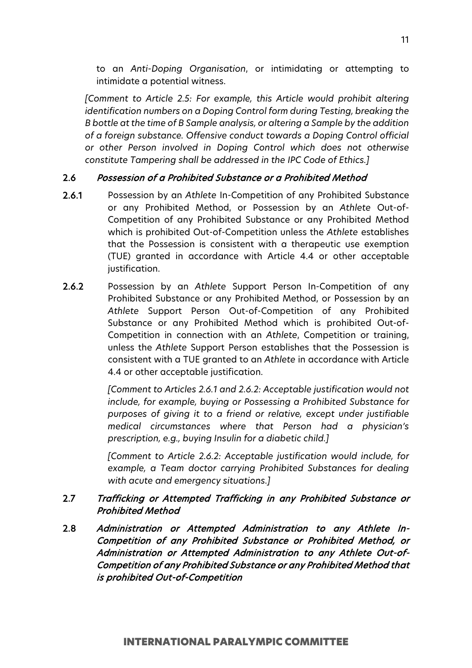to an *Anti-Doping Organisation*, or intimidating or attempting to intimidate a potential witness.

*[Comment to Article 2.5: For example, this Article would prohibit altering identification numbers on a Doping Control form during Testing, breaking the B bottle at the time of B Sample analysis, or altering a Sample by the addition of a foreign substance. Offensive conduct towards a Doping Control official or other Person involved in Doping Control which does not otherwise constitute Tampering shall be addressed in the IPC Code of Ethics.]*

## 2.6 Possession of a Prohibited Substance or a Prohibited Method

- 2.6.1 Possession by an *Athlete* In-Competition of any Prohibited Substance or any Prohibited Method, or Possession by an *Athlete* Out-of-Competition of any Prohibited Substance or any Prohibited Method which is prohibited Out-of-Competition unless the *Athlete* establishes that the Possession is consistent with a therapeutic use exemption (TUE) granted in accordance with Article 4.4 or other acceptable justification.
- 2.6.2 Possession by an *Athlete* Support Person In-Competition of any Prohibited Substance or any Prohibited Method, or Possession by an *Athlete* Support Person Out-of-Competition of any Prohibited Substance or any Prohibited Method which is prohibited Out-of-Competition in connection with an *Athlete*, Competition or training, unless the *Athlete* Support Person establishes that the Possession is consistent with a TUE granted to an *Athlete* in accordance with Article 4.4 or other acceptable justification.

*[Comment to Articles 2.6.1 and 2.6.2: Acceptable justification would not include, for example, buying or Possessing a Prohibited Substance for purposes of giving it to a friend or relative, except under justifiable medical circumstances where that Person had a physician's prescription, e.g., buying Insulin for a diabetic child.]*

*[Comment to Article 2.6.2: Acceptable justification would include, for example, a Team doctor carrying Prohibited Substances for dealing with acute and emergency situations.]*

## 2.7 Trafficking or Attempted Trafficking in any Prohibited Substance or Prohibited Method

2.8 Administration or Attempted Administration to any Athlete In-Competition of any Prohibited Substance or Prohibited Method, or Administration or Attempted Administration to any Athlete Out-of-Competition of any Prohibited Substance or any Prohibited Method that is prohibited Out-of-Competition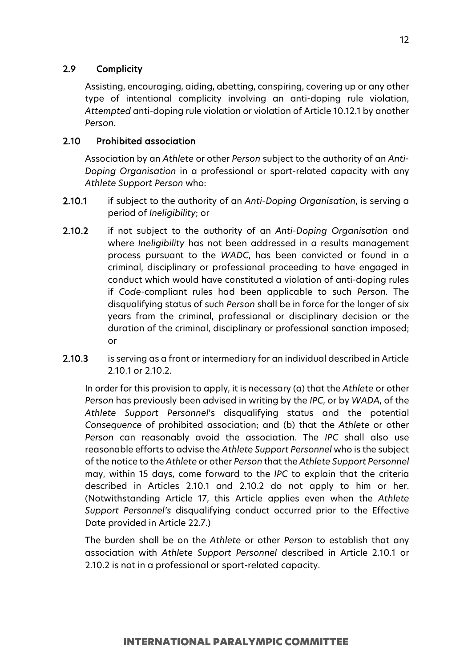## 2.9 Complicity

Assisting, encouraging, aiding, abetting, conspiring, covering up or any other type of intentional complicity involving an anti-doping rule violation, *Attempted* anti-doping rule violation or violation of Article 10.12.1 by another *Person*.

## 2.10 Prohibited association

Association by an *Athlete* or other *Person* subject to the authority of an *Anti-Doping Organisation* in a professional or sport-related capacity with any *Athlete Support Person* who:

- 2.10.1 if subject to the authority of an *Anti-Doping Organisation*, is serving a period of *Ineligibility*; or
- 2.10.2 if not subject to the authority of an *Anti-Doping Organisation* and where *Ineligibility* has not been addressed in a results management process pursuant to the *WADC*, has been convicted or found in a criminal, disciplinary or professional proceeding to have engaged in conduct which would have constituted a violation of anti-doping rules if *Code*-compliant rules had been applicable to such *Person.* The disqualifying status of such *Person* shall be in force for the longer of six years from the criminal, professional or disciplinary decision or the duration of the criminal, disciplinary or professional sanction imposed; or
- 2.10.3 is serving as a front or intermediary for an individual described in Article 2.10.1 or 2.10.2.

In order for this provision to apply, it is necessary (a) that the *Athlete* or other *Person* has previously been advised in writing by the *IPC*, or by *WADA*, of the *Athlete Support Personnel*'s disqualifying status and the potential *Consequence* of prohibited association; and (b) that the *Athlete* or other *Person* can reasonably avoid the association. The *IPC* shall also use reasonable efforts to advise the *Athlete Support Personnel* who is the subject of the notice to the *Athlete* or other *Person* that the *Athlete Support Personnel* may, within 15 days, come forward to the *IPC* to explain that the criteria described in Articles 2.10.1 and 2.10.2 do not apply to him or her. (Notwithstanding Article 17, this Article applies even when the *Athlete Support Personnel's* disqualifying conduct occurred prior to the Effective Date provided in Article 22.7.)

The burden shall be on the *Athlete* or other *Person* to establish that any association with *Athlete Support Personnel* described in Article 2.10.1 or 2.10.2 is not in a professional or sport-related capacity.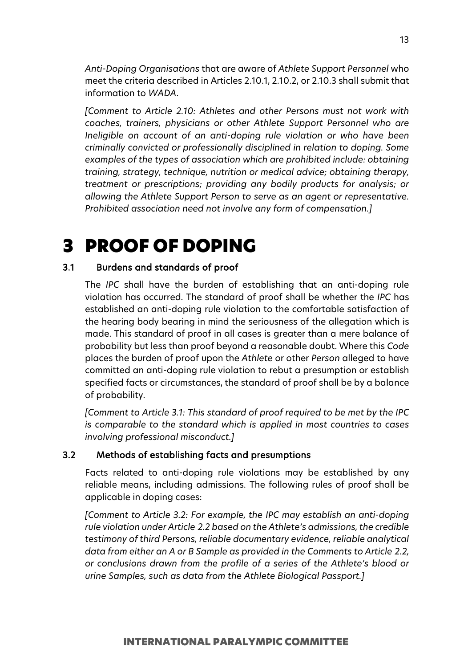*Anti-Doping Organisations* that are aware of *Athlete Support Personnel* who meet the criteria described in Articles 2.10.1, 2.10.2, or 2.10.3 shall submit that information to *WADA*.

*[Comment to Article 2.10: Athletes and other Persons must not work with coaches, trainers, physicians or other Athlete Support Personnel who are Ineligible on account of an anti-doping rule violation or who have been criminally convicted or professionally disciplined in relation to doping. Some examples of the types of association which are prohibited include: obtaining training, strategy, technique, nutrition or medical advice; obtaining therapy, treatment or prescriptions; providing any bodily products for analysis; or allowing the Athlete Support Person to serve as an agent or representative. Prohibited association need not involve any form of compensation.]*

## <span id="page-12-0"></span>3 PROOF OF DOPING

## 3.1 Burdens and standards of proof

The *IPC* shall have the burden of establishing that an anti-doping rule violation has occurred. The standard of proof shall be whether the *IPC* has established an anti-doping rule violation to the comfortable satisfaction of the hearing body bearing in mind the seriousness of the allegation which is made. This standard of proof in all cases is greater than a mere balance of probability but less than proof beyond a reasonable doubt. Where this *Code* places the burden of proof upon the *Athlete* or other *Person* alleged to have committed an anti-doping rule violation to rebut a presumption or establish specified facts or circumstances, the standard of proof shall be by a balance of probability.

*[Comment to Article 3.1: This standard of proof required to be met by the IPC is comparable to the standard which is applied in most countries to cases involving professional misconduct.]*

#### 3.2 Methods of establishing facts and presumptions

Facts related to anti-doping rule violations may be established by any reliable means, including admissions. The following rules of proof shall be applicable in doping cases:

*[Comment to Article 3.2: For example, the IPC may establish an anti-doping rule violation under Article 2.2 based on the Athlete's admissions, the credible testimony of third Persons, reliable documentary evidence, reliable analytical data from either an A or B Sample as provided in the Comments to Article 2.2, or conclusions drawn from the profile of a series of the Athlete's blood or urine Samples, such as data from the Athlete Biological Passport.]*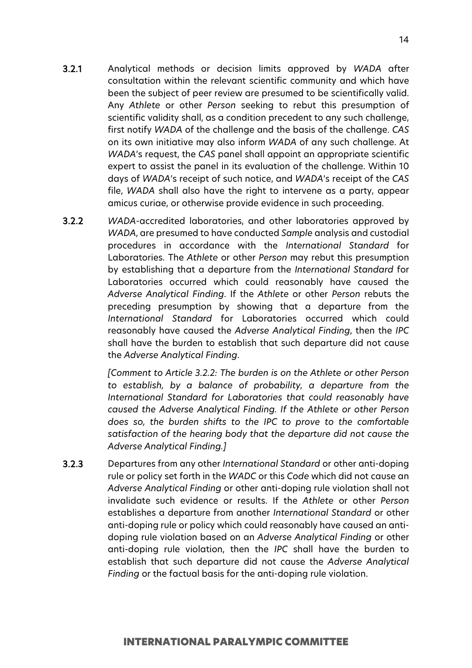- 3.2.1 Analytical methods or decision limits approved by *WADA* after consultation within the relevant scientific community and which have been the subject of peer review are presumed to be scientifically valid. Any *Athlete* or other *Person* seeking to rebut this presumption of scientific validity shall, as a condition precedent to any such challenge, first notify *WADA* of the challenge and the basis of the challenge. *CAS* on its own initiative may also inform *WADA* of any such challenge. At *WADA*'s request, the *CAS* panel shall appoint an appropriate scientific expert to assist the panel in its evaluation of the challenge. Within 10 days of *WADA*'s receipt of such notice, and *WADA*'s receipt of the *CAS* file, *WADA* shall also have the right to intervene as a party, appear amicus curiae, or otherwise provide evidence in such proceeding.
- 3.2.2 *WADA*-accredited laboratories, and other laboratories approved by *WADA*, are presumed to have conducted *Sample* analysis and custodial procedures in accordance with the *International Standard* for Laboratories. The *Athlete* or other *Person* may rebut this presumption by establishing that a departure from the *International Standard* for Laboratories occurred which could reasonably have caused the *Adverse Analytical Finding*. If the *Athlete* or other *Person* rebuts the preceding presumption by showing that a departure from the *International Standard* for Laboratories occurred which could reasonably have caused the *Adverse Analytical Finding*, then the *IPC*  shall have the burden to establish that such departure did not cause the *Adverse Analytical Finding*.

*[Comment to Article 3.2.2: The burden is on the Athlete or other Person to establish, by a balance of probability, a departure from the International Standard for Laboratories that could reasonably have caused the Adverse Analytical Finding. If the Athlete or other Person does so, the burden shifts to the IPC to prove to the comfortable satisfaction of the hearing body that the departure did not cause the Adverse Analytical Finding.]*

3.2.3 Departures from any other *International Standard* or other anti-doping rule or policy set forth in the *WADC* or this *Code* which did not cause an *Adverse Analytical Finding* or other anti-doping rule violation shall not invalidate such evidence or results. If the *Athlete* or other *Person* establishes a departure from another *International Standard* or other anti-doping rule or policy which could reasonably have caused an antidoping rule violation based on an *Adverse Analytical Finding* or other anti-doping rule violation, then the *IPC* shall have the burden to establish that such departure did not cause the *Adverse Analytical Finding* or the factual basis for the anti-doping rule violation.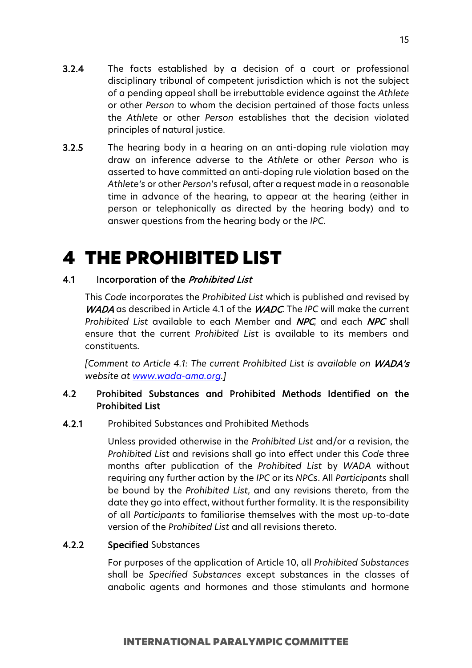- 3.2.4 The facts established by a decision of a court or professional disciplinary tribunal of competent jurisdiction which is not the subject of a pending appeal shall be irrebuttable evidence against the *Athlete* or other *Person* to whom the decision pertained of those facts unless the *Athlete* or other *Person* establishes that the decision violated principles of natural justice.
- 3.2.5 The hearing body in a hearing on an anti-doping rule violation may draw an inference adverse to the *Athlete* or other *Person* who is asserted to have committed an anti-doping rule violation based on the *Athlete's* or other *Person*'s refusal, after a request made in a reasonable time in advance of the hearing, to appear at the hearing (either in person or telephonically as directed by the hearing body) and to answer questions from the hearing body or the *IPC*.

# <span id="page-14-0"></span>4 THE PROHIBITED LIST

## 4.1 Incorporation of the *Prohibited List*

This *Code* incorporates the *Prohibited List* which is published and revised by WADA as described in Article 4.1 of the WADC. The *IPC* will make the current *Prohibited List* available to each Member and NPC, and each NPC shall ensure that the current *Prohibited List* is available to its members and constituents.

*[Comment to Article 4.1: The current Prohibited List is available on* WADA's *website at [www.wada-ama.org.](http://www.wada-ama.org/)]* 

## 4.2 Prohibited Substances and Prohibited Methods Identified on the Prohibited List

## 4.2.1 Prohibited Substances and Prohibited Methods

Unless provided otherwise in the *Prohibited List* and/or a revision, the *Prohibited List* and revisions shall go into effect under this *Code* three months after publication of the *Prohibited List* by *WADA* without requiring any further action by the *IPC* or its *NPCs*. All *Participants* shall be bound by the *Prohibited List*, and any revisions thereto, from the date they go into effect, without further formality. It is the responsibility of all *Participants* to familiarise themselves with the most up-to-date version of the *Prohibited List* and all revisions thereto.

## 4.2.2 Specified Substances

For purposes of the application of Article 10, all *Prohibited Substances* shall be *Specified Substances* except substances in the classes of anabolic agents and hormones and those stimulants and hormone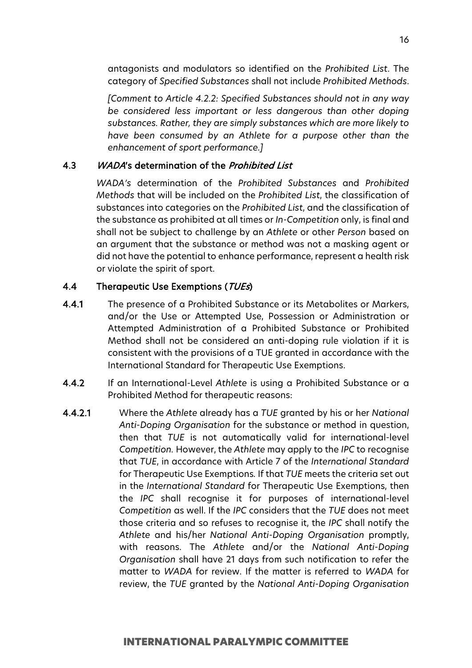antagonists and modulators so identified on the *Prohibited List*. The category of *Specified Substances* shall not include *Prohibited Methods*.

*[Comment to Article 4.2.2: Specified Substances should not in any way be considered less important or less dangerous than other doping substances. Rather, they are simply substances which are more likely to have been consumed by an Athlete for a purpose other than the enhancement of sport performance.]*

#### 4.3 WADA's determination of the *Prohibited List*

*WADA's* determination of the *Prohibited Substances* and *Prohibited Methods* that will be included on the *Prohibited List*, the classification of substances into categories on the *Prohibited List*, and the classification of the substance as prohibited at all times or *In-Competition* only, is final and shall not be subject to challenge by an *Athlete* or other *Person* based on an argument that the substance or method was not a masking agent or did not have the potential to enhance performance, represent a health risk or violate the spirit of sport.

#### 4.4 Therapeutic Use Exemptions (TUEs)

- 4.4.1 The presence of a Prohibited Substance or its Metabolites or Markers, and/or the Use or Attempted Use, Possession or Administration or Attempted Administration of a Prohibited Substance or Prohibited Method shall not be considered an anti-doping rule violation if it is consistent with the provisions of a TUE granted in accordance with the International Standard for Therapeutic Use Exemptions.
- 4.4.2 If an International-Level *Athlete* is using a Prohibited Substance or a Prohibited Method for therapeutic reasons:
- 4.4.2.1 Where the *Athlete* already has a *TUE* granted by his or her *National Anti-Doping Organisation* for the substance or method in question, then that *TUE* is not automatically valid for international-level *Competition.* However, the *Athlete* may apply to the *IPC* to recognise that *TUE*, in accordance with Article 7 of the *International Standard* for Therapeutic Use Exemptions*.* If that *TUE* meets the criteria set out in the *International Standard* for Therapeutic Use Exemptions, then the *IPC* shall recognise it for purposes of international-level *Competition* as well. If the *IPC* considers that the *TUE* does not meet those criteria and so refuses to recognise it, the *IPC* shall notify the *Athlete* and his/her *National Anti-Doping Organisation* promptly, with reasons. The *Athlete* and/or the *National Anti-Doping Organisation* shall have 21 days from such notification to refer the matter to *WADA* for review. If the matter is referred to *WADA* for review, the *TUE* granted by the *National Anti-Doping Organisation*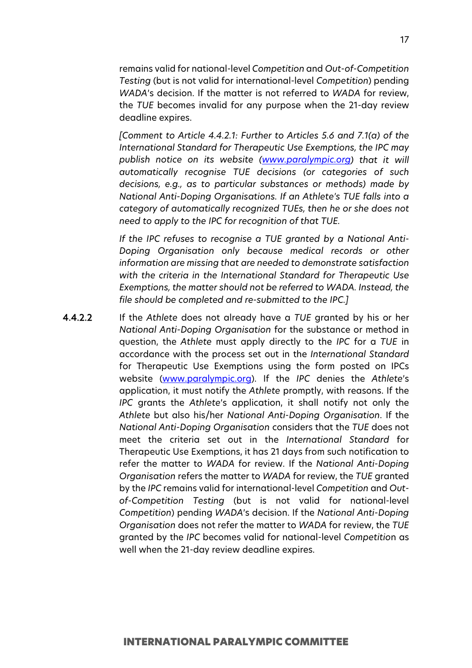remains valid for national-level *Competition* and *Out-of-Competition Testing* (but is not valid for international-level *Competition*) pending *WADA*'s decision. If the matter is not referred to *WADA* for review, the *TUE* becomes invalid for any purpose when the 21-day review deadline expires.

*[Comment to Article 4.4.2.1: Further to Articles 5.6 and 7.1(a) of the International Standard for Therapeutic Use Exemptions, the IPC may publish notice on its website [\(www.paralympic.org\)](http://www.paralympic.org/) that it will automatically recognise TUE decisions (or categories of such decisions, e.g., as to particular substances or methods) made by National Anti-Doping Organisations. If an Athlete's TUE falls into a category of automatically recognized TUEs, then he or she does not need to apply to the IPC for recognition of that TUE.*

*If the IPC refuses to recognise a TUE granted by a National Anti-Doping Organisation only because medical records or other information are missing that are needed to demonstrate satisfaction with the criteria in the International Standard for Therapeutic Use Exemptions, the matter should not be referred to WADA. Instead, the file should be completed and re-submitted to the IPC.]*

4.4.2.2 If the *Athlete* does not already have a *TUE* granted by his or her *National Anti-Doping Organisation* for the substance or method in question, the *Athlete* must apply directly to the *IPC* for a *TUE* in accordance with the process set out in the *International Standard*  for Therapeutic Use Exemptions using the form posted on IPCs website [\(www.paralympic.org\)](http://www.paralympic.org/). If the *IPC* denies the *Athlete*'s application, it must notify the *Athlete* promptly, with reasons. If the *IPC* grants the *Athlete*'s application, it shall notify not only the *Athlete* but also his/her *National Anti-Doping Organisation*. If the *National Anti-Doping Organisation* considers that the *TUE* does not meet the criteria set out in the *International Standard* for Therapeutic Use Exemptions, it has 21 days from such notification to refer the matter to *WADA* for review. If the *National Anti-Doping Organisation* refers the matter to *WADA* for review, the *TUE* granted by the *IPC* remains valid for international-level *Competition* and *Outof-Competition Testing* (but is not valid for national-level *Competition*) pending *WADA*'s decision. If the *National Anti-Doping Organisation* does not refer the matter to *WADA* for review, the *TUE* granted by the *IPC* becomes valid for national-level *Competitio*n as well when the 21-day review deadline expires.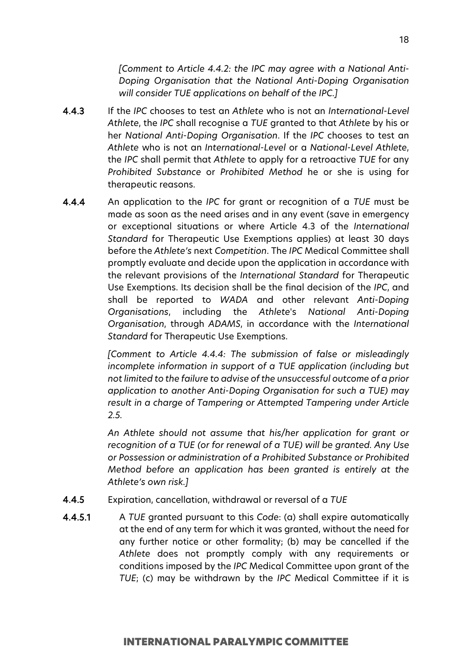*[Comment to Article 4.4.2: the IPC may agree with a National Anti-Doping Organisation that the National Anti-Doping Organisation will consider TUE applications on behalf of the IPC.]*

- 4.4.3 If the *IPC* chooses to test an *Athlete* who is not an *International-Level Athlete*, the *IPC* shall recognise a *TUE* granted to that *Athlete* by his or her *National Anti-Doping Organisation*. If the *IPC* chooses to test an *Athlete* who is not an *International-Level* or a *National-Level Athlete*, the *IPC* shall permit that *Athlete* to apply for a retroactive *TUE* for any *Prohibited Substance* or *Prohibited Method* he or she is using for therapeutic reasons.
- 4.4.4 An application to the *IPC* for grant or recognition of a *TUE* must be made as soon as the need arises and in any event (save in emergency or exceptional situations or where Article 4.3 of the *International Standard* for Therapeutic Use Exemptions applies) at least 30 days before the *Athlete's* next *Competition*. The *IPC* Medical Committee shall promptly evaluate and decide upon the application in accordance with the relevant provisions of the *International Standard* for Therapeutic Use Exemptions. Its decision shall be the final decision of the *IPC*, and shall be reported to *WADA* and other relevant *Anti-Doping Organisations*, including the *Athlete*'s *National Anti-Doping Organisation*, through *ADAMS*, in accordance with the *International Standard* for Therapeutic Use Exemptions.

*[Comment to Article 4.4.4: The submission of false or misleadingly incomplete information in support of a TUE application (including but not limited to the failure to advise of the unsuccessful outcome of a prior application to another Anti-Doping Organisation for such a TUE) may result in a charge of Tampering or Attempted Tampering under Article 2.5.*

*An Athlete should not assume that his/her application for grant or recognition of a TUE (or for renewal of a TUE) will be granted. Any Use or Possession or administration of a Prohibited Substance or Prohibited Method before an application has been granted is entirely at the Athlete's own risk.]* 

- 4.4.5 Expiration, cancellation, withdrawal or reversal of a *TUE*
- 4.4.5.1 A *TUE* granted pursuant to this *Code*: (a) shall expire automatically at the end of any term for which it was granted, without the need for any further notice or other formality; (b) may be cancelled if the *Athlete* does not promptly comply with any requirements or conditions imposed by the *IPC* Medical Committee upon grant of the *TUE*; (c) may be withdrawn by the *IPC* Medical Committee if it is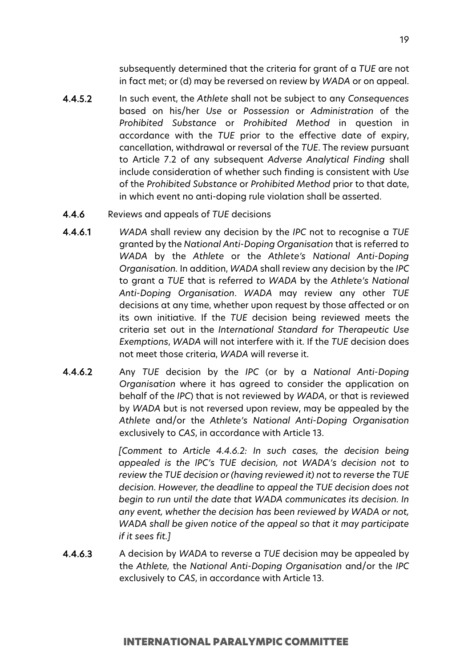subsequently determined that the criteria for grant of a *TUE* are not in fact met; or (d) may be reversed on review by *WADA* or on appeal.

- 4.4.5.2 In such event, the *Athlete* shall not be subject to any *Consequences* based on his/her *Use* or *Possession* or *Administration* of the *Prohibited Substance* or *Prohibited Method* in question in accordance with the *TUE* prior to the effective date of expiry, cancellation, withdrawal or reversal of the *TUE*. The review pursuant to Article 7.2 of any subsequent *Adverse Analytical Finding* shall include consideration of whether such finding is consistent with *Use* of the *Prohibited Substance* or *Prohibited Method* prior to that date, in which event no anti-doping rule violation shall be asserted.
- 4.4.6 Reviews and appeals of *TUE* decisions
- 4.4.6.1 *WADA* shall review any decision by the *IPC* not to recognise a *TUE* granted by the *National Anti-Doping Organisation* that is referred *to WADA* by the *Athlete* or the *Athlete's National Anti-Doping Organisation.* In addition, *WADA* shall review any decision by the *IPC* to grant a *TUE* that is referred *to WADA* by the *Athlete's National Anti-Doping Organisation*. *WADA* may review any other *TUE* decisions at any time, whether upon request by those affected or on its own initiative. If the *TUE* decision being reviewed meets the criteria set out in the *International Standard for Therapeutic Use Exemptions*, *WADA* will not interfere with it. If the *TUE* decision does not meet those criteria, *WADA* will reverse it.
- 4.4.6.2 Any *TUE* decision by the *IPC* (or by a *National Anti-Doping Organisation* where it has agreed to consider the application on behalf of the *IPC*) that is not reviewed by *WADA*, or that is reviewed by *WADA* but is not reversed upon review, may be appealed by the *Athlete* and/or the *Athlete's National Anti-Doping Organisation*  exclusively to *CAS*, in accordance with Article 13.

*[Comment to Article 4.4.6.2: In such cases, the decision being appealed is the IPC's TUE decision, not WADA's decision not to review the TUE decision or (having reviewed it) not to reverse the TUE decision. However, the deadline to appeal the TUE decision does not begin to run until the date that WADA communicates its decision. In any event, whether the decision has been reviewed by WADA or not, WADA shall be given notice of the appeal so that it may participate if it sees fit.]*

4.4.6.3 A decision by *WADA* to reverse a *TUE* decision may be appealed by the *Athlete,* the *National Anti-Doping Organisation* and/or the *IPC* exclusively to *CAS*, in accordance with Article 13.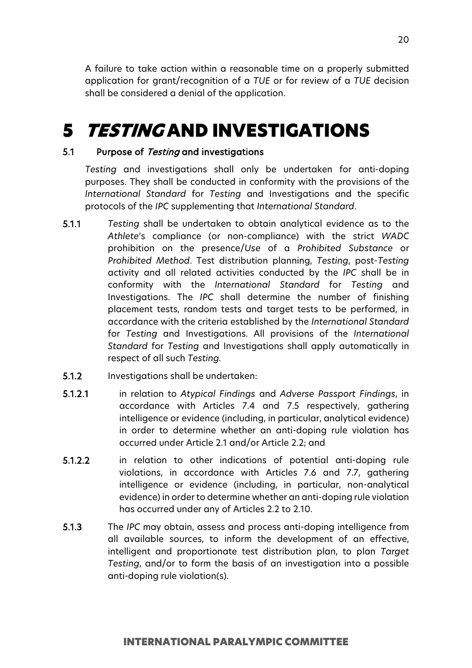A failure to take action within a reasonable time on a properly submitted application for grant/recognition of a *TUE* or for review of a *TUE* decision shall be considered a denial of the application.

# <span id="page-19-0"></span>**5 TESTING AND INVESTIGATIONS**

#### 5.1 Purpose of Testing and investigations

*Testing* and investigations shall only be undertaken for anti-doping purposes. They shall be conducted in conformity with the provisions of the *International Standard* for *Testing* and Investigations and the specific protocols of the *IPC* supplementing that *International Standard*.

- 5.1.1 *Testing* shall be undertaken to obtain analytical evidence as to the *Athlete*'s compliance (or non-compliance) with the strict *WADC* prohibition on the presence/*Use* of a *Prohibited Substance* or *Prohibited Method*. Test distribution planning, *Testing*, post-*Testing* activity and all related activities conducted by the *IPC* shall be in conformity with the *International Standard* for *Testing* and Investigations. The *IPC* shall determine the number of finishing placement tests, random tests and target tests to be performed, in accordance with the criteria established by the *International Standard*  for *Testing* and Investigations. All provisions of the *International Standard* for *Testing* and Investigations shall apply automatically in respect of all such *Testing.*
- 5.1.2 Investigations shall be undertaken:
- 5.1.2.1 in relation to *Atypical Findings* and *Adverse Passport Findings*, in accordance with Articles 7.4 and 7.5 respectively, gathering intelligence or evidence (including, in particular, analytical evidence) in order to determine whether an anti-doping rule violation has occurred under Article 2.1 and/or Article 2.2; and
- 5.1.2.2 in relation to other indications of potential anti-doping rule violations, in accordance with Articles 7.6 and 7.7, gathering intelligence or evidence (including, in particular, non-analytical evidence) in order to determine whether an anti-doping rule violation has occurred under any of Articles 2.2 to 2.10.
- 5.1.3 The *IPC* may obtain, assess and process anti-doping intelligence from all available sources, to inform the development of an effective, intelligent and proportionate test distribution plan, to plan *Target Testing*, and/or to form the basis of an investigation into a possible anti-doping rule violation(s).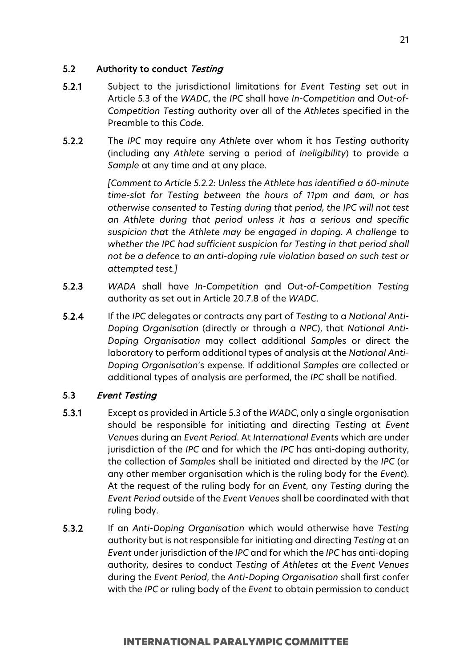## 5.2 Authority to conduct Testing

- 5.2.1 Subject to the jurisdictional limitations for *Event Testing* set out in Article 5.3 of the *WADC*, the *IPC* shall have *In-Competition* and *Out-of-Competition Testing* authority over all of the *Athletes* specified in the Preamble to this *Code*.
- 5.2.2 The *IPC* may require any *Athlete* over whom it has *Testing* authority (including any *Athlete* serving a period of *Ineligibility*) to provide a *Sample* at any time and at any place.

*[Comment to Article 5.2.2: Unless the Athlete has identified a 60-minute time-slot for Testing between the hours of 11pm and 6am, or has otherwise consented to Testing during that period, the IPC will not test an Athlete during that period unless it has a serious and specific suspicion that the Athlete may be engaged in doping. A challenge to whether the IPC had sufficient suspicion for Testing in that period shall not be a defence to an anti-doping rule violation based on such test or attempted test.]*

- 5.2.3 *WADA* shall have *In-Competition* and *Out-of-Competition Testing* authority as set out in Article 20.7.8 of the *WADC*.
- 5.2.4 If the *IPC* delegates or contracts any part of *Testing* to a *National Anti-Doping Organisation* (directly or through a *NPC*), that *National Anti-Doping Organisation* may collect additional *Samples* or direct the laboratory to perform additional types of analysis at the *National Anti-Doping Organisation*'s expense. If additional *Samples* are collected or additional types of analysis are performed, the *IPC* shall be notified.

## 5.3 Event Testing

- 5.3.1 Except as provided in Article 5.3 of the *WADC*, only a single organisation should be responsible for initiating and directing *Testing* at *Event Venues* during an *Event Period*. At *International Events* which are under jurisdiction of the *IPC* and for which the *IPC* has anti-doping authority, the collection of *Samples* shall be initiated and directed by the *IPC* (or any other member organisation which is the ruling body for the *Event*). At the request of the ruling body for an *Event*, any *Testing* during the *Event Period* outside of the *Event Venues* shall be coordinated with that ruling body.
- 5.3.2 If an *Anti-Doping Organisation* which would otherwise have *Testing* authority but is not responsible for initiating and directing *Testing* at an *Event* under jurisdiction of the *IPC* and for which the *IPC* has anti-doping authority*,* desires to conduct *Testing* of *Athletes* at the *Event Venues* during the *Event Period*, the *Anti-Doping Organisation* shall first confer with the *IPC* or ruling body of the *Event* to obtain permission to conduct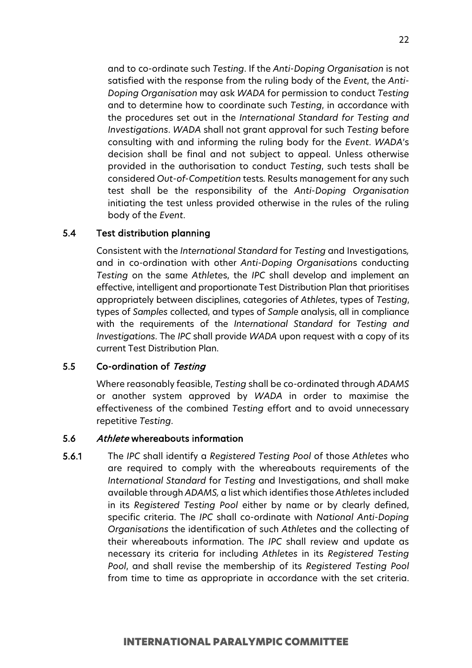and to co-ordinate such *Testing*. If the *Anti-Doping Organisation* is not satisfied with the response from the ruling body of the *Event*, the *Anti-Doping Organisation* may ask *WADA* for permission to conduct *Testing* and to determine how to coordinate such *Testing*, in accordance with the procedures set out in the *International Standard for Testing and Investigations*. *WADA* shall not grant approval for such *Testing* before consulting with and informing the ruling body for the *Event*. *WADA*'s decision shall be final and not subject to appeal. Unless otherwise provided in the authorisation to conduct *Testing*, such tests shall be considered *Out-of-Competition* tests*.* Results management for any such test shall be the responsibility of the *Anti-Doping Organisation* initiating the test unless provided otherwise in the rules of the ruling body of the *Event*.

#### 5.4 Test distribution planning

Consistent with the *International Standard* for *Testing* and Investigations*,*  and in co-ordination with other *Anti-Doping Organisation*s conducting *Testing* on the same *Athlete*s, the *IPC* shall develop and implement an effective, intelligent and proportionate Test Distribution Plan that prioritises appropriately between disciplines, categories of *Athletes*, types of *Testing*, types of *Samples* collected, and types of *Sample* analysis, all in compliance with the requirements of the *International Standard* for *Testing and Investigations*. The *IPC* shall provide *WADA* upon request with a copy of its current Test Distribution Plan.

#### 5.5 Co-ordination of Testing

Where reasonably feasible, *Testing* shall be co-ordinated through *ADAMS* or another system approved by *WADA* in order to maximise the effectiveness of the combined *Testing* effort and to avoid unnecessary repetitive *Testing*.

#### 5.6 Athlete whereabouts information

5.6.1 The *IPC* shall identify a *Registered Testing Pool* of those *Athletes* who are required to comply with the whereabouts requirements of the *International Standard* for *Testing* and Investigations, and shall make available through *ADAMS,* a list which identifies those *Athlete*s included in its *Registered Testing Pool* either by name or by clearly defined, specific criteria. The *IPC* shall co-ordinate with *National Anti-Doping Organisations* the identification of such *Athlete*s and the collecting of their whereabouts information. The *IPC* shall review and update as necessary its criteria for including *Athletes* in its *Registered Testing Pool*, and shall revise the membership of its *Registered Testing Pool* from time to time as appropriate in accordance with the set criteria.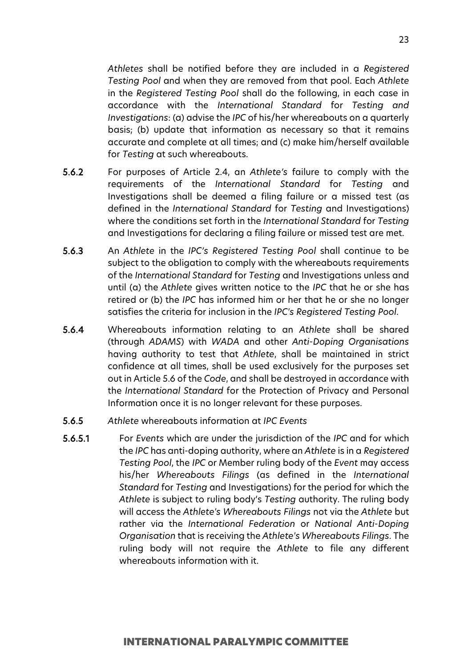*Athletes* shall be notified before they are included in a *Registered Testing Pool* and when they are removed from that pool. Each *Athlete* in the *Registered Testing Pool* shall do the following, in each case in accordance with the *International Standard* for *Testing and Investigations*: (a) advise the *IPC* of his/her whereabouts on a quarterly basis; (b) update that information as necessary so that it remains accurate and complete at all times; and (c) make him/herself available for *Testing* at such whereabouts.

- 5.6.2 For purposes of Article 2.4, an *Athlete's* failure to comply with the requirements of the *International Standard* for *Testing* and Investigations shall be deemed a filing failure or a missed test (as defined in the *International Standard* for *Testing* and Investigations) where the conditions set forth in the *International Standard* for *Testing*  and Investigations for declaring a filing failure or missed test are met.
- 5.6.3 An *Athlete* in the *IPC's Registered Testing Pool* shall continue to be subject to the obligation to comply with the whereabouts requirements of the *International Standard* for *Testing* and Investigations unless and until (a) the *Athlete* gives written notice to the *IPC* that he or she has retired or (b) the *IPC* has informed him or her that he or she no longer satisfies the criteria for inclusion in the *IPC's Registered Testing Pool*.
- 5.6.4 Whereabouts information relating to an *Athlete* shall be shared (through *ADAMS*) with *WADA* and other *Anti-Doping Organisations* having authority to test that *Athlete*, shall be maintained in strict confidence at all times, shall be used exclusively for the purposes set out in Article 5.6 of the *Code*, and shall be destroyed in accordance with the *International Standard* for the Protection of Privacy and Personal Information once it is no longer relevant for these purposes.
- 5.6.5 *Athlete* whereabouts information at *IPC Events*
- 5.6.5.1 For *Events* which are under the jurisdiction of the *IPC* and for which the *IPC* has anti-doping authority, where an *Athlete* is in a *Registered Testing Pool*, the *IPC* or Member ruling body of the *Event* may access his/her *Whereabouts Filings* (as defined in the *International Standard* for *Testing* and Investigations) for the period for which the *Athlete* is subject to ruling body's *Testing* authority. The ruling body will access the *Athlete's Whereabouts Filings* not via the *Athlete* but rather via the *International Federation* or *National Anti-Doping Organisation* that is receiving the *Athlete's Whereabouts Filings*. The ruling body will not require the *Athlete* to file any different whereabouts information with it.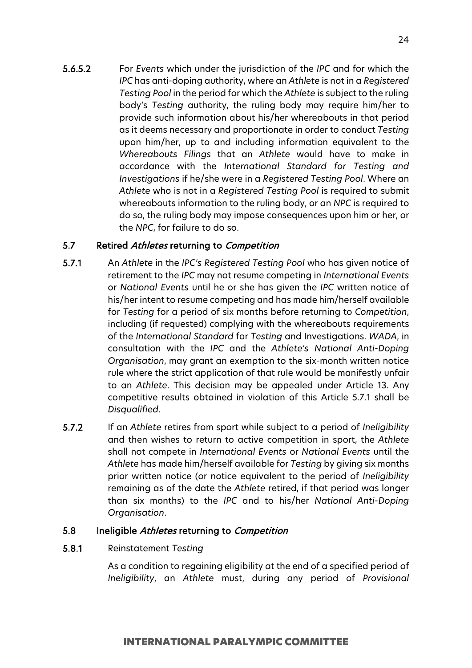5.6.5.2 For *Events* which under the jurisdiction of the *IPC* and for which the *IPC* has anti-doping authority, where an *Athlete* is not in a *Registered Testing Pool* in the period for which the *Athlete* is subject to the ruling body's *Testing* authority, the ruling body may require him/her to provide such information about his/her whereabouts in that period as it deems necessary and proportionate in order to conduct *Testing*  upon him/her, up to and including information equivalent to the *Whereabouts Filings* that an *Athlete* would have to make in accordance with the *International Standard for Testing and Investigations* if he/she were in a *Registered Testing Pool*. Where an *Athlete* who is not in a *Registered Testing Pool* is required to submit whereabouts information to the ruling body, or an *NPC* is required to do so, the ruling body may impose consequences upon him or her, or the *NPC*, for failure to do so.

## 5.7 Retired Athletes returning to Competition

- 5.7.1 An *Athlete* in the *IPC's Registered Testing Pool* who has given notice of retirement to the *IPC* may not resume competing in *International Events*  or *National Events* until he or she has given the *IPC* written notice of his/her intent to resume competing and has made him/herself available for *Testing* for a period of six months before returning to *Competition*, including (if requested) complying with the whereabouts requirements of the *International Standard* for *Testing* and Investigations. *WADA*, in consultation with the *IPC* and the *Athlete's National Anti-Doping Organisation*, may grant an exemption to the six-month written notice rule where the strict application of that rule would be manifestly unfair to an *Athlete*. This decision may be appealed under Article 13. Any competitive results obtained in violation of this Article 5.7.1 shall be *Disqualified*.
- 5.7.2 If an *Athlete* retires from sport while subject to a period of *Ineligibility*  and then wishes to return to active competition in sport, the *Athlete*  shall not compete in *International Events* or *National Events* until the *Athlete* has made him/herself available for *Testing* by giving six months prior written notice (or notice equivalent to the period of *Ineligibility*  remaining as of the date the *Athlete* retired, if that period was longer than six months) to the *IPC* and to his/her *National Anti-Doping Organisation*.

#### 5.8 Ineligible Athletes returning to Competition

#### 5.8.1 Reinstatement *Testing*

As a condition to regaining eligibility at the end of a specified period of *Ineligibility*, an *Athlete* must, during any period of *Provisional*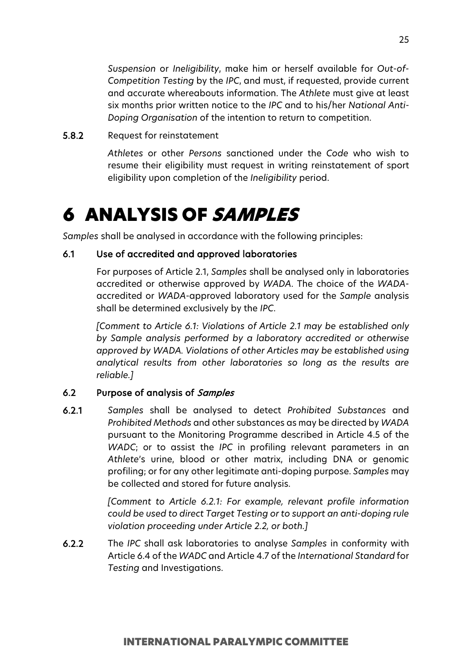*Suspension* or *Ineligibility*, make him or herself available for *Out-of-Competition Testing* by the *IPC*, and must, if requested, provide current and accurate whereabouts information. The *Athlete* must give at least six months prior written notice to the *IPC* and to his/her *National Anti-Doping Organisation* of the intention to return to competition.

### 5.8.2 Request for reinstatement

*Athletes* or other *Persons* sanctioned under the *Code* who wish to resume their eligibility must request in writing reinstatement of sport eligibility upon completion of the *Ineligibility* period.

# <span id="page-24-0"></span>6 ANALYSIS OF SAMPLES

*Samples* shall be analysed in accordance with the following principles:

#### 6.1 Use of accredited and approved laboratories

For purposes of Article 2.1, *Samples* shall be analysed only in laboratories accredited or otherwise approved by *WADA*. The choice of the *WADA*accredited or *WADA*-approved laboratory used for the *Sample* analysis shall be determined exclusively by the *IPC*.

*[Comment to Article 6.1: Violations of Article 2.1 may be established only by Sample analysis performed by a laboratory accredited or otherwise approved by WADA. Violations of other Articles may be established using analytical results from other laboratories so long as the results are reliable.]*

#### 6.2 Purpose of analysis of Samples

6.2.1 *Samples* shall be analysed to detect *Prohibited Substances* and *Prohibited Methods* and other substances as may be directed by *WADA* pursuant to the Monitoring Programme described in Article 4.5 of the *WADC*; or to assist the *IPC* in profiling relevant parameters in an *Athlete*'s urine, blood or other matrix, including DNA or genomic profiling; or for any other legitimate anti-doping purpose. *Samples* may be collected and stored for future analysis.

> *[Comment to Article 6.2.1: For example, relevant profile information could be used to direct Target Testing or to support an anti-doping rule violation proceeding under Article 2.2, or both.]*

6.2.2 The *IPC* shall ask laboratories to analyse *Samples* in conformity with Article 6.4 of the *WADC* and Article 4.7 of the *International Standard* for *Testing* and Investigations.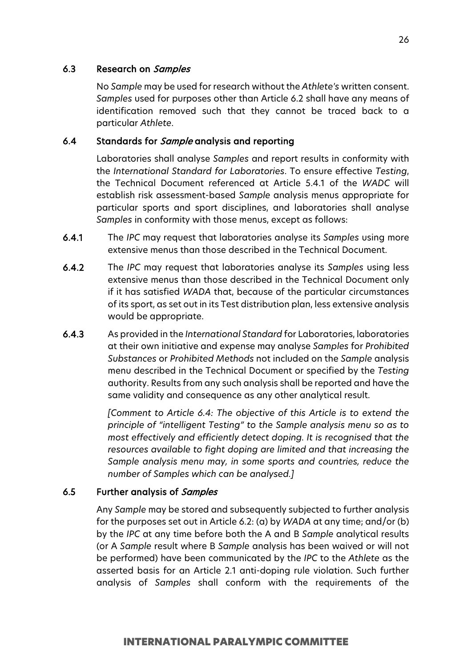#### 6.3 Research on Samples

No *Sample* may be used for research without the *Athlete's* written consent. *Samples* used for purposes other than Article 6.2 shall have any means of identification removed such that they cannot be traced back to a particular *Athlete*.

## 6.4 Standards for *Sample* analysis and reporting

Laboratories shall analyse *Samples* and report results in conformity with the *International Standard for Laboratories*. To ensure effective *Testing*, the Technical Document referenced at Article 5.4.1 of the *WADC* will establish risk assessment-based *Sample* analysis menus appropriate for particular sports and sport disciplines, and laboratories shall analyse *Samples* in conformity with those menus, except as follows:

- 6.4.1 The *IPC* may request that laboratories analyse its *Samples* using more extensive menus than those described in the Technical Document.
- 6.4.2 The *IPC* may request that laboratories analyse its *Samples* using less extensive menus than those described in the Technical Document only if it has satisfied *WADA* that, because of the particular circumstances of its sport, as set out in its Test distribution plan, less extensive analysis would be appropriate.
- 6.4.3 As provided in the *International Standard* for Laboratories, laboratories at their own initiative and expense may analyse *Samples* for *Prohibited Substances* or *Prohibited Methods* not included on the *Sample* analysis menu described in the Technical Document or specified by the *Testing*  authority. Results from any such analysis shall be reported and have the same validity and consequence as any other analytical result.

*[Comment to Article 6.4: The objective of this Article is to extend the principle of "intelligent Testing" to the Sample analysis menu so as to most effectively and efficiently detect doping. It is recognised that the resources available to fight doping are limited and that increasing the Sample analysis menu may, in some sports and countries, reduce the number of Samples which can be analysed.]*

## 6.5 Further analysis of Samples

Any *Sample* may be stored and subsequently subjected to further analysis for the purposes set out in Article 6.2: (a) by *WADA* at any time; and/or (b) by the *IPC* at any time before both the A and B *Sample* analytical results (or A *Sample* result where B *Sample* analysis has been waived or will not be performed) have been communicated by the *IPC* to the *Athlete* as the asserted basis for an Article 2.1 anti-doping rule violation. Such further analysis of *Samples* shall conform with the requirements of the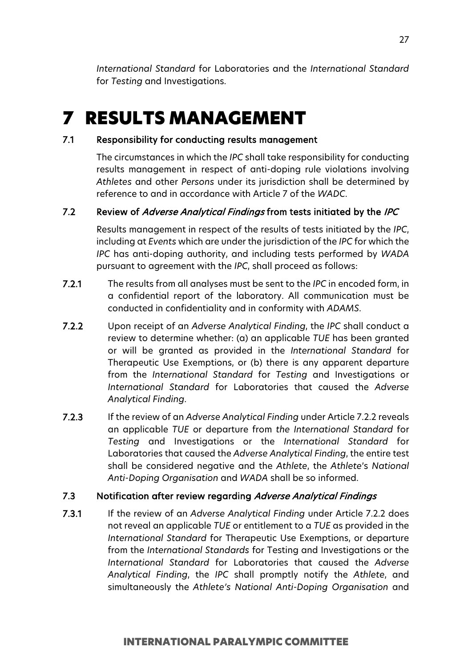*International Standard* for Laboratories and the *International Standard*  for *Testing* and Investigations.

# <span id="page-26-0"></span>7 RESULTS MANAGEMENT

#### 7.1 Responsibility for conducting results management

The circumstances in which the *IPC* shall take responsibility for conducting results management in respect of anti-doping rule violations involving *Athletes* and other *Persons* under its jurisdiction shall be determined by reference to and in accordance with Article 7 of the *WADC*.

## 7.2 Review of Adverse Analytical Findings from tests initiated by the IPC

Results management in respect of the results of tests initiated by the *IPC*, including at *Events* which are under the jurisdiction of the *IPC* for which the *IPC* has anti-doping authority, and including tests performed by *WADA* pursuant to agreement with the *IPC*, shall proceed as follows:

- 7.2.1 The results from all analyses must be sent to the *IPC* in encoded form, in a confidential report of the laboratory. All communication must be conducted in confidentiality and in conformity with *ADAMS*.
- 7.2.2 Upon receipt of an *Adverse Analytical Finding*, the *IPC* shall conduct a review to determine whether: (a) an applicable *TUE* has been granted or will be granted as provided in the *International Standard* for Therapeutic Use Exemptions, or (b) there is any apparent departure from the *International Standard* for *Testing* and Investigations or *International Standard* for Laboratories that caused the *Adverse Analytical Finding*.
- 7.2.3 If the review of an *Adverse Analytical Finding* under Article 7.2.2 reveals an applicable *TUE* or departure from *the International Standard* for *Testing* and Investigations or the *International Standard* for Laboratories that caused the *Adverse Analytical Finding*, the entire test shall be considered negative and the *Athlete*, the *Athlete*'s *National Anti-Doping Organisation* and *WADA* shall be so informed.

#### 7.3 Notification after review regarding Adverse Analytical Findings

7.3.1 If the review of an *Adverse Analytical Finding* under Article 7.2.2 does not reveal an applicable *TUE* or entitlement to a *TUE* as provided in the *International Standard* for Therapeutic Use Exemptions, or departure from the *International Standards* for Testing and Investigations or the *International Standard* for Laboratories that caused the *Adverse Analytical Finding*, the *IPC* shall promptly notify the *Athlete*, and simultaneously the *Athlete's National Anti-Doping Organisation* and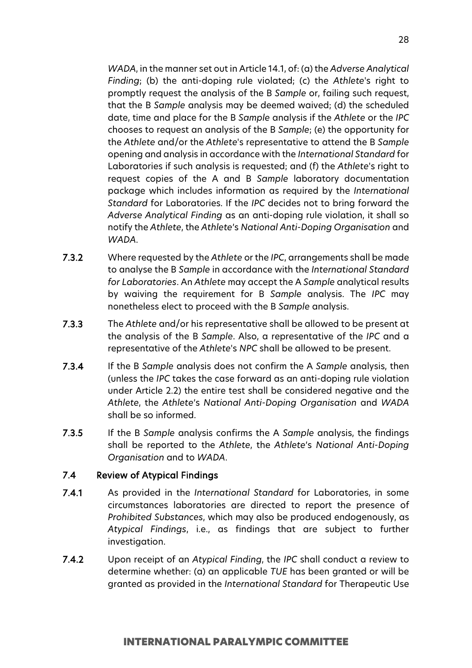*WADA*, in the manner set out in Article 14.1, of: (a) the *Adverse Analytical Finding*; (b) the anti-doping rule violated; (c) the *Athlete*'s right to promptly request the analysis of the B *Sample* or, failing such request, that the B *Sample* analysis may be deemed waived; (d) the scheduled date, time and place for the B *Sample* analysis if the *Athlete* or the *IPC* chooses to request an analysis of the B *Sample*; (e) the opportunity for the *Athlete* and/or the *Athlete*'s representative to attend the B *Sample* opening and analysis in accordance with the *International Standard* for Laboratories if such analysis is requested; and (f) the *Athlete*'s right to request copies of the A and B *Sample* laboratory documentation package which includes information as required by the *International Standard* for Laboratories. If the *IPC* decides not to bring forward the *Adverse Analytical Finding* as an anti-doping rule violation, it shall so notify the *Athlete*, the *Athlete*'s *National Anti-Doping Organisation* and *WADA*.

- 7.3.2 Where requested by the *Athlete* or the *IPC*, arrangements shall be made to analyse the B *Sample* in accordance with the *International Standard for Laboratories*. An *Athlete* may accept the A *Sample* analytical results by waiving the requirement for B *Sample* analysis. The *IPC* may nonetheless elect to proceed with the B *Sample* analysis.
- 7.3.3 The *Athlete* and/or his representative shall be allowed to be present at the analysis of the B *Sample*. Also, a representative of the *IPC* and a representative of the *Athlete*'s *NPC* shall be allowed to be present.
- 7.3.4 If the B *Sample* analysis does not confirm the A *Sample* analysis, then (unless the *IPC* takes the case forward as an anti-doping rule violation under Article 2.2) the entire test shall be considered negative and the *Athlete*, the *Athlete*'s *National Anti-Doping Organisation* and *WADA* shall be so informed.
- 7.3.5 If the B *Sample* analysis confirms the A *Sample* analysis, the findings shall be reported to the *Athlete*, the *Athlete*'s *National Anti-Doping Organisation* and to *WADA*.

#### 7.4 Review of Atypical Findings

- 7.4.1 As provided in the *International Standard* for Laboratories, in some circumstances laboratories are directed to report the presence of *Prohibited Substances*, which may also be produced endogenously, as *Atypical Findings*, i.e., as findings that are subject to further investigation.
- 7.4.2 Upon receipt of an *Atypical Finding*, the *IPC* shall conduct a review to determine whether: (a) an applicable *TUE* has been granted or will be granted as provided in the *International Standard* for Therapeutic Use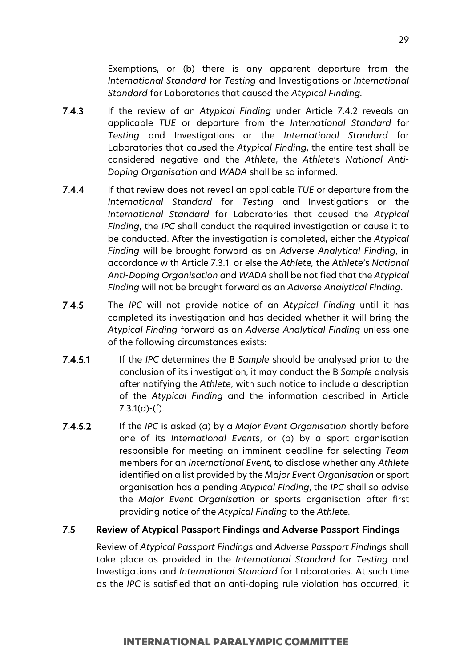Exemptions, or (b) there is any apparent departure from the *International Standard* for *Testing* and Investigations or *International Standard* for Laboratories that caused the *Atypical Finding.*

- 7.4.3 If the review of an *Atypical Finding* under Article 7.4.2 reveals an applicable *TUE* or departure from the *International Standard* for *Testing* and Investigations or the *International Standard* for Laboratories that caused the *Atypical Finding*, the entire test shall be considered negative and the *Athlete*, the *Athlete*'s *National Anti-Doping Organisation* and *WADA* shall be so informed.
- 7.4.4 If that review does not reveal an applicable *TUE* or departure from the *International Standard* for *Testing* and Investigations or the *International Standard* for Laboratories that caused the *Atypical Finding*, the *IPC* shall conduct the required investigation or cause it to be conducted. After the investigation is completed, either the *Atypical Finding* will be brought forward as an *Adverse Analytical Finding*, in accordance with Article 7.3.1, or else the *Athlete,* the *Athlete*'s *National Anti-Doping Organisation* and *WADA* shall be notified that the *Atypical Finding* will not be brought forward as an *Adverse Analytical Finding*.
- 7.4.5 The *IPC* will not provide notice of an *Atypical Finding* until it has completed its investigation and has decided whether it will bring the *Atypical Finding* forward as an *Adverse Analytical Finding* unless one of the following circumstances exists:
- 7.4.5.1 If the *IPC* determines the B *Sample* should be analysed prior to the conclusion of its investigation, it may conduct the B *Sample* analysis after notifying the *Athlete*, with such notice to include a description of the *Atypical Finding* and the information described in Article 7.3.1(d)-(f).
- 7.4.5.2 If the *IPC* is asked (a) by a *Major Event Organisation* shortly before one of its *International Events*, or (b) by a sport organisation responsible for meeting an imminent deadline for selecting *Team* members for an *International Event*, to disclose whether any *Athlete*  identified on a list provided by the *Major Event Organisation* or sport organisation has a pending *Atypical Finding*, the *IPC* shall so advise the *Major Event Organisation* or sports organisation after first providing notice of the *Atypical Finding* to the *Athlete.*

#### 7.5 Review of Atypical Passport Findings and Adverse Passport Findings

Review of *Atypical Passport Findings* and *Adverse Passport Findings* shall take place as provided in the *International Standard* for *Testing* and Investigations and *International Standard* for Laboratories. At such time as the *IPC* is satisfied that an anti-doping rule violation has occurred, it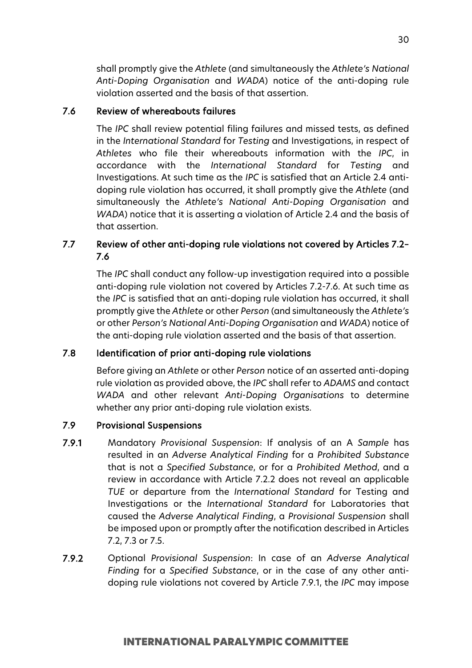shall promptly give the *Athlete* (and simultaneously the *Athlete's National Anti-Doping Organisation* and *WADA*) notice of the anti-doping rule violation asserted and the basis of that assertion.

## 7.6 Review of whereabouts failures

The *IPC* shall review potential filing failures and missed tests, as defined in the *International Standard* for *Testing* and Investigations, in respect of *Athletes* who file their whereabouts information with the *IPC*, in accordance with the *International Standard* for *Testing* and Investigations. At such time as the *IPC* is satisfied that an Article 2.4 antidoping rule violation has occurred, it shall promptly give the *Athlete* (and simultaneously the *Athlete's National Anti-Doping Organisation* and *WADA*) notice that it is asserting a violation of Article 2.4 and the basis of that assertion.

## 7.7 Review of other anti-doping rule violations not covered by Articles 7.2– 7.6

The *IPC* shall conduct any follow-up investigation required into a possible anti-doping rule violation not covered by Articles 7.2-7.6. At such time as the *IPC* is satisfied that an anti-doping rule violation has occurred, it shall promptly give the *Athlete* or other *Person* (and simultaneously the *Athlete's*  or other *Person's National Anti-Doping Organisation* and *WADA*) notice of the anti-doping rule violation asserted and the basis of that assertion.

## 7.8 Identification of prior anti-doping rule violations

Before giving an *Athlete* or other *Person* notice of an asserted anti-doping rule violation as provided above, the *IPC* shall refer to *ADAMS* and contact *WADA* and other relevant *Anti-Doping Organisations* to determine whether any prior anti-doping rule violation exists.

## 7.9 Provisional Suspensions

- 7.9.1 Mandatory *Provisional Suspension*: If analysis of an A *Sample* has resulted in an *Adverse Analytical Finding* for a *Prohibited Substance* that is not a *Specified Substance*, or for a *Prohibited Method*, and a review in accordance with Article 7.2.2 does not reveal an applicable *TUE* or departure from the *International Standard* for Testing and Investigations or the *International Standard* for Laboratories that caused the *Adverse Analytical Finding*, a *Provisional Suspension* shall be imposed upon or promptly after the notification described in Articles 7.2, 7.3 or 7.5.
- 7.9.2 Optional *Provisional Suspension*: In case of an *Adverse Analytical Finding* for a *Specified Substance*, or in the case of any other antidoping rule violations not covered by Article 7.9.1, the *IPC* may impose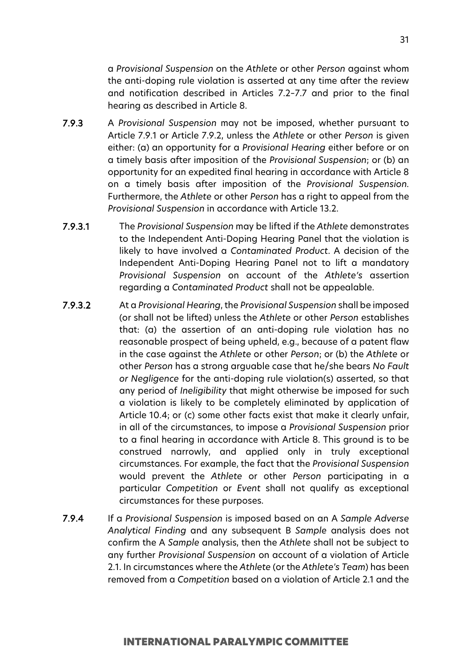a *Provisional Suspension* on the *Athlete* or other *Person* against whom the anti-doping rule violation is asserted at any time after the review and notification described in Articles 7.2–7.7 and prior to the final hearing as described in Article 8.

- 7.9.3 A *Provisional Suspension* may not be imposed, whether pursuant to Article 7.9.1 or Article 7.9.2, unless the *Athlete* or other *Person* is given either: (a) an opportunity for a *Provisional Hearing* either before or on a timely basis after imposition of the *Provisional Suspension*; or (b) an opportunity for an expedited final hearing in accordance with Article 8 on a timely basis after imposition of the *Provisional Suspension.* Furthermore, the *Athlete* or other *Person* has a right to appeal from the *Provisional Suspension* in accordance with Article 13.2.
- 7.9.3.1 The *Provisional Suspension* may be lifted if the *Athlete* demonstrates to the Independent Anti-Doping Hearing Panel that the violation is likely to have involved a *Contaminated Product*. A decision of the Independent Anti-Doping Hearing Panel not to lift a mandatory *Provisional Suspension* on account of the *Athlete's* assertion regarding a *Contaminated Product* shall not be appealable.
- 7.9.3.2 At a *Provisional Hearing*, the *Provisional Suspension* shall be imposed (or shall not be lifted) unless the *Athlete* or other *Person* establishes that: (a) the assertion of an anti-doping rule violation has no reasonable prospect of being upheld, e.g., because of a patent flaw in the case against the *Athlete* or other *Person*; or (b) the *Athlete* or other *Person* has a strong arguable case that he/she bears *No Fault or Negligence* for the anti-doping rule violation(s) asserted, so that any period of *Ineligibility* that might otherwise be imposed for such a violation is likely to be completely eliminated by application of Article 10.4; or (c) some other facts exist that make it clearly unfair, in all of the circumstances, to impose a *Provisional Suspension* prior to a final hearing in accordance with Article 8. This ground is to be construed narrowly, and applied only in truly exceptional circumstances. For example, the fact that the *Provisional Suspension* would prevent the *Athlete* or other *Person* participating in a particular *Competition* or *Event* shall not qualify as exceptional circumstances for these purposes.
- 7.9.4 If a *Provisional Suspension* is imposed based on an A *Sample Adverse Analytical Finding* and any subsequent B *Sample* analysis does not confirm the A *Sample* analysis, then the *Athlete* shall not be subject to any further *Provisional Suspension* on account of a violation of Article 2.1. In circumstances where the *Athlete* (or the *Athlete's Team*) has been removed from a *Competition* based on a violation of Article 2.1 and the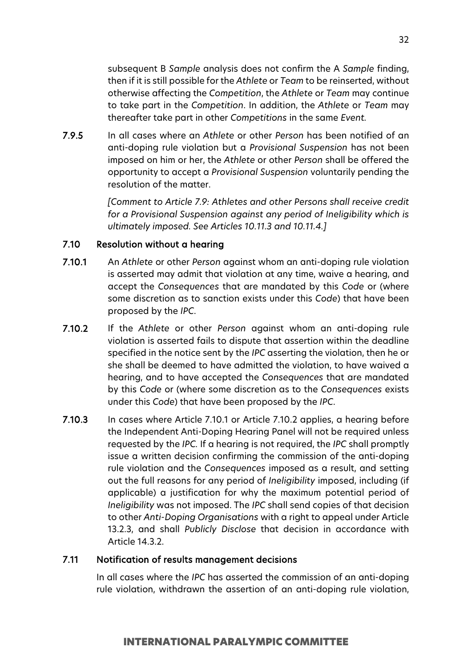subsequent B *Sample* analysis does not confirm the A *Sample* finding, then if it is still possible for the *Athlete* or *Team* to be reinserted, without otherwise affecting the *Competition*, the *Athlete* or *Team* may continue to take part in the *Competition*. In addition, the *Athlete* or *Team* may thereafter take part in other *Competitions* in the same *Event.*

7.9.5 In all cases where an *Athlete* or other *Person* has been notified of an anti-doping rule violation but a *Provisional Suspension* has not been imposed on him or her, the *Athlete* or other *Person* shall be offered the opportunity to accept a *Provisional Suspension* voluntarily pending the resolution of the matter.

> *[Comment to Article 7.9: Athletes and other Persons shall receive credit for a Provisional Suspension against any period of Ineligibility which is ultimately imposed. See Articles 10.11.3 and 10.11.4.]*

## 7.10 Resolution without a hearing

- 7.10.1 An *Athlete* or other *Person* against whom an anti-doping rule violation is asserted may admit that violation at any time, waive a hearing, and accept the *Consequences* that are mandated by this *Code* or (where some discretion as to sanction exists under this *Code*) that have been proposed by the *IPC*.
- 7.10.2 If the *Athlete* or other *Person* against whom an anti-doping rule violation is asserted fails to dispute that assertion within the deadline specified in the notice sent by the *IPC* asserting the violation, then he or she shall be deemed to have admitted the violation, to have waived a hearing, and to have accepted the *Consequences* that are mandated by this *Code* or (where some discretion as to the *Consequences* exists under this *Code*) that have been proposed by the *IPC*.
- 7.10.3 In cases where Article 7.10.1 or Article 7.10.2 applies, a hearing before the Independent Anti-Doping Hearing Panel will not be required unless requested by the *IPC.* If a hearing is not required, the *IPC* shall promptly issue a written decision confirming the commission of the anti-doping rule violation and the *Consequences* imposed as a result, and setting out the full reasons for any period of *Ineligibility* imposed, including (if applicable) a justification for why the maximum potential period of *Ineligibility* was not imposed. The *IPC* shall send copies of that decision to other *Anti-Doping Organisations* with a right to appeal under Article 13.2.3, and shall *Publicly Disclose* that decision in accordance with Article 14.3.2.

#### 7.11 Notification of results management decisions

In all cases where the *IPC* has asserted the commission of an anti-doping rule violation, withdrawn the assertion of an anti-doping rule violation,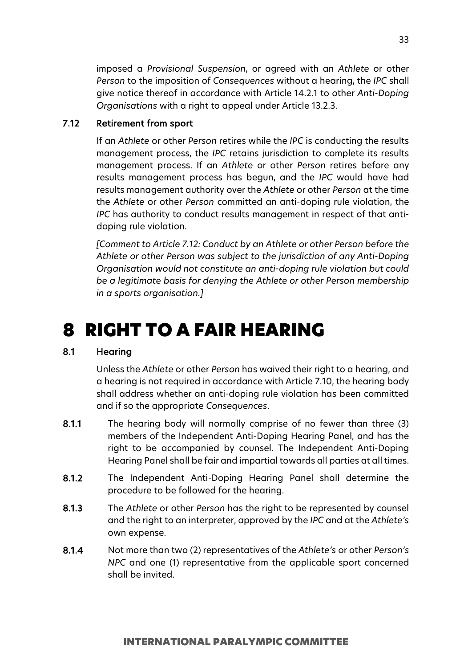imposed a *Provisional Suspension*, or agreed with an *Athlete* or other *Person* to the imposition of *Consequences* without a hearing, the *IPC* shall give notice thereof in accordance with Article 14.2.1 to other *Anti-Doping Organisations* with a right to appeal under Article 13.2.3.

## 7.12 Retirement from sport

If an *Athlete* or other *Person* retires while the *IPC* is conducting the results management process, the *IPC* retains jurisdiction to complete its results management process. If an *Athlete* or other *Person* retires before any results management process has begun, and the *IPC* would have had results management authority over the *Athlete* or other *Person* at the time the *Athlete* or other *Person* committed an anti-doping rule violation, the *IPC* has authority to conduct results management in respect of that antidoping rule violation.

*[Comment to Article 7.12: Conduct by an Athlete or other Person before the Athlete or other Person was subject to the jurisdiction of any Anti-Doping Organisation would not constitute an anti-doping rule violation but could be a legitimate basis for denying the Athlete or other Person membership in a sports organisation.]*

# <span id="page-32-0"></span>8 RIGHT TO A FAIR HEARING

## 8.1 Hearing

Unless the *Athlete* or other *Person* has waived their right to a hearing, and a hearing is not required in accordance with Article 7.10, the hearing body shall address whether an anti-doping rule violation has been committed and if so the appropriate *Consequences*.

- 8.1.1 The hearing body will normally comprise of no fewer than three (3) members of the Independent Anti-Doping Hearing Panel, and has the right to be accompanied by counsel. The Independent Anti-Doping Hearing Panel shall be fair and impartial towards all parties at all times.
- 8.1.2 The Independent Anti-Doping Hearing Panel shall determine the procedure to be followed for the hearing.
- 8.1.3 The *Athlete* or other *Person* has the right to be represented by counsel and the right to an interpreter, approved by the *IPC* and at the *Athlete's* own expense.
- 8.1.4 Not more than two (2) representatives of the *Athlete's* or other *Person's NPC* and one (1) representative from the applicable sport concerned shall be invited.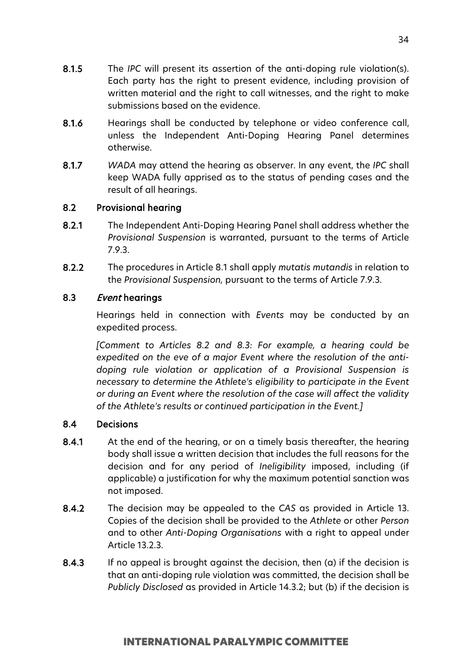- 8.1.6 Hearings shall be conducted by telephone or video conference call, unless the Independent Anti-Doping Hearing Panel determines otherwise.
- 8.1.7 *WADA* may attend the hearing as observer. In any event, the *IPC* shall keep WADA fully apprised as to the status of pending cases and the result of all hearings.

## 8.2 Provisional hearing

- 8.2.1 The Independent Anti-Doping Hearing Panel shall address whether the *Provisional Suspension* is warranted, pursuant to the terms of Article 7.9.3.
- 8.2.2 The procedures in Article 8.1 shall apply *mutatis mutandis* in relation to the *Provisional Suspension,* pursuant to the terms of Article 7.9.3.

## 8.3 Event hearings

Hearings held in connection with *Events* may be conducted by an expedited process.

*[Comment to Articles 8.2 and 8.3: For example, a hearing could be expedited on the eve of a major Event where the resolution of the antidoping rule violation or application of a Provisional Suspension is necessary to determine the Athlete's eligibility to participate in the Event or during an Event where the resolution of the case will affect the validity of the Athlete's results or continued participation in the Event.]*

## 8.4 Decisions

- 8.4.1 At the end of the hearing, or on a timely basis thereafter, the hearing body shall issue a written decision that includes the full reasons for the decision and for any period of *Ineligibility* imposed, including (if applicable) a justification for why the maximum potential sanction was not imposed.
- 8.4.2 The decision may be appealed to the *CAS* as provided in Article 13. Copies of the decision shall be provided to the *Athlete* or other *Person* and to other *Anti-Doping Organisations* with a right to appeal under Article 13.2.3.
- 8.4.3 If no appeal is brought against the decision, then (a) if the decision is that an anti-doping rule violation was committed, the decision shall be *Publicly Disclosed* as provided in Article 14.3.2; but (b) if the decision is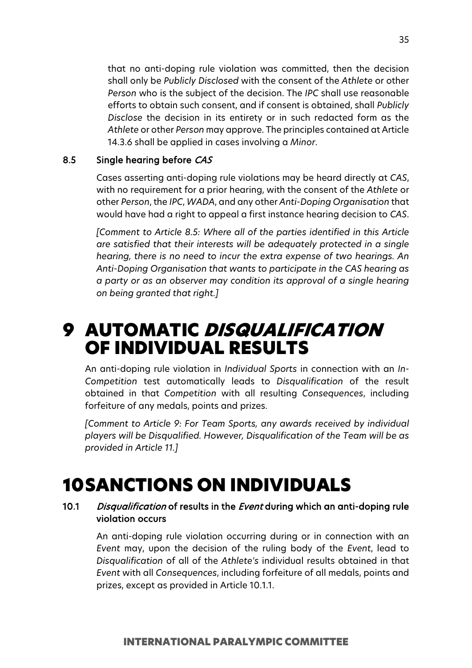that no anti-doping rule violation was committed, then the decision shall only be *Publicly Disclosed* with the consent of the *Athlete* or other *Person* who is the subject of the decision. The *IPC* shall use reasonable efforts to obtain such consent, and if consent is obtained, shall *Publicly Disclose* the decision in its entirety or in such redacted form as the *Athlete* or other *Person* may approve. The principles contained at Article 14.3.6 shall be applied in cases involving a *Minor*.

#### 8.5 Single hearing before CAS

Cases asserting anti-doping rule violations may be heard directly at *CAS*, with no requirement for a prior hearing, with the consent of the *Athlete* or other *Person*, the *IPC*, *WADA*, and any other *Anti-Doping Organisation* that would have had a right to appeal a first instance hearing decision to *CAS*.

*[Comment to Article 8.5: Where all of the parties identified in this Article are satisfied that their interests will be adequately protected in a single hearing, there is no need to incur the extra expense of two hearings. An Anti-Doping Organisation that wants to participate in the CAS hearing as a party or as an observer may condition its approval of a single hearing on being granted that right.]*

# <span id="page-34-0"></span>9 AUTOMATIC DISQUALIFICATION OF INDIVIDUAL RESULTS

An anti-doping rule violation in *Individual Sports* in connection with an *In-Competition* test automatically leads to *Disqualification* of the result obtained in that *Competition* with all resulting *Consequences*, including forfeiture of any medals, points and prizes.

*[Comment to Article 9: For Team Sports, any awards received by individual players will be Disqualified. However, Disqualification of the Team will be as provided in Article 11.]*

# <span id="page-34-1"></span>10SANCTIONS ON INDIVIDUALS

## 10.1 Disqualification of results in the Event during which an anti-doping rule violation occurs

An anti-doping rule violation occurring during or in connection with an *Event* may, upon the decision of the ruling body of the *Event*, lead to *Disqualification* of all of the *Athlete's* individual results obtained in that *Event* with all *Consequences*, including forfeiture of all medals, points and prizes, except as provided in Article 10.1.1.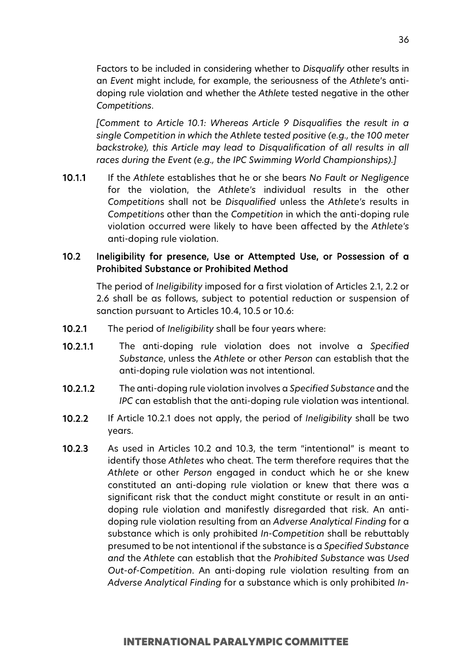Factors to be included in considering whether to *Disqualify* other results in an *Event* might include, for example, the seriousness of the *Athlete*'s antidoping rule violation and whether the *Athlete* tested negative in the other *Competitions*.

*[Comment to Article 10.1: Whereas Article 9 Disqualifies the result in a single Competition in which the Athlete tested positive (e.g., the 100 meter backstroke), this Article may lead to Disqualification of all results in all races during the Event (e.g., the IPC Swimming World Championships).]*

10.1.1 If the *Athlete* establishes that he or she bears *No Fault or Negligence* for the violation, the *Athlete's* individual results in the other *Competition*s shall not be *Disqualified* unless the *Athlete's* results in *Competition*s other than the *Competition* in which the anti-doping rule violation occurred were likely to have been affected by the *Athlete's* anti-doping rule violation.

## 10.2 Ineligibility for presence, Use or Attempted Use, or Possession of a Prohibited Substance or Prohibited Method

The period of *Ineligibility* imposed for a first violation of Articles 2.1, 2.2 or 2.6 shall be as follows, subject to potential reduction or suspension of sanction pursuant to Articles 10.4, 10.5 or 10.6:

- 10.2.1 The period of *Ineligibility* shall be four years where:
- 10.2.1.1 The anti-doping rule violation does not involve a *Specified Substance*, unless the *Athlete* or other *Person* can establish that the anti-doping rule violation was not intentional.
- 10.2.1.2 The anti-doping rule violation involves a *Specified Substance* and the *IPC* can establish that the anti-doping rule violation was intentional.
- 10.2.2 If Article 10.2.1 does not apply, the period of *Ineligibility* shall be two years.
- 10.2.3 As used in Articles 10.2 and 10.3, the term "intentional" is meant to identify those *Athletes* who cheat. The term therefore requires that the *Athlete* or other *Person* engaged in conduct which he or she knew constituted an anti-doping rule violation or knew that there was a significant risk that the conduct might constitute or result in an antidoping rule violation and manifestly disregarded that risk. An antidoping rule violation resulting from an *Adverse Analytical Finding* for a substance which is only prohibited *In-Competition* shall be rebuttably presumed to be not intentional if the substance is a *Specified Substance and* the *Athlete* can establish that the *Prohibited Substance* was *Used Out-of-Competition*. An anti-doping rule violation resulting from an *Adverse Analytical Finding* for a substance which is only prohibited *In-*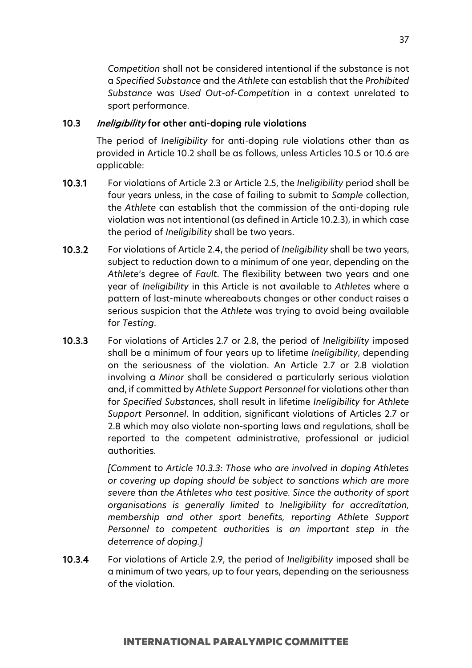*Competition* shall not be considered intentional if the substance is not a *Specified Substance* and the *Athlete* can establish that the *Prohibited Substance* was *Used Out-of-Competition* in a context unrelated to sport performance.

## 10.3 Ineligibility for other anti-doping rule violations

The period of *Ineligibility* for anti-doping rule violations other than as provided in Article 10.2 shall be as follows, unless Articles 10.5 or 10.6 are applicable:

- 10.3.1 For violations of Article 2.3 or Article 2.5, the *Ineligibility* period shall be four years unless, in the case of failing to submit to *Sample* collection, the *Athlete* can establish that the commission of the anti-doping rule violation was not intentional (as defined in Article 10.2.3), in which case the period of *Ineligibility* shall be two years.
- 10.3.2 For violations of Article 2.4, the period of *Ineligibility* shall be two years, subject to reduction down to a minimum of one year, depending on the *Athlete*'s degree of *Fault*. The flexibility between two years and one year of *Ineligibility* in this Article is not available to *Athletes* where a pattern of last-minute whereabouts changes or other conduct raises a serious suspicion that the *Athlete* was trying to avoid being available for *Testing*.
- 10.3.3 For violations of Articles 2.7 or 2.8, the period of *Ineligibility* imposed shall be a minimum of four years up to lifetime *Ineligibility*, depending on the seriousness of the violation. An Article 2.7 or 2.8 violation involving a *Minor* shall be considered a particularly serious violation and, if committed by *Athlete Support Personnel* for violations other than for *Specified Substances*, shall result in lifetime *Ineligibility* for *Athlete Support Personnel*. In addition, significant violations of Articles 2.7 or 2.8 which may also violate non-sporting laws and regulations, shall be reported to the competent administrative, professional or judicial authorities.

*[Comment to Article 10.3.3: Those who are involved in doping Athletes or covering up doping should be subject to sanctions which are more severe than the Athletes who test positive. Since the authority of sport organisations is generally limited to Ineligibility for accreditation, membership and other sport benefits, reporting Athlete Support Personnel to competent authorities is an important step in the deterrence of doping.]*

10.3.4 For violations of Article 2.9, the period of *Ineligibility* imposed shall be a minimum of two years, up to four years, depending on the seriousness of the violation.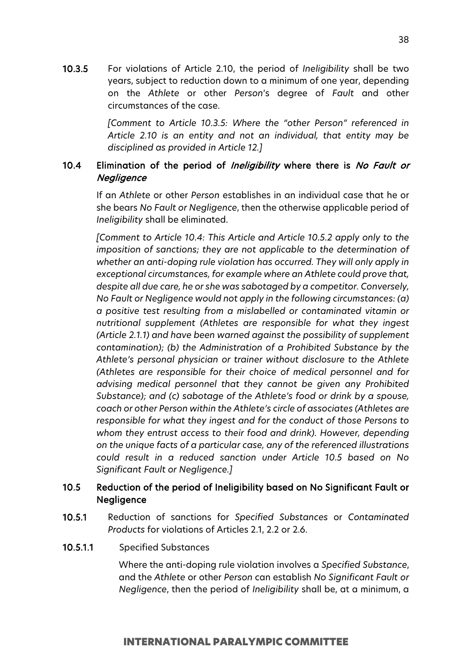10.3.5 For violations of Article 2.10, the period of *Ineligibility* shall be two years, subject to reduction down to a minimum of one year, depending on the *Athlete* or other *Person*'s degree of *Fault* and other circumstances of the case.

> *[Comment to Article 10.3.5: Where the "other Person" referenced in Article 2.10 is an entity and not an individual, that entity may be disciplined as provided in Article 12.]*

# 10.4 Elimination of the period of Ineligibility where there is No Fault or **Negligence**

If an *Athlete* or other *Person* establishes in an individual case that he or she bears *No Fault or Negligence*, then the otherwise applicable period of *Ineligibility* shall be eliminated.

*[Comment to Article 10.4: This Article and Article 10.5.2 apply only to the imposition of sanctions; they are not applicable to the determination of whether an anti-doping rule violation has occurred. They will only apply in exceptional circumstances, for example where an Athlete could prove that, despite all due care, he or she was sabotaged by a competitor. Conversely, No Fault or Negligence would not apply in the following circumstances: (a) a positive test resulting from a mislabelled or contaminated vitamin or nutritional supplement (Athletes are responsible for what they ingest (Article 2.1.1) and have been warned against the possibility of supplement contamination); (b) the Administration of a Prohibited Substance by the Athlete's personal physician or trainer without disclosure to the Athlete (Athletes are responsible for their choice of medical personnel and for advising medical personnel that they cannot be given any Prohibited Substance); and (c) sabotage of the Athlete's food or drink by a spouse, coach or other Person within the Athlete's circle of associates (Athletes are responsible for what they ingest and for the conduct of those Persons to whom they entrust access to their food and drink). However, depending on the unique facts of a particular case, any of the referenced illustrations could result in a reduced sanction under Article 10.5 based on No Significant Fault or Negligence.]*

# 10.5 Reduction of the period of Ineligibility based on No Significant Fault or Negligence

- 10.5.1 Reduction of sanctions for *Specified Substances* or *Contaminated Products* for violations of Articles 2.1, 2.2 or 2.6.
- 10.5.1.1 Specified Substances

Where the anti-doping rule violation involves a *Specified Substance*, and the *Athlete* or other *Person* can establish *No Significant Fault or Negligence*, then the period of *Ineligibility* shall be, at a minimum, a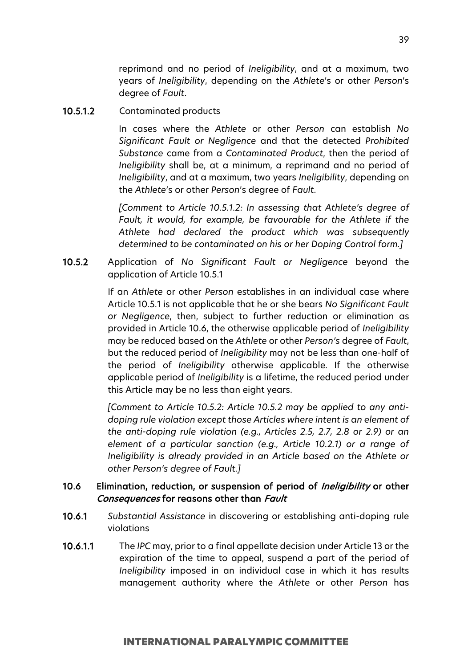reprimand and no period of *Ineligibility*, and at a maximum, two years of *Ineligibility*, depending on the *Athlete*'s or other *Person*'s degree of *Fault*.

## 10.5.1.2 Contaminated products

In cases where the *Athlete* or other *Person* can establish *No Significant Fault or Negligence* and that the detected *Prohibited Substance* came from a *Contaminated Product*, then the period of *Ineligibility* shall be, at a minimum, a reprimand and no period of *Ineligibility*, and at a maximum, two years *Ineligibility*, depending on the *Athlete*'s or other *Person*'s degree of *Fault*.

*[Comment to Article 10.5.1.2: In assessing that Athlete's degree of Fault, it would, for example, be favourable for the Athlete if the Athlete had declared the product which was subsequently determined to be contaminated on his or her Doping Control form.]*

10.5.2 Application of *No Significant Fault or Negligence* beyond the application of Article 10.5.1

> If an *Athlete* or other *Person* establishes in an individual case where Article 10.5.1 is not applicable that he or she bears *No Significant Fault or Negligence*, then, subject to further reduction or elimination as provided in Article 10.6, the otherwise applicable period of *Ineligibility*  may be reduced based on the *Athlete* or other *Person's* degree of *Fault*, but the reduced period of *Ineligibility* may not be less than one-half of the period of *Ineligibility* otherwise applicable. If the otherwise applicable period of *Ineligibility* is a lifetime, the reduced period under this Article may be no less than eight years.

> *[Comment to Article 10.5.2: Article 10.5.2 may be applied to any antidoping rule violation except those Articles where intent is an element of the anti-doping rule violation (e.g., Articles 2.5, 2.7, 2.8 or 2.9) or an element of a particular sanction (e.g., Article 10.2.1) or a range of Ineligibility is already provided in an Article based on the Athlete or other Person's degree of Fault.]*

## 10.6 Elimination, reduction, or suspension of period of *Ineligibility* or other Consequences for reasons other than Fault

- 10.6.1 *Substantial Assistance* in discovering or establishing anti-doping rule violations
- 10.6.1.1 The *IPC* may, prior to a final appellate decision under Article 13 or the expiration of the time to appeal, suspend a part of the period of *Ineligibility* imposed in an individual case in which it has results management authority where the *Athlete* or other *Person* has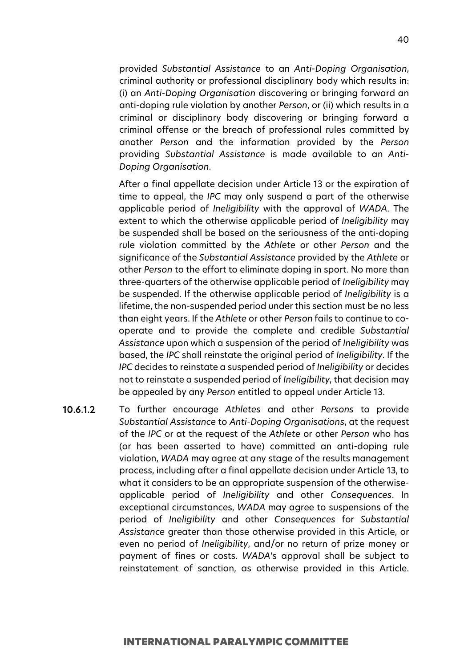provided *Substantial Assistance* to an *Anti-Doping Organisation*, criminal authority or professional disciplinary body which results in: (i) an *Anti-Doping Organisation* discovering or bringing forward an anti-doping rule violation by another *Person*, or (ii) which results in a criminal or disciplinary body discovering or bringing forward a criminal offense or the breach of professional rules committed by another *Person* and the information provided by the *Person* providing *Substantial Assistance* is made available to an *Anti-Doping Organisation*.

After a final appellate decision under Article 13 or the expiration of time to appeal, the *IPC* may only suspend a part of the otherwise applicable period of *Ineligibility* with the approval of *WADA*. The extent to which the otherwise applicable period of *Ineligibility* may be suspended shall be based on the seriousness of the anti-doping rule violation committed by the *Athlete* or other *Person* and the significance of the *Substantial Assistance* provided by the *Athlete* or other *Person* to the effort to eliminate doping in sport. No more than three-quarters of the otherwise applicable period of *Ineligibility* may be suspended. If the otherwise applicable period of *Ineligibility* is a lifetime, the non-suspended period under this section must be no less than eight years. If the *Athlete* or other *Person* fails to continue to cooperate and to provide the complete and credible *Substantial Assistance* upon which a suspension of the period of *Ineligibility* was based, the *IPC* shall reinstate the original period of *Ineligibility*. If the *IPC* decides to reinstate a suspended period of *Ineligibility* or decides not to reinstate a suspended period of *Ineligibility*, that decision may be appealed by any *Person* entitled to appeal under Article 13.

10.6.1.2 To further encourage *Athletes* and other *Persons* to provide *Substantial Assistance* to *Anti-Doping Organisations*, at the request of the *IPC* or at the request of the *Athlete* or other *Person* who has (or has been asserted to have) committed an anti-doping rule violation, *WADA* may agree at any stage of the results management process, including after a final appellate decision under Article 13, to what it considers to be an appropriate suspension of the otherwiseapplicable period of *Ineligibility* and other *Consequences*. In exceptional circumstances, *WADA* may agree to suspensions of the period of *Ineligibility* and other *Consequences* for *Substantial Assistance* greater than those otherwise provided in this Article, or even no period of *Ineligibility*, and/or no return of prize money or payment of fines or costs. *WADA*'s approval shall be subject to reinstatement of sanction, as otherwise provided in this Article.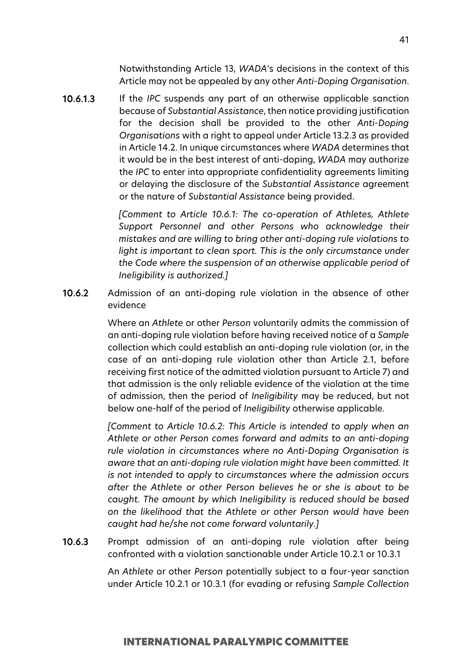Notwithstanding Article 13, *WADA*'s decisions in the context of this Article may not be appealed by any other *Anti-Doping Organisation*.

10.6.1.3 If the *IPC* suspends any part of an otherwise applicable sanction because of *Substantial Assistance*, then notice providing justification for the decision shall be provided to the other *Anti-Doping Organisations* with a right to appeal under Article 13.2.3 as provided in Article 14.2. In unique circumstances where *WADA* determines that it would be in the best interest of anti-doping, *WADA* may authorize the *IPC* to enter into appropriate confidentiality agreements limiting or delaying the disclosure of the *Substantial Assistance* agreement or the nature of *Substantial Assistance* being provided.

> *[Comment to Article 10.6.1: The co-operation of Athletes, Athlete Support Personnel and other Persons who acknowledge their mistakes and are willing to bring other anti-doping rule violations to*  light is important to clean sport. This is the only circumstance under *the Code where the suspension of an otherwise applicable period of Ineligibility is authorized.]*

10.6.2 Admission of an anti-doping rule violation in the absence of other evidence

> Where an *Athlete* or other *Person* voluntarily admits the commission of an anti-doping rule violation before having received notice of a *Sample*  collection which could establish an anti-doping rule violation (or, in the case of an anti-doping rule violation other than Article 2.1, before receiving first notice of the admitted violation pursuant to Article 7) and that admission is the only reliable evidence of the violation at the time of admission, then the period of *Ineligibility* may be reduced, but not below one-half of the period of *Ineligibility* otherwise applicable.

> *[Comment to Article 10.6.2: This Article is intended to apply when an Athlete or other Person comes forward and admits to an anti-doping rule violation in circumstances where no Anti-Doping Organisation is aware that an anti-doping rule violation might have been committed. It is not intended to apply to circumstances where the admission occurs after the Athlete or other Person believes he or she is about to be caught. The amount by which Ineligibility is reduced should be based on the likelihood that the Athlete or other Person would have been caught had he/she not come forward voluntarily.]*

10.6.3 Prompt admission of an anti-doping rule violation after being confronted with a violation sanctionable under Article 10.2.1 or 10.3.1

> An *Athlete* or other *Person* potentially subject to a four-year sanction under Article 10.2.1 or 10.3.1 (for evading or refusing *Sample Collection*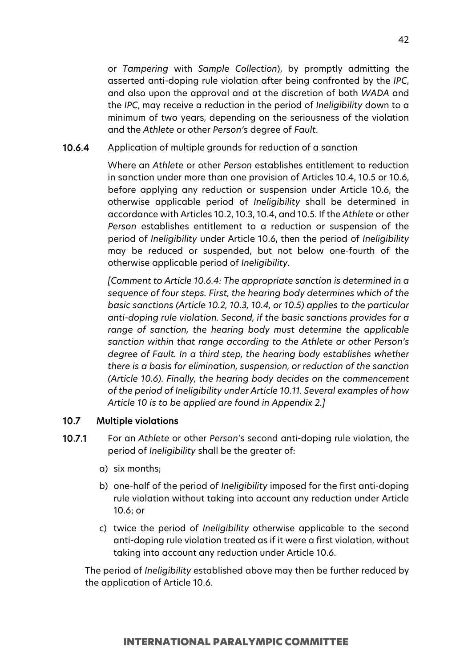or *Tampering* with *Sample Collection*), by promptly admitting the asserted anti-doping rule violation after being confronted by the *IPC*, and also upon the approval and at the discretion of both *WADA* and the *IPC*, may receive a reduction in the period of *Ineligibility* down to a minimum of two years, depending on the seriousness of the violation and the *Athlete* or other *Person's* degree of *Fault*.

10.6.4 Application of multiple grounds for reduction of a sanction

Where an *Athlete* or other *Person* establishes entitlement to reduction in sanction under more than one provision of Articles 10.4, 10.5 or 10.6, before applying any reduction or suspension under Article 10.6, the otherwise applicable period of *Ineligibility* shall be determined in accordance with Articles 10.2, 10.3, 10.4, and 10.5. If the *Athlete* or other *Person* establishes entitlement to a reduction or suspension of the period of *Ineligibility* under Article 10.6, then the period of *Ineligibility* may be reduced or suspended, but not below one-fourth of the otherwise applicable period of *Ineligibility*.

*[Comment to Article 10.6.4: The appropriate sanction is determined in a sequence of four steps. First, the hearing body determines which of the basic sanctions (Article 10.2, 10.3, 10.4, or 10.5) applies to the particular anti-doping rule violation. Second, if the basic sanctions provides for a range of sanction, the hearing body must determine the applicable sanction within that range according to the Athlete or other Person's degree of Fault. In a third step, the hearing body establishes whether there is a basis for elimination, suspension, or reduction of the sanction (Article 10.6). Finally, the hearing body decides on the commencement of the period of Ineligibility under Article 10.11. Several examples of how Article 10 is to be applied are found in Appendix 2.]*

#### 10.7 Multiple violations

- 10.7.1 For an *Athlete* or other *Person*'s second anti-doping rule violation, the period of *Ineligibility* shall be the greater of:
	- a) six months;
	- b) one-half of the period of *Ineligibility* imposed for the first anti-doping rule violation without taking into account any reduction under Article 10.6; or
	- c) twice the period of *Ineligibility* otherwise applicable to the second anti-doping rule violation treated as if it were a first violation, without taking into account any reduction under Article 10.6.

The period of *Ineligibility* established above may then be further reduced by the application of Article 10.6.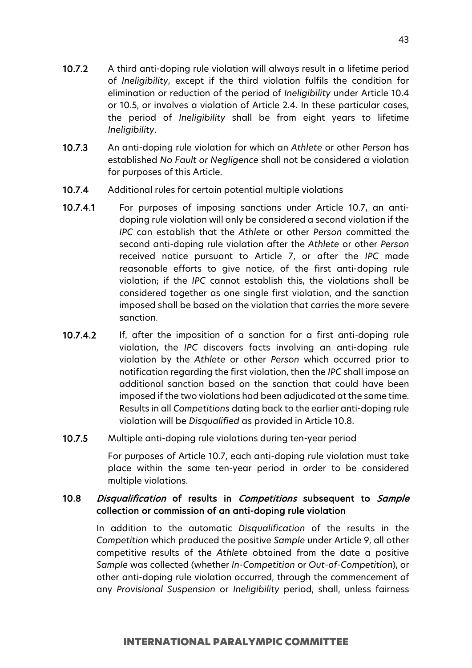- 10.7.2 A third anti-doping rule violation will always result in a lifetime period of *Ineligibility*, except if the third violation fulfils the condition for elimination or reduction of the period of *Ineligibility* under Article 10.4 or 10.5, or involves a violation of Article 2.4. In these particular cases, the period of *Ineligibility* shall be from eight years to lifetime *Ineligibility*.
- 10.7.3 An anti-doping rule violation for which an *Athlete* or other *Person* has established *No Fault or Negligence* shall not be considered a violation for purposes of this Article.
- 10.7.4 Additional rules for certain potential multiple violations
- 10.7.4.1 For purposes of imposing sanctions under Article 10.7, an antidoping rule violation will only be considered a second violation if the *IPC* can establish that the *Athlete* or other *Person* committed the second anti-doping rule violation after the *Athlete* or other *Person* received notice pursuant to Article 7, or after the *IPC* made reasonable efforts to give notice, of the first anti-doping rule violation; if the *IPC* cannot establish this, the violations shall be considered together as one single first violation, and the sanction imposed shall be based on the violation that carries the more severe sanction.
- 10.7.4.2 If, after the imposition of a sanction for a first anti-doping rule violation, the *IPC* discovers facts involving an anti-doping rule violation by the *Athlete* or other *Person* which occurred prior to notification regarding the first violation, then the *IPC* shall impose an additional sanction based on the sanction that could have been imposed if the two violations had been adjudicated at the same time. Results in all *Competitions* dating back to the earlier anti-doping rule violation will be *Disqualified* as provided in Article 10.8.
- 10.7.5 Multiple anti-doping rule violations during ten-year period

For purposes of Article 10.7, each anti-doping rule violation must take place within the same ten-year period in order to be considered multiple violations.

# 10.8 Disqualification of results in Competitions subsequent to Sample collection or commission of an anti-doping rule violation

In addition to the automatic *Disqualification* of the results in the *Competition* which produced the positive *Sample* under Article 9, all other competitive results of the *Athlete* obtained from the date a positive *Sample* was collected (whether *In-Competition* or *Out-of-Competition*), or other anti-doping rule violation occurred, through the commencement of any *Provisional Suspension* or *Ineligibility* period, shall, unless fairness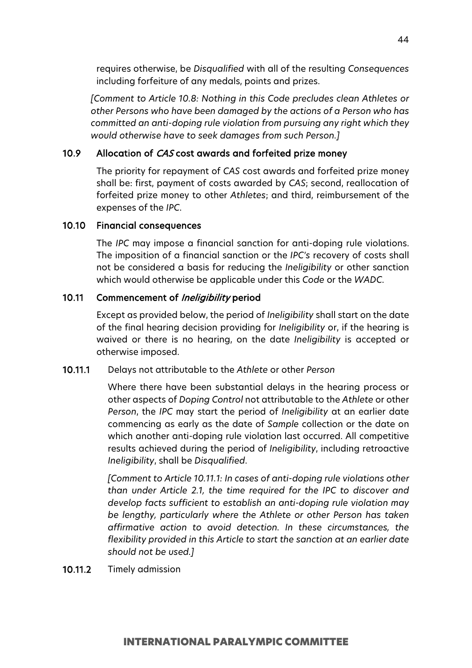requires otherwise, be *Disqualified* with all of the resulting *Consequences* including forfeiture of any medals, points and prizes.

*[Comment to Article 10.8: Nothing in this Code precludes clean Athletes or other Persons who have been damaged by the actions of a Person who has committed an anti-doping rule violation from pursuing any right which they would otherwise have to seek damages from such Person.]*

# 10.9 Allocation of CAS cost awards and forfeited prize money

The priority for repayment of *CAS* cost awards and forfeited prize money shall be: first, payment of costs awarded by *CAS*; second, reallocation of forfeited prize money to other *Athletes*; and third, reimbursement of the expenses of the *IPC*.

### 10.10 Financial consequences

The *IPC* may impose a financial sanction for anti-doping rule violations. The imposition of a financial sanction or the *IPC's* recovery of costs shall not be considered a basis for reducing the *Ineligibility* or other sanction which would otherwise be applicable under this *Code* or the *WADC*.

### 10.11 Commencement of Ineligibility period

Except as provided below, the period of *Ineligibility* shall start on the date of the final hearing decision providing for *Ineligibility* or, if the hearing is waived or there is no hearing, on the date *Ineligibility* is accepted or otherwise imposed.

#### 10.11.1 Delays not attributable to the *Athlete* or other *Person*

Where there have been substantial delays in the hearing process or other aspects of *Doping Control* not attributable to the *Athlete* or other *Person*, the *IPC* may start the period of *Ineligibility* at an earlier date commencing as early as the date of *Sample* collection or the date on which another anti-doping rule violation last occurred. All competitive results achieved during the period of *Ineligibility*, including retroactive *Ineligibility*, shall be *Disqualified*.

*[Comment to Article 10.11.1: In cases of anti-doping rule violations other than under Article 2.1, the time required for the IPC to discover and develop facts sufficient to establish an anti-doping rule violation may be lengthy, particularly where the Athlete or other Person has taken affirmative action to avoid detection. In these circumstances, the flexibility provided in this Article to start the sanction at an earlier date should not be used.]*

10.11.2 Timely admission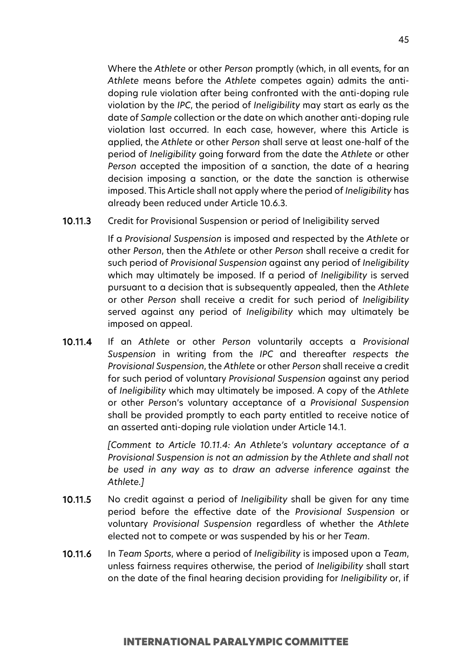Where the *Athlete* or other *Person* promptly (which, in all events, for an *Athlete* means before the *Athlete* competes again) admits the antidoping rule violation after being confronted with the anti-doping rule violation by the *IPC*, the period of *Ineligibility* may start as early as the date of *Sample* collection or the date on which another anti-doping rule violation last occurred. In each case, however, where this Article is applied, the *Athlete* or other *Person* shall serve at least one-half of the period of *Ineligibility* going forward from the date the *Athlete* or other *Person* accepted the imposition of a sanction, the date of a hearing decision imposing a sanction, or the date the sanction is otherwise imposed. This Article shall not apply where the period of *Ineligibility* has already been reduced under Article 10.6.3.

#### 10.11.3 Credit for Provisional Suspension or period of Ineligibility served

If a *Provisional Suspension* is imposed and respected by the *Athlete* or other *Person*, then the *Athlete* or other *Person* shall receive a credit for such period of *Provisional Suspension* against any period of *Ineligibility* which may ultimately be imposed. If a period of *Ineligibility* is served pursuant to a decision that is subsequently appealed, then the *Athlete* or other *Person* shall receive a credit for such period of *Ineligibility* served against any period of *Ineligibility* which may ultimately be imposed on appeal.

10.11.4 If an *Athlete* or other *Person* voluntarily accepts a *Provisional Suspension* in writing from the *IPC* and thereafter *respects the Provisional Suspension*, the *Athlete* or other *Person* shall receive a credit for such period of voluntary *Provisional Suspension* against any period of *Ineligibility* which may ultimately be imposed. A copy of the *Athlete* or other *Perso*n's voluntary acceptance of a *Provisional Suspension* shall be provided promptly to each party entitled to receive notice of an asserted anti-doping rule violation under Article 14.1.

> *[Comment to Article 10.11.4: An Athlete's voluntary acceptance of a Provisional Suspension is not an admission by the Athlete and shall not be used in any way as to draw an adverse inference against the Athlete.]*

- 10.11.5 No credit against a period of *Ineligibility* shall be given for any time period before the effective date of the *Provisional Suspension* or voluntary *Provisional Suspension* regardless of whether the *Athlete* elected not to compete or was suspended by his or her *Team*.
- 10.11.6 In *Team Sports*, where a period of *Ineligibility* is imposed upon a *Team*, unless fairness requires otherwise, the period of *Ineligibility* shall start on the date of the final hearing decision providing for *Ineligibility* or, if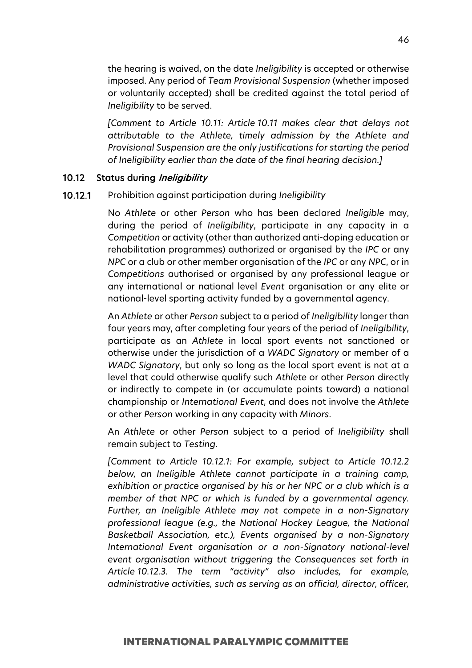the hearing is waived, on the date *Ineligibility* is accepted or otherwise imposed. Any period of *Team Provisional Suspension* (whether imposed or voluntarily accepted) shall be credited against the total period of *Ineligibility* to be served.

*[Comment to Article 10.11: Article 10.11 makes clear that delays not attributable to the Athlete, timely admission by the Athlete and Provisional Suspension are the only justifications for starting the period of Ineligibility earlier than the date of the final hearing decision.]*

## 10.12 Status during Ineligibility

#### 10.12.1 Prohibition against participation during *Ineligibility*

No *Athlete* or other *Person* who has been declared *Ineligible* may, during the period of *Ineligibility*, participate in any capacity in a *Competition* or activity (other than authorized anti-doping education or rehabilitation programmes) authorized or organised by the *IPC* or any *NPC* or a club or other member organisation of the *IPC* or any *NPC*, or in *Competitions* authorised or organised by any professional league or any international or national level *Event* organisation or any elite or national-level sporting activity funded by a governmental agency.

An *Athlete* or other *Person* subject to a period of *Ineligibility* longer than four years may, after completing four years of the period of *Ineligibility*, participate as an *Athlete* in local sport events not sanctioned or otherwise under the jurisdiction of a *WADC Signatory* or member of a *WADC Signatory*, but only so long as the local sport event is not at a level that could otherwise qualify such *Athlete* or other *Person* directly or indirectly to compete in (or accumulate points toward) a national championship or *International Event*, and does not involve the *Athlete* or other *Person* working in any capacity with *Minors*.

An *Athlete* or other *Person* subject to a period of *Ineligibility* shall remain subject to *Testing*.

*[Comment to Article 10.12.1: For example, subject to Article 10.12.2 below, an Ineligible Athlete cannot participate in a training camp, exhibition or practice organised by his or her NPC or a club which is a member of that NPC or which is funded by a governmental agency. Further, an Ineligible Athlete may not compete in a non-Signatory professional league (e.g., the National Hockey League, the National Basketball Association, etc.), Events organised by a non-Signatory International Event organisation or a non-Signatory national-level event organisation without triggering the Consequences set forth in Article 10.12.3. The term "activity" also includes, for example, administrative activities, such as serving as an official, director, officer,*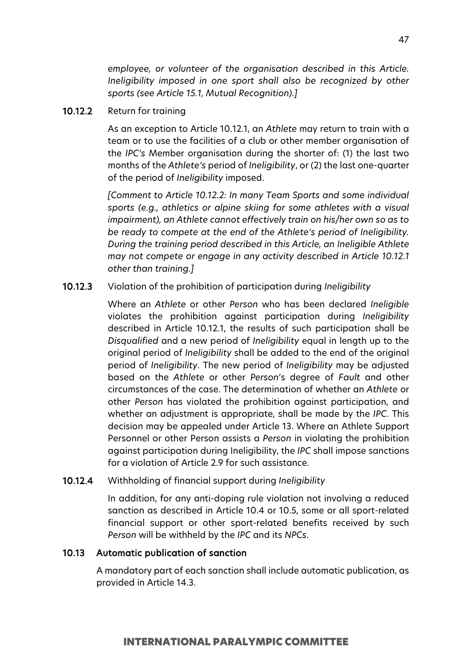*employee, or volunteer of the organisation described in this Article. Ineligibility imposed in one sport shall also be recognized by other sports (see Article 15.1, Mutual Recognition).]*

# 10.12.2 Return for training

As an exception to Article 10.12.1, an *Athlete* may return to train with a team or to use the facilities of a club or other member organisation of the *IPC's* Member organisation during the shorter of: (1) the last two months of the *Athlete's* period of *Ineligibility*, or (2) the last one-quarter of the period of *Ineligibility* imposed.

*[Comment to Article 10.12.2: In many Team Sports and some individual sports (e.g., athletics or alpine skiing for some athletes with a visual impairment), an Athlete cannot effectively train on his/her own so as to be ready to compete at the end of the Athlete's period of Ineligibility. During the training period described in this Article, an Ineligible Athlete may not compete or engage in any activity described in Article 10.12.1 other than training.]*

#### 10.12.3 Violation of the prohibition of participation during *Ineligibility*

Where an *Athlete* or other *Person* who has been declared *Ineligible* violates the prohibition against participation during *Ineligibility* described in Article 10.12.1, the results of such participation shall be *Disqualified* and a new period of *Ineligibility* equal in length up to the original period of *Ineligibility* shall be added to the end of the original period of *Ineligibility*. The new period of *Ineligibility* may be adjusted based on the *Athlete* or other *Person*'s degree of *Fault* and other circumstances of the case. The determination of whether an *Athlete* or other *Person* has violated the prohibition against participation, and whether an adjustment is appropriate, shall be made by the *IPC*. This decision may be appealed under Article 13. Where an Athlete Support Personnel or other Person assists a *Person* in violating the prohibition against participation during Ineligibility, the *IPC* shall impose sanctions for a violation of Article 2.9 for such assistance.

#### 10.12.4 Withholding of financial support during *Ineligibility*

In addition, for any anti-doping rule violation not involving a reduced sanction as described in Article 10.4 or 10.5, some or all sport-related financial support or other sport-related benefits received by such *Person* will be withheld by the *IPC* and its *NPCs*.

#### 10.13 Automatic publication of sanction

A mandatory part of each sanction shall include automatic publication, as provided in Article 14.3.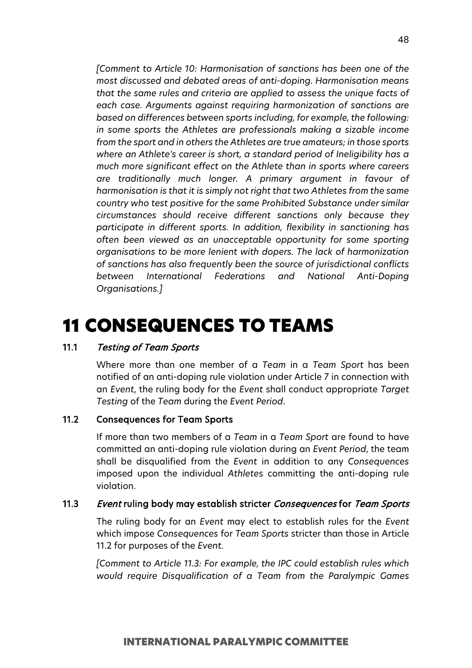*[Comment to Article 10: Harmonisation of sanctions has been one of the most discussed and debated areas of anti-doping. Harmonisation means that the same rules and criteria are applied to assess the unique facts of each case. Arguments against requiring harmonization of sanctions are based on differences between sports including, for example, the following: in some sports the Athletes are professionals making a sizable income from the sport and in others the Athletes are true amateurs; in those sports where an Athlete's career is short, a standard period of Ineligibility has a much more significant effect on the Athlete than in sports where careers are traditionally much longer. A primary argument in favour of harmonisation is that it is simply not right that two Athletes from the same country who test positive for the same Prohibited Substance under similar circumstances should receive different sanctions only because they participate in different sports. In addition, flexibility in sanctioning has often been viewed as an unacceptable opportunity for some sporting organisations to be more lenient with dopers. The lack of harmonization of sanctions has also frequently been the source of jurisdictional conflicts between International Federations and National Anti-Doping Organisations.]*

# 11 CONSEQUENCES TO TEAMS

# 11.1 Testing of Team Sports

Where more than one member of a *Team* in a *Team Sport* has been notified of an anti-doping rule violation under Article 7 in connection with an *Event*, the ruling body for the *Event* shall conduct appropriate *Target Testing* of the *Team* during the *Event Period*.

#### 11.2 Consequences for Team Sports

If more than two members of a *Team* in a *Team Sport* are found to have committed an anti-doping rule violation during an *Event Period*, the team shall be disqualified from the *Event* in addition to any *Consequences* imposed upon the individual *Athlete*s committing the anti-doping rule violation.

## 11.3 Event ruling body may establish stricter Consequences for Team Sports

The ruling body for an *Event* may elect to establish rules for the *Event* which impose *Consequences* for *Team Sports* stricter than those in Article 11.2 for purposes of the *Event*.

*[Comment to Article 11.3: For example, the IPC could establish rules which would require Disqualification of a Team from the Paralympic Games*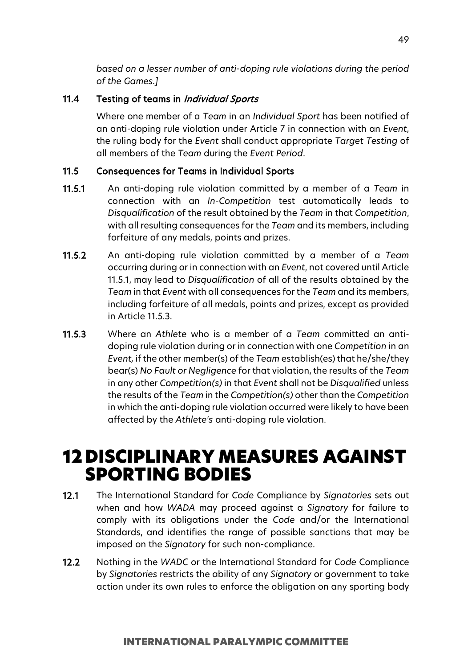*based on a lesser number of anti-doping rule violations during the period of the Games.]*

# 11.4 Testing of teams in *Individual Sports*

Where one member of a *Team* in an *Individual Sport* has been notified of an anti-doping rule violation under Article 7 in connection with an *Event*, the ruling body for the *Event* shall conduct appropriate *Target Testing* of all members of the *Team* during the *Event Period*.

# 11.5 Consequences for Teams in Individual Sports

- 11.5.1 An anti-doping rule violation committed by a member of a *Team* in connection with an *In-Competition* test automatically leads to *Disqualification* of the result obtained by the *Team* in that *Competition*, with all resulting consequences for the *Team* and its members, including forfeiture of any medals, points and prizes.
- 11.5.2 An anti-doping rule violation committed by a member of a *Team* occurring during or in connection with an *Event*, not covered until Article 11.5.1, may lead to *Disqualification* of all of the results obtained by the *Team* in that *Event* with all consequences for the *Team* and its members, including forfeiture of all medals, points and prizes, except as provided in Article 11.5.3.
- 11.5.3 Where an *Athlete* who is a member of a *Team* committed an antidoping rule violation during or in connection with one *Competition* in an *Event,* if the other member(s) of the *Team* establish(es) that he/she/they bear(s) *No Fault or Negligence* for that violation, the results of the *Team* in any other *Competition(s)* in that *Event* shall not be *Disqualified* unless the results of the *Team* in the *Competition(s)* other than the *Competition* in which the anti-doping rule violation occurred were likely to have been affected by the *Athlete's* anti-doping rule violation.

# 12 DISCIPLINARY MEASURES AGAINST SPORTING BODIES

- 12.1 The International Standard for *Code* Compliance by *Signatories* sets out when and how *WADA* may proceed against a *Signatory* for failure to comply with its obligations under the *Code* and/or the International Standards, and identifies the range of possible sanctions that may be imposed on the *Signatory* for such non-compliance.
- 12.2 Nothing in the *WADC* or the International Standard for *Code* Compliance by *Signatories* restricts the ability of any *Signatory* or government to take action under its own rules to enforce the obligation on any sporting body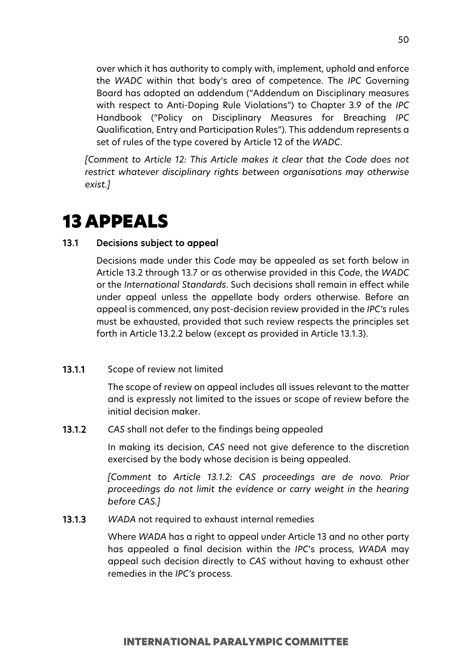over which it has authority to comply with, implement, uphold and enforce the *WADC* within that body's area of competence. The *IPC* Governing Board has adopted an addendum ("Addendum on Disciplinary measures with respect to Anti-Doping Rule Violations") to Chapter 3.9 of the *IPC* Handbook ("Policy on Disciplinary Measures for Breaching *IPC* Qualification, Entry and Participation Rules"). This addendum represents a set of rules of the type covered by Article 12 of the *WADC*.

*[Comment to Article 12: This Article makes it clear that the Code does not restrict whatever disciplinary rights between organisations may otherwise exist.]*

# 13 APPEALS

# 13.1 Decisions subject to appeal

Decisions made under this *Code* may be appealed as set forth below in Article 13.2 through 13.7 or as otherwise provided in this *Code*, the *WADC* or the *International Standards*. Such decisions shall remain in effect while under appeal unless the appellate body orders otherwise. Before an appeal is commenced, any post-decision review provided in the *IPC's* rules must be exhausted, provided that such review respects the principles set forth in Article 13.2.2 below (except as provided in Article 13.1.3).

## 13.1.1 Scope of review not limited

The scope of review on appeal includes all issues relevant to the matter and is expressly not limited to the issues or scope of review before the initial decision maker.

13.1.2 *CAS* shall not defer to the findings being appealed

In making its decision, *CAS* need not give deference to the discretion exercised by the body whose decision is being appealed.

*[Comment to Article 13.1.2: CAS proceedings are de novo. Prior proceedings do not limit the evidence or carry weight in the hearing before CAS.]*

13.1.3 *WADA* not required to exhaust internal remedies

Where *WADA* has a right to appeal under Article 13 and no other party has appealed a final decision within the *IPC*'s process, *WADA* may appeal such decision directly to *CAS* without having to exhaust other remedies in the *IPC's* process.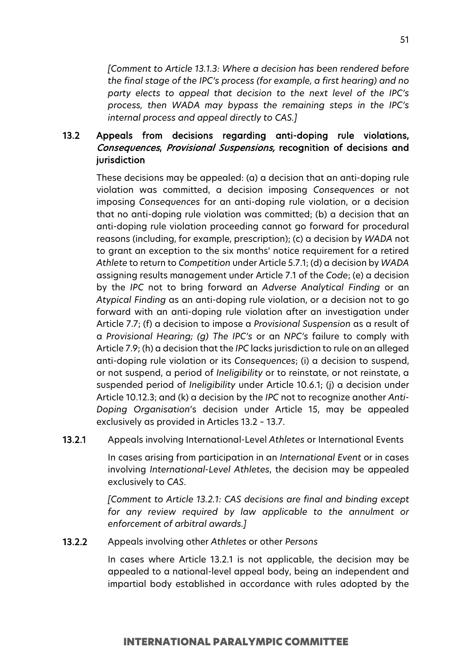*[Comment to Article 13.1.3: Where a decision has been rendered before the final stage of the IPC's process (for example, a first hearing) and no party elects to appeal that decision to the next level of the IPC's process, then WADA may bypass the remaining steps in the IPC's internal process and appeal directly to CAS.]*

# 13.2 Appeals from decisions regarding anti-doping rule violations, Consequences, Provisional Suspensions, recognition of decisions and **jurisdiction**

These decisions may be appealed: (a) a decision that an anti-doping rule violation was committed, a decision imposing *Consequences* or not imposing *Consequences* for an anti-doping rule violation, or a decision that no anti-doping rule violation was committed; (b) a decision that an anti-doping rule violation proceeding cannot go forward for procedural reasons (including, for example, prescription); (c) a decision by *WADA* not to grant an exception to the six months' notice requirement for a retired *Athlete* to return to *Competition* under Article 5.7.1; (d) a decision by *WADA* assigning results management under Article 7.1 of the *Code*; (e) a decision by the *IPC* not to bring forward an *Adverse Analytical Finding* or an *Atypical Finding* as an anti-doping rule violation, or a decision not to go forward with an anti-doping rule violation after an investigation under Article 7.7; (f) a decision to impose a *Provisional Suspension* as a result of a *Provisional Hearing; (g) The IPC's* or an *NPC's* failure to comply with Article 7.9; (h) a decision that the *IPC* lacks jurisdiction to rule on an alleged anti-doping rule violation or its *Consequences*; (i) a decision to suspend, or not suspend, a period of *Ineligibility* or to reinstate, or not reinstate, a suspended period of *Ineligibility* under Article 10.6.1; (j) a decision under Article 10.12.3; and (k) a decision by the *IPC* not to recognize another *Anti-Doping Organisation*'s decision under Article 15, may be appealed exclusively as provided in Articles 13.2 – 13.7.

13.2.1 Appeals involving International-Level *Athletes* or International Events

In cases arising from participation in an *International Event* or in cases involving *International-Level Athletes*, the decision may be appealed exclusively to *CAS*.

*[Comment to Article 13.2.1: CAS decisions are final and binding except for any review required by law applicable to the annulment or enforcement of arbitral awards.]*

#### 13.2.2 Appeals involving other *Athletes* or other *Persons*

In cases where Article 13.2.1 is not applicable, the decision may be appealed to a national-level appeal body, being an independent and impartial body established in accordance with rules adopted by the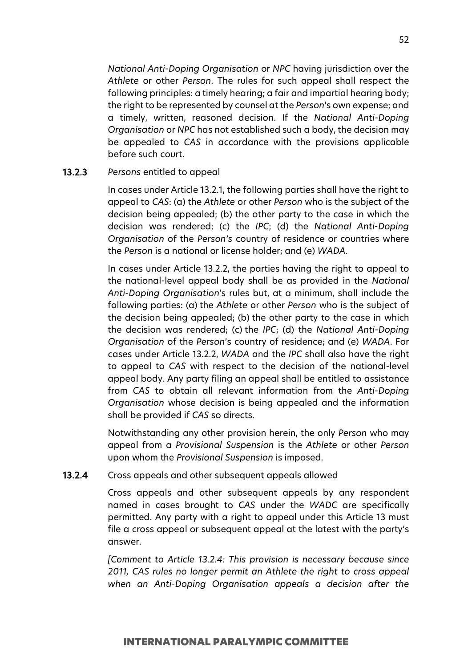*National Anti-Doping Organisation* or *NPC* having jurisdiction over the *Athlete* or other *Person*. The rules for such appeal shall respect the following principles: a timely hearing; a fair and impartial hearing body; the right to be represented by counsel at the *Person*'s own expense; and a timely, written, reasoned decision. If the *National Anti-Doping Organisation* or *NPC* has not established such a body, the decision may be appealed to *CAS* in accordance with the provisions applicable before such court.

## 13.2.3 *Persons* entitled to appeal

In cases under Article 13.2.1, the following parties shall have the right to appeal to *CAS*: (a) the *Athlete* or other *Person* who is the subject of the decision being appealed; (b) the other party to the case in which the decision was rendered; (c) the *IPC*; (d) the *National Anti-Doping Organisation* of the *Person's* country of residence or countries where the *Person* is a national or license holder; and (e) *WADA*.

In cases under Article 13.2.2, the parties having the right to appeal to the national-level appeal body shall be as provided in the *National Anti-Doping Organisation*'s rules but, at a minimum, shall include the following parties: (a) the *Athlete* or other *Person* who is the subject of the decision being appealed; (b) the other party to the case in which the decision was rendered; (c) the *IPC*; (d) the *National Anti-Doping Organisation* of the *Person*'s country of residence; and (e) *WADA*. For cases under Article 13.2.2, *WADA* and the *IPC* shall also have the right to appeal to *CAS* with respect to the decision of the national-level appeal body. Any party filing an appeal shall be entitled to assistance from *CAS* to obtain all relevant information from the *Anti-Doping Organisation* whose decision is being appealed and the information shall be provided if *CAS* so directs.

Notwithstanding any other provision herein, the only *Person* who may appeal from a *Provisional Suspension* is the *Athlete* or other *Person* upon whom the *Provisional Suspension* is imposed.

13.2.4 Cross appeals and other subsequent appeals allowed

Cross appeals and other subsequent appeals by any respondent named in cases brought to *CAS* under the *WADC* are specifically permitted. Any party with a right to appeal under this Article 13 must file a cross appeal or subsequent appeal at the latest with the party's answer.

*[Comment to Article 13.2.4: This provision is necessary because since 2011, CAS rules no longer permit an Athlete the right to cross appeal when an Anti-Doping Organisation appeals a decision after the*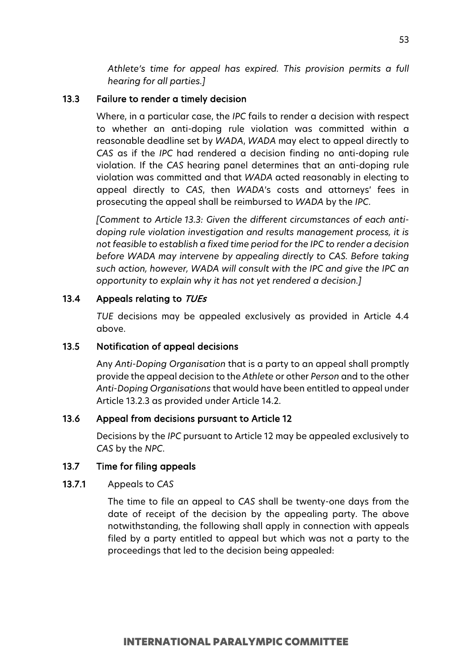*Athlete's time for appeal has expired. This provision permits a full hearing for all parties.]*

### 13.3 Failure to render a timely decision

Where, in a particular case, the *IPC* fails to render a decision with respect to whether an anti-doping rule violation was committed within a reasonable deadline set by *WADA*, *WADA* may elect to appeal directly to *CAS* as if the *IPC* had rendered a decision finding no anti-doping rule violation. If the *CAS* hearing panel determines that an anti-doping rule violation was committed and that *WADA* acted reasonably in electing to appeal directly to *CAS*, then *WADA*'s costs and attorneys' fees in prosecuting the appeal shall be reimbursed to *WADA* by the *IPC*.

*[Comment to Article 13.3: Given the different circumstances of each antidoping rule violation investigation and results management process, it is not feasible to establish a fixed time period for the IPC to render a decision before WADA may intervene by appealing directly to CAS. Before taking such action, however, WADA will consult with the IPC and give the IPC an opportunity to explain why it has not yet rendered a decision.]* 

## 13.4 Appeals relating to TUEs

*TUE* decisions may be appealed exclusively as provided in Article 4.4 above.

## 13.5 Notification of appeal decisions

Any *Anti-Doping Organisation* that is a party to an appeal shall promptly provide the appeal decision to the *Athlete* or other *Person* and to the other *Anti-Doping Organisations* that would have been entitled to appeal under Article 13.2.3 as provided under Article 14.2.

### 13.6 Appeal from decisions pursuant to Article 12

Decisions by the *IPC* pursuant to Article 12 may be appealed exclusively to *CAS* by the *NPC*.

#### 13.7 Time for filing appeals

#### 13.7.1 Appeals to *CAS*

The time to file an appeal to *CAS* shall be twenty-one days from the date of receipt of the decision by the appealing party. The above notwithstanding, the following shall apply in connection with appeals filed by a party entitled to appeal but which was not a party to the proceedings that led to the decision being appealed: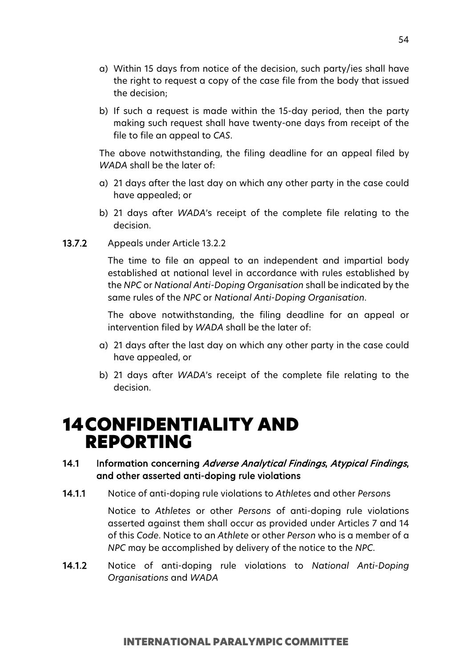- a) Within 15 days from notice of the decision, such party/ies shall have the right to request a copy of the case file from the body that issued the decision;
- b) If such a request is made within the 15-day period, then the party making such request shall have twenty-one days from receipt of the file to file an appeal to *CAS*.

The above notwithstanding, the filing deadline for an appeal filed by *WADA* shall be the later of:

- a) 21 days after the last day on which any other party in the case could have appealed; or
- b) 21 days after *WADA*'s receipt of the complete file relating to the decision.
- 13.7.2 Appeals under Article 13.2.2

The time to file an appeal to an independent and impartial body established at national level in accordance with rules established by the *NPC* or *National Anti-Doping Organisation* shall be indicated by the same rules of the *NPC* or *National Anti-Doping Organisation*.

The above notwithstanding, the filing deadline for an appeal or intervention filed by *WADA* shall be the later of:

- a) 21 days after the last day on which any other party in the case could have appealed, or
- b) 21 days after *WADA*'s receipt of the complete file relating to the decision.

# 14CONFIDENTIALITY AND REPORTING

# 14.1 Information concerning Adverse Analytical Findings, Atypical Findings, and other asserted anti-doping rule violations

14.1.1 Notice of anti-doping rule violations to *Athlete*s and other *Person*s

Notice to *Athletes* or other *Persons* of anti-doping rule violations asserted against them shall occur as provided under Articles 7 and 14 of this *Code*. Notice to an *Athlete* or other *Person* who is a member of a *NPC* may be accomplished by delivery of the notice to the *NPC*.

14.1.2 Notice of anti-doping rule violations to *National Anti-Doping Organisations* and *WADA*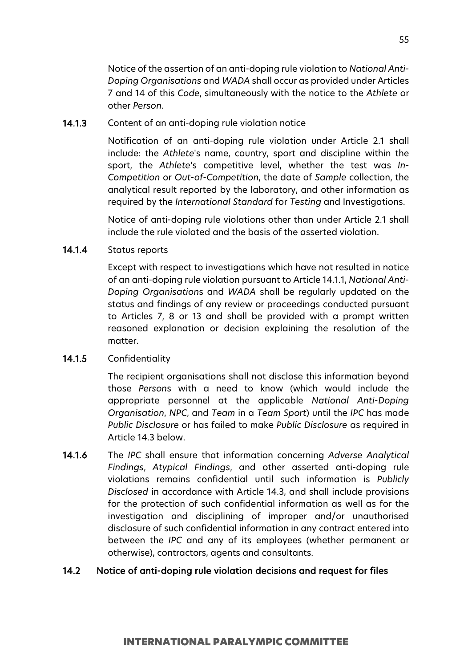Notice of the assertion of an anti-doping rule violation to *National Anti-Doping Organisations* and *WADA* shall occur as provided under Articles 7 and 14 of this *Code*, simultaneously with the notice to the *Athlete* or other *Person*.

### 14.1.3 Content of an anti-doping rule violation notice

Notification of an anti-doping rule violation under Article 2.1 shall include: the *Athlete*'s name, country, sport and discipline within the sport, the *Athlete*'s competitive level, whether the test was *In-Competition* or *Out-of-Competition*, the date of *Sample* collection, the analytical result reported by the laboratory, and other information as required by the *International Standard* for *Testing* and Investigations.

Notice of anti-doping rule violations other than under Article 2.1 shall include the rule violated and the basis of the asserted violation.

### 14.1.4 Status reports

Except with respect to investigations which have not resulted in notice of an anti-doping rule violation pursuant to Article 14.1.1, *National Anti-Doping Organisation*s and *WADA* shall be regularly updated on the status and findings of any review or proceedings conducted pursuant to Articles 7, 8 or 13 and shall be provided with a prompt written reasoned explanation or decision explaining the resolution of the matter.

## 14.1.5 Confidentiality

The recipient organisations shall not disclose this information beyond those *Person*s with a need to know (which would include the appropriate personnel at the applicable *National Anti-Doping Organisation*, *NPC*, and *Team* in a *Team Sport*) until the *IPC* has made *Public Disclosure* or has failed to make *Public Disclosure* as required in Article 14.3 below.

14.1.6 The *IPC* shall ensure that information concerning *Adverse Analytical Findings*, *Atypical Findings*, and other asserted anti-doping rule violations remains confidential until such information is *Publicly Disclosed* in accordance with Article 14.3, and shall include provisions for the protection of such confidential information as well as for the investigation and disciplining of improper and/or unauthorised disclosure of such confidential information in any contract entered into between the *IPC* and any of its employees (whether permanent or otherwise), contractors, agents and consultants.

## 14.2 Notice of anti-doping rule violation decisions and request for files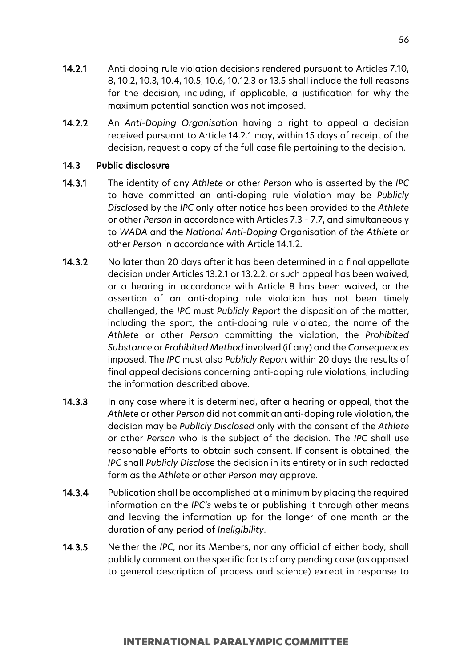- 14.2.1 Anti-doping rule violation decisions rendered pursuant to Articles 7.10, 8, 10.2, 10.3, 10.4, 10.5, 10.6, 10.12.3 or 13.5 shall include the full reasons for the decision, including, if applicable, a justification for why the maximum potential sanction was not imposed.
- 14.2.2 An *Anti-Doping Organisation* having a right to appeal a decision received pursuant to Article 14.2.1 may, within 15 days of receipt of the decision, request a copy of the full case file pertaining to the decision.

### 14.3 Public disclosure

- 14.3.1 The identity of any *Athlete* or other *Person* who is asserted by the *IPC* to have committed an anti-doping rule violation may be *Publicly Disclose*d by the *IPC* only after notice has been provided to the *Athlete* or other *Person* in accordance with Articles 7.3 – 7.7, and simultaneously to *WADA* and the *National Anti-Doping* Organisation of *the Athlete* or other *Person* in accordance with Article 14.1.2.
- 14.3.2 No later than 20 days after it has been determined in a final appellate decision under Articles 13.2.1 or 13.2.2, or such appeal has been waived, or a hearing in accordance with Article 8 has been waived, or the assertion of an anti-doping rule violation has not been timely challenged, the *IPC* must *Publicly Report* the disposition of the matter, including the sport, the anti-doping rule violated, the name of the *Athlete* or other *Person* committing the violation, the *Prohibited Substance* or *Prohibited Method* involved (if any) and the *Consequences* imposed. The *IPC* must also *Publicly Report* within 20 days the results of final appeal decisions concerning anti-doping rule violations, including the information described above.
- 14.3.3 In any case where it is determined, after a hearing or appeal, that the *Athlete* or other *Person* did not commit an anti-doping rule violation, the decision may be *Publicly Disclosed* only with the consent of the *Athlete* or other *Person* who is the subject of the decision. The *IPC* shall use reasonable efforts to obtain such consent. If consent is obtained, the *IPC* shall *Publicly Disclose* the decision in its entirety or in such redacted form as the *Athlete* or other *Person* may approve.
- 14.3.4 Publication shall be accomplished at a minimum by placing the required information on the *IPC's* website or publishing it through other means and leaving the information up for the longer of one month or the duration of any period of *Ineligibility*.
- 14.3.5 Neither the *IPC*, nor its Members, nor any official of either body, shall publicly comment on the specific facts of any pending case (as opposed to general description of process and science) except in response to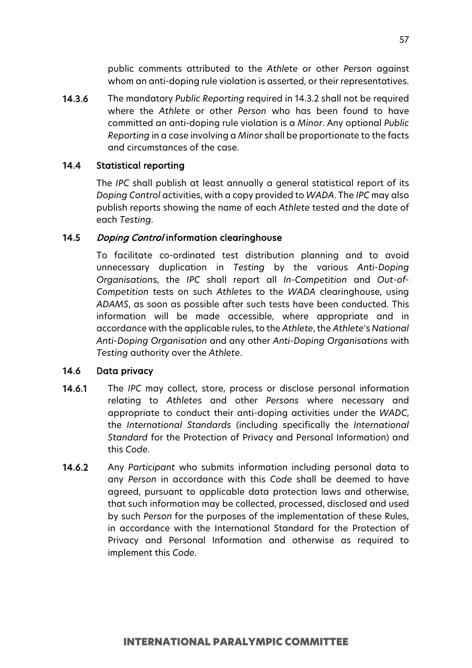public comments attributed to the *Athlete* or other *Person* against whom an anti-doping rule violation is asserted, or their representatives.

14.3.6 The mandatory *Public Reporting* required in 14.3.2 shall not be required where the *Athlete* or other *Person* who has been found to have committed an anti-doping rule violation is a *Minor*. Any optional *Public Reporting* in a case involving a *Minor* shall be proportionate to the facts and circumstances of the case.

## 14.4 Statistical reporting

The *IPC* shall publish at least annually a general statistical report of its *Doping Control* activities, with a copy provided to *WADA*. The *IPC* may also publish reports showing the name of each *Athlete* tested and the date of each *Testing*.

## 14.5 Doping Control information clearinghouse

To facilitate co-ordinated test distribution planning and to avoid unnecessary duplication in *Testing* by the various *Anti-Doping Organisation*s, the *IPC* shall report all *In-Competition* and *Out-of-Competition* tests on such *Athlete*s to the *WADA* clearinghouse, using *ADAMS*, as soon as possible after such tests have been conducted. This information will be made accessible, where appropriate and in accordance with the applicable rules, to the *Athlete*, the *Athlete*'s *National Anti-Doping Organisation* and any other *Anti-Doping Organisations* with *Testing* authority over the *Athlete*.

## 14.6 Data privacy

- 14.6.1 The *IPC* may collect, store, process or disclose personal information relating to *Athlete*s and other *Persons* where necessary and appropriate to conduct their anti-doping activities under the *WADC*, the *International Standards* (including specifically the *International Standard* for the Protection of Privacy and Personal Information) and this *Code*.
- 14.6.2 Any *Participant* who submits information including personal data to any *Person* in accordance with this *Code* shall be deemed to have agreed, pursuant to applicable data protection laws and otherwise, that such information may be collected, processed, disclosed and used by such *Person* for the purposes of the implementation of these Rules, in accordance with the International Standard for the Protection of Privacy and Personal Information and otherwise as required to implement this *Code*.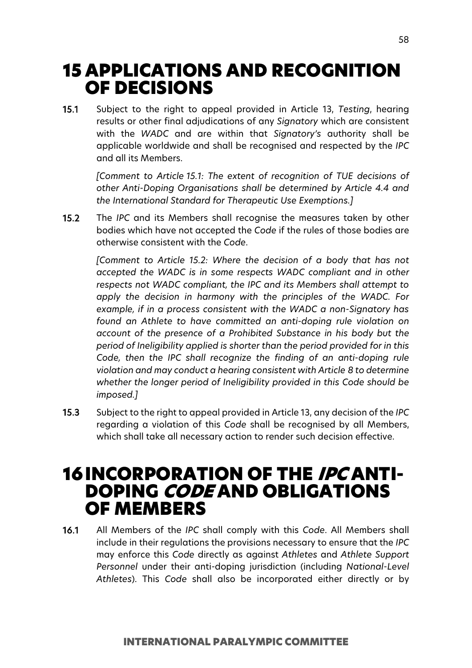# 15 APPLICATIONS AND RECOGNITION OF DECISIONS

15.1 Subject to the right to appeal provided in Article 13, *Testing*, hearing results or other final adjudications of any *Signatory* which are consistent with the *WADC* and are within that *Signatory's* authority shall be applicable worldwide and shall be recognised and respected by the *IPC* and all its Members.

*[Comment to Article 15.1: The extent of recognition of TUE decisions of other Anti-Doping Organisations shall be determined by Article 4.4 and the International Standard for Therapeutic Use Exemptions.]*

15.2 The *IPC* and its Members shall recognise the measures taken by other bodies which have not accepted the *Code* if the rules of those bodies are otherwise consistent with the *Code*.

*[Comment to Article 15.2: Where the decision of a body that has not accepted the WADC is in some respects WADC compliant and in other respects not WADC compliant, the IPC and its Members shall attempt to apply the decision in harmony with the principles of the WADC. For example, if in a process consistent with the WADC a non-Signatory has found an Athlete to have committed an anti-doping rule violation on account of the presence of a Prohibited Substance in his body but the period of Ineligibility applied is shorter than the period provided for in this Code, then the IPC shall recognize the finding of an anti-doping rule violation and may conduct a hearing consistent with Article 8 to determine whether the longer period of Ineligibility provided in this Code should be imposed.]*

15.3 Subject to the right to appeal provided in Article 13, any decision of the *IPC* regarding a violation of this *Code* shall be recognised by all Members, which shall take all necessary action to render such decision effective.

# **16INCORPORATION OF THE IPC ANTI-**DOPING CODE AND OBLIGATIONS OF MEMBERS

16.1 All Members of the *IPC* shall comply with this *Code*. All Members shall include in their regulations the provisions necessary to ensure that the *IPC* may enforce this *Code* directly as against *Athletes* and *Athlete Support Personnel* under their anti-doping jurisdiction (including *National-Level Athletes*). This *Code* shall also be incorporated either directly or by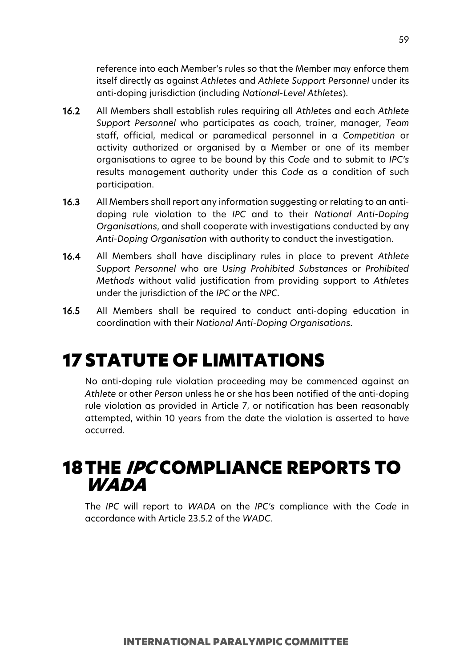reference into each Member's rules so that the Member may enforce them itself directly as against *Athletes* and *Athlete Support Personnel* under its anti-doping jurisdiction (including *National-Level Athletes*).

- 16.2 All Members shall establish rules requiring all *Athlete*s and each *Athlete Support Personnel* who participates as coach, trainer, manager, *Team* staff, official, medical or paramedical personnel in a *Competition* or activity authorized or organised by a Member or one of its member organisations to agree to be bound by this *Code* and to submit to *IPC's* results management authority under this *Code* as a condition of such participation.
- 16.3 All Members shall report any information suggesting or relating to an antidoping rule violation to the *IPC* and to their *National Anti-Doping Organisations*, and shall cooperate with investigations conducted by any *Anti-Doping Organisation* with authority to conduct the investigation.
- 16.4 All Members shall have disciplinary rules in place to prevent *Athlete Support Personnel* who are *Using Prohibited Substances* or *Prohibited Methods* without valid justification from providing support to *Athletes* under the jurisdiction of the *IPC* or the *NPC*.
- 16.5 All Members shall be required to conduct anti-doping education in coordination with their *National Anti-Doping Organisations.*

# 17 STATUTE OF LIMITATIONS

No anti-doping rule violation proceeding may be commenced against an *Athlete* or other *Person* unless he or she has been notified of the anti-doping rule violation as provided in Article 7, or notification has been reasonably attempted, within 10 years from the date the violation is asserted to have occurred.

# **18THE IPCCOMPLIANCE REPORTS TO WADA**

The *IPC* will report to *WADA* on the *IPC's* compliance with the *Code* in accordance with Article 23.5.2 of the *WADC*.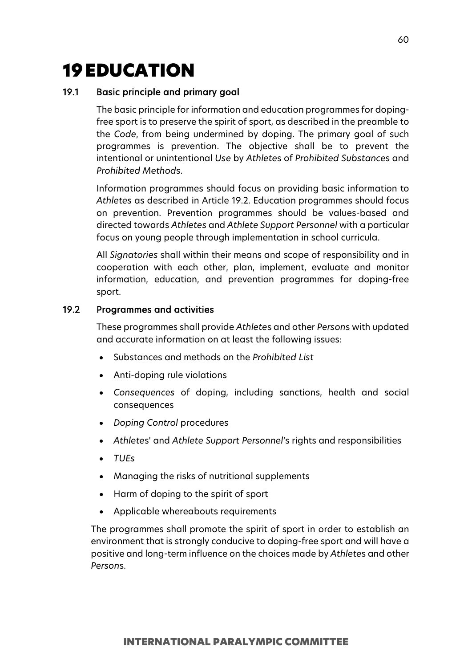# 19EDUCATION

# 19.1 Basic principle and primary goal

The basic principle for information and education programmes for dopingfree sport is to preserve the spirit of sport, as described in the preamble to the *Code*, from being undermined by doping. The primary goal of such programmes is prevention. The objective shall be to prevent the intentional or unintentional *Use* by *Athlete*s of *Prohibited Substance*s and *Prohibited Method*s.

Information programmes should focus on providing basic information to *Athletes* as described in Article 19.2. Education programmes should focus on prevention. Prevention programmes should be values-based and directed towards *Athletes* and *Athlete Support Personnel* with a particular focus on young people through implementation in school curricula.

All *Signatories* shall within their means and scope of responsibility and in cooperation with each other, plan, implement, evaluate and monitor information, education, and prevention programmes for doping-free sport.

# 19.2 Programmes and activities

These programmes shall provide *Athlete*s and other *Person*s with updated and accurate information on at least the following issues:

- Substances and methods on the *Prohibited List*
- Anti-doping rule violations
- *Consequences* of doping, including sanctions, health and social consequences
- *Doping Control* procedures
- *Athlete*s' and *Athlete Support Personnel*'s rights and responsibilities
- *TUEs*
- Managing the risks of nutritional supplements
- Harm of doping to the spirit of sport
- Applicable whereabouts requirements

The programmes shall promote the spirit of sport in order to establish an environment that is strongly conducive to doping-free sport and will have a positive and long-term influence on the choices made by *Athlete*s and other *Person*s.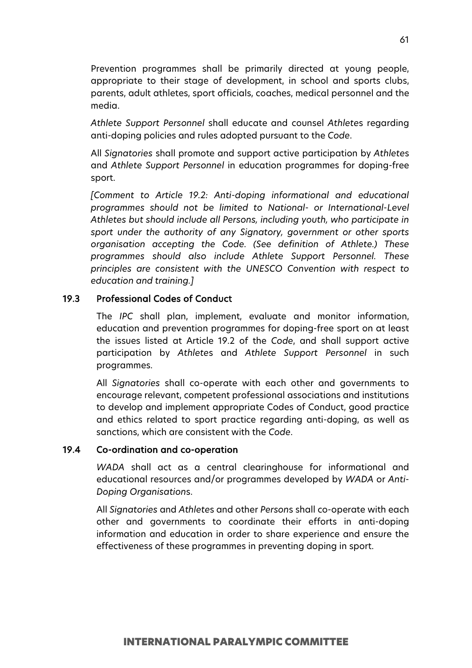Prevention programmes shall be primarily directed at young people, appropriate to their stage of development, in school and sports clubs, parents, adult athletes, sport officials, coaches, medical personnel and the media.

*Athlete Support Personnel* shall educate and counsel *Athlete*s regarding anti-doping policies and rules adopted pursuant to the *Code*.

All *Signatories* shall promote and support active participation by *Athlete*s and *Athlete Support Personnel* in education programmes for doping-free sport.

*[Comment to Article 19.2: Anti-doping informational and educational programmes should not be limited to National- or International-Level Athletes but should include all Persons, including youth, who participate in sport under the authority of any Signatory, government or other sports organisation accepting the Code. (See definition of Athlete.) These programmes should also include Athlete Support Personnel. These principles are consistent with the UNESCO Convention with respect to education and training.]*

## 19.3 Professional Codes of Conduct

The *IPC* shall plan, implement, evaluate and monitor information, education and prevention programmes for doping-free sport on at least the issues listed at Article 19.2 of the *Code*, and shall support active participation by *Athlete*s and *Athlete Support Personnel* in such programmes.

All *Signatories* shall co-operate with each other and governments to encourage relevant, competent professional associations and institutions to develop and implement appropriate Codes of Conduct, good practice and ethics related to sport practice regarding anti-doping, as well as sanctions, which are consistent with the *Code*.

## 19.4 Co-ordination and co-operation

*WADA* shall act as a central clearinghouse for informational and educational resources and/or programmes developed by *WADA* or *Anti-Doping Organisation*s.

All *Signatories* and *Athlete*s and other *Person*s shall co-operate with each other and governments to coordinate their efforts in anti-doping information and education in order to share experience and ensure the effectiveness of these programmes in preventing doping in sport.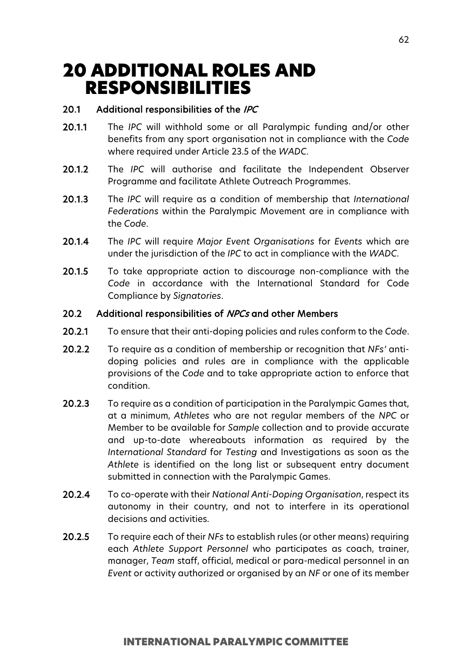# 20 ADDITIONAL ROLES AND RESPONSIBILITIES

# 20.1 Additional responsibilities of the IPC

- 20.1.1 The *IPC* will withhold some or all Paralympic funding and/or other benefits from any sport organisation not in compliance with the *Code*  where required under Article 23.5 of the *WADC*.
- 20.1.2 The *IPC* will authorise and facilitate the Independent Observer Programme and facilitate Athlete Outreach Programmes.
- 20.1.3 The *IPC* will require as a condition of membership that *International Federations* within the Paralympic Movement are in compliance with the *Code*.
- 20.1.4 The *IPC* will require *Major Event Organisations* for *Events* which are under the jurisdiction of the *IPC* to act in compliance with the *WADC*.
- 20.1.5 To take appropriate action to discourage non-compliance with the *Code* in accordance with the International Standard for Code Compliance by *Signatories*.

# 20.2 Additional responsibilities of NPCs and other Members

- 20.2.1 To ensure that their anti-doping policies and rules conform to the *Code*.
- 20.2.2 To require as a condition of membership or recognition that *NFs'* antidoping policies and rules are in compliance with the applicable provisions of the *Code* and to take appropriate action to enforce that condition.
- 20.2.3 To require as a condition of participation in the Paralympic Games that, at a minimum, *Athletes* who are not regular members of the *NPC* or Member to be available for *Sample* collection and to provide accurate and up-to-date whereabouts information as required by the *International Standard* for *Testing* and Investigations as soon as the *Athlete* is identified on the long list or subsequent entry document submitted in connection with the Paralympic Games.
- 20.2.4 To co-operate with their *National Anti-Doping Organisation*, respect its autonomy in their country, and not to interfere in its operational decisions and activities.
- 20.2.5 To require each of their *NFs* to establish rules (or other means) requiring each *Athlete Support Personnel* who participates as coach, trainer, manager, *Team* staff, official, medical or para-medical personnel in an *Event* or activity authorized or organised by an *NF* or one of its member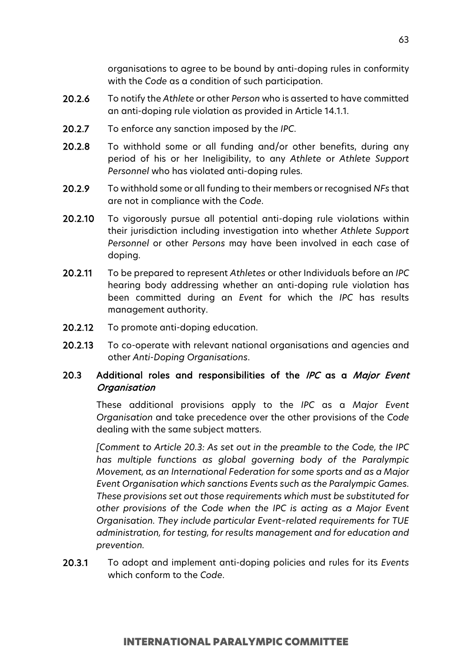organisations to agree to be bound by anti-doping rules in conformity with the *Code* as a condition of such participation.

- 20.2.6 To notify the *Athlete* or other *Person* who is asserted to have committed an anti-doping rule violation as provided in Article 14.1.1.
- 20.2.7 To enforce any sanction imposed by the *IPC*.
- 20.2.8 To withhold some or all funding and/or other benefits, during any period of his or her Ineligibility, to any *Athlete* or *Athlete Support Personnel* who has violated anti-doping rules.
- 20.2.9 To withhold some or all funding to their members or recognised *NFs* that are not in compliance with the *Code*.
- 20.2.10 To vigorously pursue all potential anti-doping rule violations within their jurisdiction including investigation into whether *Athlete Support Personnel* or other *Persons* may have been involved in each case of doping.
- 20.2.11 To be prepared to represent *Athletes* or other Individuals before an *IPC* hearing body addressing whether an anti-doping rule violation has been committed during an *Event* for which the *IPC* has results management authority.
- 20.2.12 To promote anti-doping education.
- 20.2.13 To co-operate with relevant national organisations and agencies and other *Anti-Doping Organisations*.

# 20.3 Additional roles and responsibilities of the IPC as a Major Event **Organisation**

These additional provisions apply to the *IPC* as a *Major Event Organisation* and take precedence over the other provisions of the *Code* dealing with the same subject matters.

*[Comment to Article 20.3: As set out in the preamble to the Code, the IPC has multiple functions as global governing body of the Paralympic Movement, as an International Federation for some sports and as a Major Event Organisation which sanctions Events such as the Paralympic Games. These provisions set out those requirements which must be substituted for other provisions of the Code when the IPC is acting as a Major Event Organisation. They include particular Event–related requirements for TUE administration, for testing, for results management and for education and prevention.*

20.3.1 To adopt and implement anti-doping policies and rules for its *Events* which conform to the *Code*.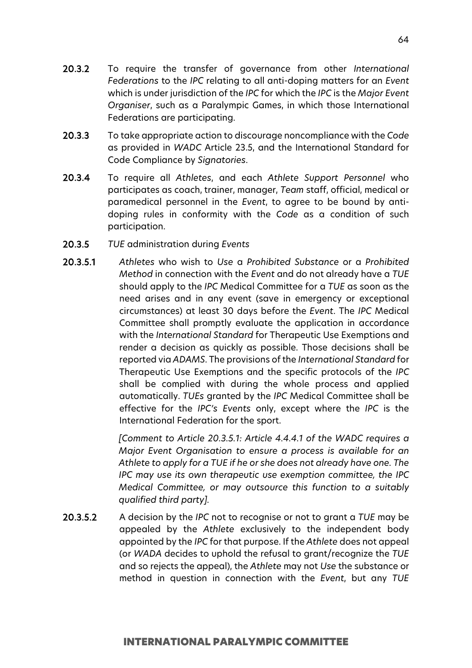- 20.3.2 To require the transfer of governance from other *International Federations* to the *IPC* relating to all anti-doping matters for an *Event* which is under jurisdiction of the *IPC* for which the *IPC* is the *Major Event Organiser*, such as a Paralympic Games, in which those International Federations are participating.
- 20.3.3 To take appropriate action to discourage noncompliance with the *Code* as provided in *WADC* Article 23.5, and the International Standard for Code Compliance by *Signatories*.
- 20.3.4 To require all *Athletes*, and each *Athlete Support Personnel* who participates as coach, trainer, manager, *Team* staff, official, medical or paramedical personnel in the *Event*, to agree to be bound by antidoping rules in conformity with the *Code* as a condition of such participation.
- 20.3.5 *TUE* administration during *Events*
- 20.3.5.1 *Athletes* who wish to *Use* a *Prohibited Substance* or a *Prohibited Method* in connection with the *Event* and do not already have a *TUE* should apply to the *IPC* Medical Committee for a *TUE* as soon as the need arises and in any event (save in emergency or exceptional circumstances) at least 30 days before the *Event*. The *IPC* Medical Committee shall promptly evaluate the application in accordance with the *International Standard* for Therapeutic Use Exemptions and render a decision as quickly as possible. Those decisions shall be reported via *ADAMS*. The provisions of the *International Standard* for Therapeutic Use Exemptions and the specific protocols of the *IPC* shall be complied with during the whole process and applied automatically. *TUEs* granted by the *IPC* Medical Committee shall be effective for the *IPC's Events* only, except where the *IPC* is the International Federation for the sport.

*[Comment to Article 20.3.5.1: Article 4.4.4.1 of the WADC requires a Major Event Organisation to ensure a process is available for an Athlete to apply for a TUE if he or she does not already have one. The IPC may use its own therapeutic use exemption committee, the IPC Medical Committee, or may outsource this function to a suitably qualified third party].* 

20.3.5.2 A decision by the *IPC* not to recognise or not to grant a *TUE* may be appealed by the *Athlete* exclusively to the independent body appointed by the *IPC* for that purpose. If the *Athlete* does not appeal (or *WADA* decides to uphold the refusal to grant/recognize the *TUE* and so rejects the appeal), the *Athlete* may not *Use* the substance or method in question in connection with the *Event*, but any *TUE*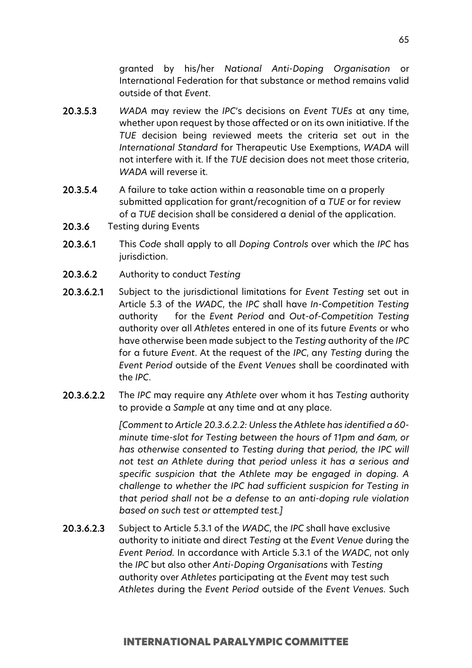granted by his/her *National Anti-Doping Organisation* or International Federation for that substance or method remains valid outside of that *Event*.

- 20.3.5.3 *WADA* may review the *IPC*'s decisions on *Event TUEs* at any time, whether upon request by those affected or on its own initiative. If the *TUE* decision being reviewed meets the criteria set out in the *International Standard* for Therapeutic Use Exemptions, *WADA* will not interfere with it. If the *TUE* decision does not meet those criteria, *WADA* will reverse it.
- 20.3.5.4 A failure to take action within a reasonable time on a properly submitted application for grant/recognition of a *TUE* or for review of a *TUE* decision shall be considered a denial of the application.
- 20.3.6 Testing during Events
- 20.3.6.1 This *Code* shall apply to all *Doping Controls* over which the *IPC* has jurisdiction.
- 20.3.6.2 Authority to conduct *Testing*
- 20.3.6.2.1 Subject to the jurisdictional limitations for *Event Testing* set out in Article 5.3 of the *WADC*, the *IPC* shall have *In-Competition Testing*  authority for the *Event Period* and *Out-of-Competition Testing*  authority over all *Athletes* entered in one of its future *Events* or who have otherwise been made subject to the *Testing* authority of the *IPC*  for a future *Event*. At the request of the *IPC*, any *Testing* during the *Event Period* outside of the *Event Venues* shall be coordinated with the *IPC*.
- 20.3.6.2.2 The *IPC* may require any *Athlete* over whom it has *Testing* authority to provide a *Sample* at any time and at any place.

*[Comment to Article 20.3.6.2.2: Unless the Athlete has identified a 60 minute time-slot for Testing between the hours of 11pm and 6am, or has otherwise consented to Testing during that period, the IPC will not test an Athlete during that period unless it has a serious and specific suspicion that the Athlete may be engaged in doping. A challenge to whether the IPC had sufficient suspicion for Testing in that period shall not be a defense to an anti-doping rule violation based on such test or attempted test.]*

20.3.6.2.3 Subject to Article 5.3.1 of the *WADC*, the *IPC* shall have exclusive authority to initiate and direct *Testing* at the *Event Venue* during the *Event Period.* In accordance with Article 5.3.1 of the *WADC*, not only the *IPC* but also other *Anti-Doping Organisations* with *Testing*  authority over *Athletes* participating at the *Event* may test such *Athletes* during the *Event Period* outside of the *Event Venues.* Such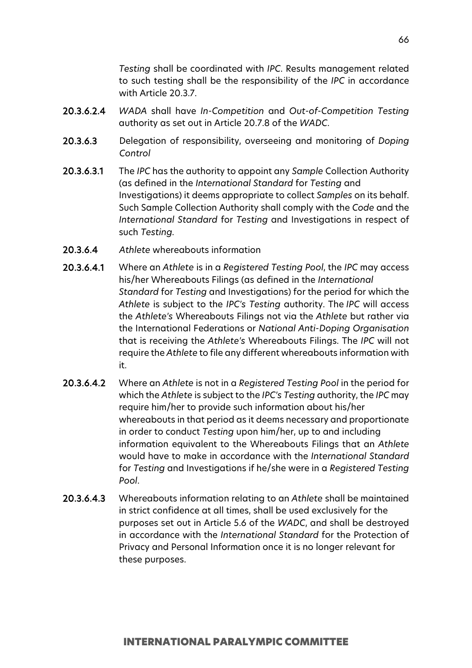*Testing* shall be coordinated with *IPC*. Results management related to such testing shall be the responsibility of the *IPC* in accordance with Article 20.3.7.

- 20.3.6.2.4 *WADA* shall have *In-Competition* and *Out-of-Competition Testing* authority as set out in Article 20.7.8 of the *WADC*.
- 20.3.6.3 Delegation of responsibility, overseeing and monitoring of *Doping Control*
- 20.3.6.3.1 The *IPC* has the authority to appoint any *Sample* Collection Authority (as defined in the *International Standard* for *Testing* and Investigations) it deems appropriate to collect *Samples* on its behalf. Such Sample Collection Authority shall comply with the *Code* and the *International Standard* for *Testing* and Investigations in respect of such *Testing.*
- 20.3.6.4 *Athlete* whereabouts information
- 20.3.6.4.1 Where an *Athlete* is in a *Registered Testing Pool*, the *IPC* may access his/her Whereabouts Filings (as defined in the *International Standard* for *Testing* and Investigations) for the period for which the *Athlete* is subject to the *IPC's Testing* authority. The *IPC* will access the *Athlete's* Whereabouts Filings not via the *Athlete* but rather via the International Federations or *National Anti-Doping Organisation*  that is receiving the *Athlete's* Whereabouts Filings. The *IPC* will not require the *Athlete* to file any different whereabouts information with it.
- 20.3.6.4.2 Where an *Athlete* is not in a *Registered Testing Pool* in the period for which the *Athlete* is subject to the *IPC's Testing* authority, the *IPC* may require him/her to provide such information about his/her whereabouts in that period as it deems necessary and proportionate in order to conduct *Testing* upon him/her, up to and including information equivalent to the Whereabouts Filings that an *Athlete*  would have to make in accordance with the *International Standard*  for *Testing* and Investigations if he/she were in a *Registered Testing Pool*.
- 20.3.6.4.3 Whereabouts information relating to an *Athlete* shall be maintained in strict confidence at all times, shall be used exclusively for the purposes set out in Article 5.6 of the *WADC*, and shall be destroyed in accordance with the *International Standard* for the Protection of Privacy and Personal Information once it is no longer relevant for these purposes.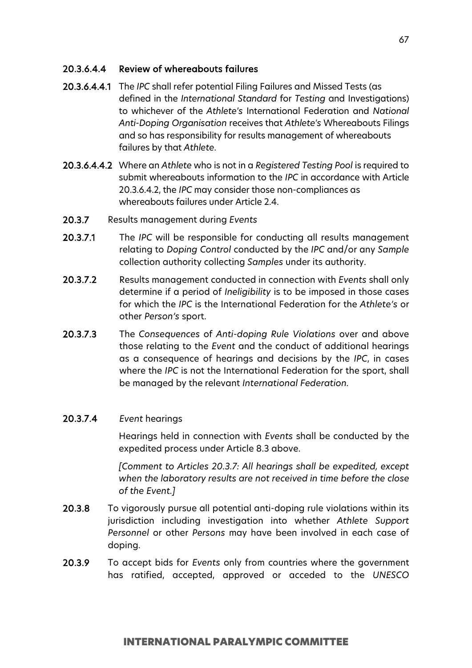# 20.3.6.4.4 Review of whereabouts failures

- 20.3.6.4.4.1 The *IPC* shall refer potential Filing Failures and Missed Tests (as defined in the *International Standard* for *Testing* and Investigations) to whichever of the *Athlete's* International Federation and *National Anti-Doping Organisation* receives that *Athlete's* Whereabouts Filings and so has responsibility for results management of whereabouts failures by that *Athlete*.
- 20.3.6.4.4.2 Where an *Athlete* who is not in a *Registered Testing Pool* is required to submit whereabouts information to the *IPC* in accordance with Article 20.3.6.4.2, the *IPC* may consider those non-compliances as whereabouts failures under Article 2.4.
- 20.3.7 Results management during *Events*
- 20.3.7.1 The *IPC* will be responsible for conducting all results management relating to *Doping Control* conducted by the *IPC* and/or any *Sample* collection authority collecting *Samples* under its authority.
- 20.3.7.2 Results management conducted in connection with *Events* shall only determine if a period of *Ineligibility* is to be imposed in those cases for which the *IPC* is the International Federation for the *Athlete's* or other *Person's* sport.
- 20.3.7.3 The *Consequences* of *Anti-doping Rule Violations* over and above those relating to the *Event* and the conduct of additional hearings as a consequence of hearings and decisions by the *IPC*, in cases where the *IPC* is not the International Federation for the sport, shall be managed by the relevant *International Federation.*

# 20.3.7.4 *Event* hearings

Hearings held in connection with *Events* shall be conducted by the expedited process under Article 8.3 above.

*[Comment to Articles 20.3.7: All hearings shall be expedited, except when the laboratory results are not received in time before the close of the Event.]*

- 20.3.8 To vigorously pursue all potential anti-doping rule violations within its jurisdiction including investigation into whether *Athlete Support Personnel* or other *Persons* may have been involved in each case of doping.
- 20.3.9 To accept bids for *Events* only from countries where the government has ratified, accepted, approved or acceded to the *UNESCO*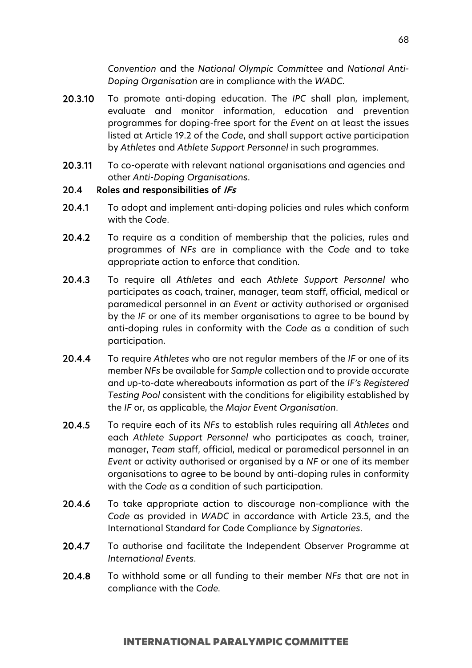*Convention* and the *National Olympic Committee* and *National Anti-Doping Organisation* are in compliance with the *WADC*.

- 20.3.10 To promote anti-doping education. The *IPC* shall plan, implement, evaluate and monitor information, education and prevention programmes for doping-free sport for the *Event* on at least the issues listed at Article 19.2 of the *Code*, and shall support active participation by *Athletes* and *Athlete Support Personnel* in such programmes.
- 20.3.11 To co-operate with relevant national organisations and agencies and other *Anti-Doping Organisations*.

### 20.4 Roles and responsibilities of IFs

- 20.4.1 To adopt and implement anti-doping policies and rules which conform with the *Code*.
- 20.4.2 To require as a condition of membership that the policies, rules and programmes of *NFs* are in compliance with the *Code* and to take appropriate action to enforce that condition.
- 20.4.3 To require all *Athletes* and each *Athlete Support Personnel* who participates as coach, trainer, manager, team staff, official, medical or paramedical personnel in an *Event* or activity authorised or organised by the *IF* or one of its member organisations to agree to be bound by anti-doping rules in conformity with the *Code* as a condition of such participation.
- 20.4.4 To require *Athletes* who are not regular members of the *IF* or one of its member *NFs* be available for *Sample* collection and to provide accurate and up-to-date whereabouts information as part of the *IF's Registered Testing Pool* consistent with the conditions for eligibility established by the *IF* or, as applicable, the *Major Event Organisation*.
- 20.4.5 To require each of its *NFs* to establish rules requiring all *Athletes* and each *Athlete Support Personnel* who participates as coach, trainer, manager, *Team* staff, official, medical or paramedical personnel in an *Event* or activity authorised or organised by a *NF* or one of its member organisations to agree to be bound by anti-doping rules in conformity with the *Code* as a condition of such participation.
- 20.4.6 To take appropriate action to discourage non-compliance with the *Code* as provided in *WADC* in accordance with Article 23.5, and the International Standard for Code Compliance by *Signatories*.
- 20.4.7 To authorise and facilitate the Independent Observer Programme at *International Events*.
- 20.4.8 To withhold some or all funding to their member *NFs* that are not in compliance with the *Code.*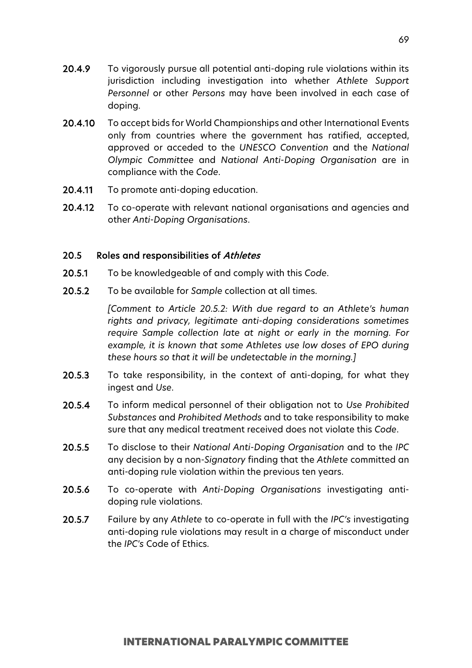- 20.4.9 To vigorously pursue all potential anti-doping rule violations within its jurisdiction including investigation into whether *Athlete Support Personnel* or other *Persons* may have been involved in each case of doping.
- 20.4.10 To accept bids for World Championships and other International Events only from countries where the government has ratified, accepted, approved or acceded to the *UNESCO Convention* and the *National Olympic Committee* and *National Anti-Doping Organisation* are in compliance with the *Code*.
- 20.4.11 To promote anti-doping education.
- 20.4.12 To co-operate with relevant national organisations and agencies and other *Anti-Doping Organisations*.

# 20.5 Roles and responsibilities of Athletes

- 20.5.1 To be knowledgeable of and comply with this *Code*.
- 20.5.2 To be available for *Sample* collection at all times.

*[Comment to Article 20.5.2: With due regard to an Athlete's human rights and privacy, legitimate anti-doping considerations sometimes require Sample collection late at night or early in the morning. For example, it is known that some Athletes use low doses of EPO during these hours so that it will be undetectable in the morning.]*

- 20.5.3 To take responsibility, in the context of anti-doping, for what they ingest and *Use*.
- 20.5.4 To inform medical personnel of their obligation not to *Use Prohibited Substances* and *Prohibited Methods* and to take responsibility to make sure that any medical treatment received does not violate this *Code*.
- 20.5.5 To disclose to their *National Anti-Doping Organisation* and to the *IPC* any decision by a non-*Signatory* finding that the *Athlete* committed an anti-doping rule violation within the previous ten years.
- 20.5.6 To co-operate with *Anti-Doping Organisations* investigating antidoping rule violations.
- 20.5.7 Failure by any *Athlete* to co-operate in full with the *IPC's* investigating anti-doping rule violations may result in a charge of misconduct under the *IPC's* Code of Ethics.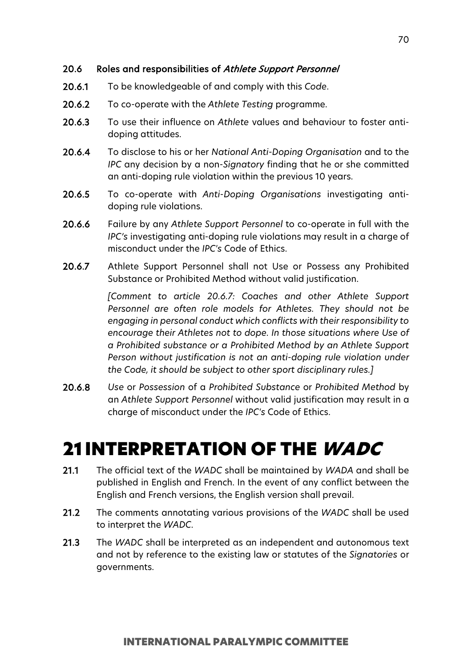# 20.6 Roles and responsibilities of Athlete Support Personnel

- 20.6.1 To be knowledgeable of and comply with this *Code*.
- 20.6.2 To co-operate with the *Athlete Testing* programme.
- 20.6.3 To use their influence on *Athlete* values and behaviour to foster antidoping attitudes.
- 20.6.4 To disclose to his or her *National Anti-Doping Organisation* and to the *IPC* any decision by a non-*Signatory* finding that he or she committed an anti-doping rule violation within the previous 10 years.
- 20.6.5 To co-operate with *Anti-Doping Organisations* investigating antidoping rule violations.
- 20.6.6 Failure by any *Athlete Support Personnel* to co-operate in full with the *IPC's* investigating anti-doping rule violations may result in a charge of misconduct under the *IPC's* Code of Ethics.
- 20.6.7 Athlete Support Personnel shall not Use or Possess any Prohibited Substance or Prohibited Method without valid justification.

*[Comment to article 20.6.7: Coaches and other Athlete Support Personnel are often role models for Athletes. They should not be engaging in personal conduct which conflicts with their responsibility to encourage their Athletes not to dope. In those situations where Use of a Prohibited substance or a Prohibited Method by an Athlete Support Person without justification is not an anti-doping rule violation under the Code, it should be subject to other sport disciplinary rules.]*

20.6.8 *Use* or *Possession* of a *Prohibited Substance* or *Prohibited Method* by an *Athlete Support Personnel* without valid justification may result in a charge of misconduct under the *IPC's* Code of Ethics.

# 21 INTERPRETATION OF THE WADC

- 21.1 The official text of the *WADC* shall be maintained by *WADA* and shall be published in English and French. In the event of any conflict between the English and French versions, the English version shall prevail.
- 21.2 The comments annotating various provisions of the *WADC* shall be used to interpret the *WADC*.
- 21.3 The *WADC* shall be interpreted as an independent and autonomous text and not by reference to the existing law or statutes of the *Signatories* or governments.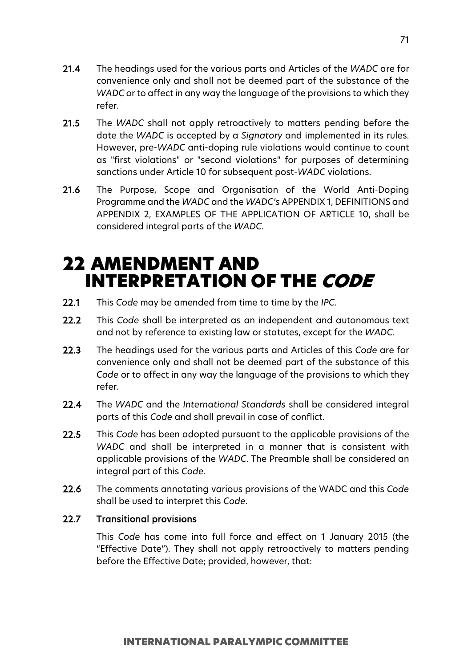- 21.4 The headings used for the various parts and Articles of the *WADC* are for convenience only and shall not be deemed part of the substance of the *WADC* or to affect in any way the language of the provisions to which they refer.
- 21.5 The *WADC* shall not apply retroactively to matters pending before the date the *WADC* is accepted by a *Signatory* and implemented in its rules. However, pre-*WADC* anti-doping rule violations would continue to count as "first violations" or "second violations" for purposes of determining sanctions under Article 10 for subsequent post-*WADC* violations.
- 21.6 The Purpose, Scope and Organisation of the World Anti-Doping Programme and the *WADC* and the *WADC's* APPENDIX 1, DEFINITIONS and APPENDIX 2, EXAMPLES OF THE APPLICATION OF ARTICLE 10, shall be considered integral parts of the *WADC*.

# 22 AMENDMENT AND INTERPRETATION OF THE CODE

- 22.1 This *Code* may be amended from time to time by the *IPC*.
- 22.2 This *Code* shall be interpreted as an independent and autonomous text and not by reference to existing law or statutes, except for the *WADC*.
- 22.3 The headings used for the various parts and Articles of this *Code* are for convenience only and shall not be deemed part of the substance of this *Code* or to affect in any way the language of the provisions to which they refer.
- 22.4 The *WADC* and the *International Standards* shall be considered integral parts of this *Code* and shall prevail in case of conflict.
- 22.5 This *Code* has been adopted pursuant to the applicable provisions of the *WADC* and shall be interpreted in a manner that is consistent with applicable provisions of the *WADC*. The Preamble shall be considered an integral part of this *Code*.
- 22.6 The comments annotating various provisions of the WADC and this *Code* shall be used to interpret this *Code*.

# 22.7 Transitional provisions

This *Code* has come into full force and effect on 1 January 2015 (the "Effective Date"). They shall not apply retroactively to matters pending before the Effective Date; provided, however, that: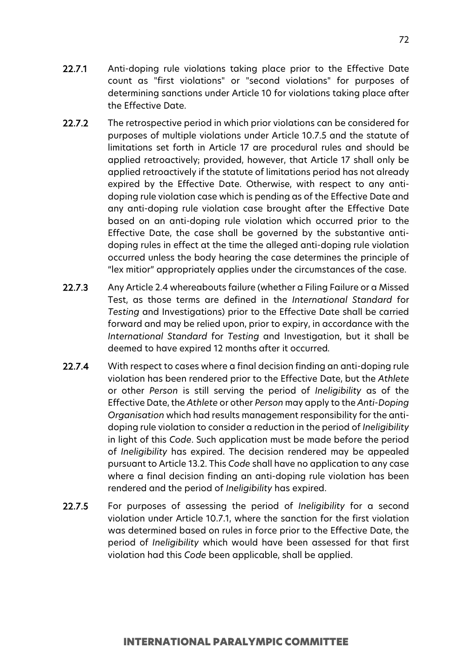- 22.7.1 Anti-doping rule violations taking place prior to the Effective Date count as "first violations" or "second violations" for purposes of determining sanctions under Article 10 for violations taking place after the Effective Date.
- 22.7.2 The retrospective period in which prior violations can be considered for purposes of multiple violations under Article 10.7.5 and the statute of limitations set forth in Article 17 are procedural rules and should be applied retroactively; provided, however, that Article 17 shall only be applied retroactively if the statute of limitations period has not already expired by the Effective Date. Otherwise, with respect to any antidoping rule violation case which is pending as of the Effective Date and any anti-doping rule violation case brought after the Effective Date based on an anti-doping rule violation which occurred prior to the Effective Date, the case shall be governed by the substantive antidoping rules in effect at the time the alleged anti-doping rule violation occurred unless the body hearing the case determines the principle of "lex mitior" appropriately applies under the circumstances of the case.
- 22.7.3 Any Article 2.4 whereabouts failure (whether a Filing Failure or a Missed Test, as those terms are defined in the *International Standard* for *Testing* and Investigations) prior to the Effective Date shall be carried forward and may be relied upon, prior to expiry, in accordance with the *International Standard* for *Testing* and Investigation, but it shall be deemed to have expired 12 months after it occurred*.*
- 22.7.4 With respect to cases where a final decision finding an anti-doping rule violation has been rendered prior to the Effective Date, but the *Athlete* or other *Person* is still serving the period of *Ineligibility* as of the Effective Date, the *Athlete* or other *Person* may apply to the *Anti-Doping Organisation* which had results management responsibility for the antidoping rule violation to consider a reduction in the period of *Ineligibility* in light of this *Code*. Such application must be made before the period of *Ineligibility* has expired. The decision rendered may be appealed pursuant to Article 13.2. This *Code* shall have no application to any case where a final decision finding an anti-doping rule violation has been rendered and the period of *Ineligibility* has expired.
- 22.7.5 For purposes of assessing the period of *Ineligibility* for a second violation under Article 10.7.1, where the sanction for the first violation was determined based on rules in force prior to the Effective Date, the period of *Ineligibility* which would have been assessed for that first violation had this *Code* been applicable, shall be applied.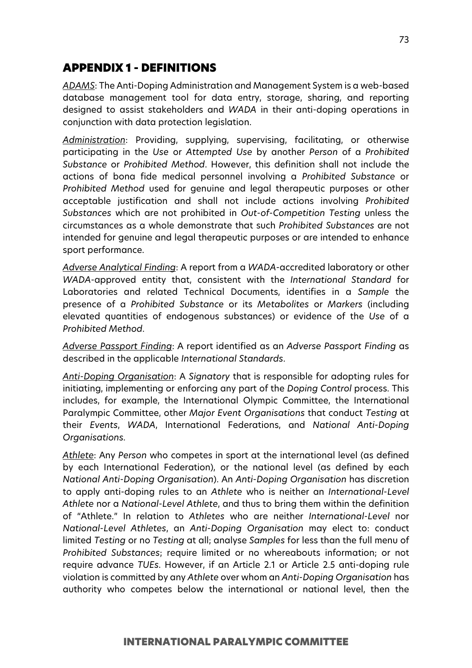# APPENDIX 1 - DEFINITIONS

*ADAMS*: The Anti-Doping Administration and Management System is a web-based database management tool for data entry, storage, sharing, and reporting designed to assist stakeholders and *WADA* in their anti-doping operations in conjunction with data protection legislation.

*Administration*: Providing, supplying, supervising, facilitating, or otherwise participating in the *Use* or *Attempted Use* by another *Person* of a *Prohibited Substance* or *Prohibited Method*. However, this definition shall not include the actions of bona fide medical personnel involving a *Prohibited Substance* or *Prohibited Method* used for genuine and legal therapeutic purposes or other acceptable justification and shall not include actions involving *Prohibited Substances* which are not prohibited in *Out-of-Competition Testing* unless the circumstances as a whole demonstrate that such *Prohibited Substances* are not intended for genuine and legal therapeutic purposes or are intended to enhance sport performance.

*Adverse Analytical Finding*: A report from a *WADA*-accredited laboratory or other *WADA*-approved entity that, consistent with the *International Standard* for Laboratories and related Technical Documents, identifies in a *Sample* the presence of a *Prohibited Substance* or its *Metabolites* or *Markers* (including elevated quantities of endogenous substances) or evidence of the *Use* of a *Prohibited Method*.

*Adverse Passport Finding*: A report identified as an *Adverse Passport Finding* as described in the applicable *International Standards*.

*Anti-Doping Organisation*: A *Signatory* that is responsible for adopting rules for initiating, implementing or enforcing any part of the *Doping Control* process. This includes, for example, the International Olympic Committee, the International Paralympic Committee, other *Major Event Organisations* that conduct *Testing* at their *Events*, *WADA*, International Federations, and *National Anti-Doping Organisations.*

*Athlete*: Any *Person* who competes in sport at the international level (as defined by each International Federation), or the national level (as defined by each *National Anti-Doping Organisation*). An *Anti-Doping Organisation* has discretion to apply anti-doping rules to an *Athlete* who is neither an *International-Level Athlete* nor a *National-Level Athlete*, and thus to bring them within the definition of "Athlete." In relation to *Athletes* who are neither *International*-*Level* nor *National-Level Athletes*, an *Anti-Doping Organisation* may elect to: conduct limited *Testing* or no *Testing* at all; analyse *Samples* for less than the full menu of *Prohibited Substances*; require limited or no whereabouts information; or not require advance *TUEs*. However, if an Article 2.1 or Article 2.5 anti-doping rule violation is committed by any *Athlete* over whom an *Anti-Doping Organisation* has authority who competes below the international or national level, then the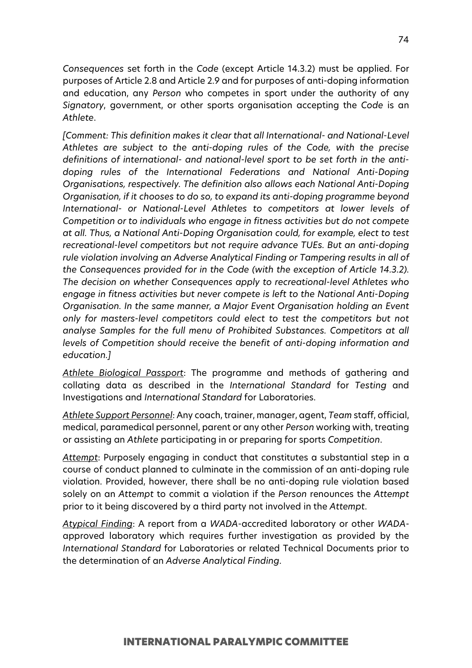*Consequences* set forth in the *Code* (except Article 14.3.2) must be applied. For purposes of Article 2.8 and Article 2.9 and for purposes of anti-doping information and education, any *Person* who competes in sport under the authority of any *Signatory*, government, or other sports organisation accepting the *Code* is an *Athlete*.

*[Comment: This definition makes it clear that all International- and National-Level Athletes are subject to the anti-doping rules of the Code, with the precise definitions of international- and national-level sport to be set forth in the antidoping rules of the International Federations and National Anti-Doping Organisations, respectively. The definition also allows each National Anti-Doping Organisation, if it chooses to do so, to expand its anti-doping programme beyond International- or National-Level Athletes to competitors at lower levels of Competition or to individuals who engage in fitness activities but do not compete at all. Thus, a National Anti-Doping Organisation could, for example, elect to test recreational-level competitors but not require advance TUEs. But an anti-doping rule violation involving an Adverse Analytical Finding or Tampering results in all of the Consequences provided for in the Code (with the exception of Article 14.3.2). The decision on whether Consequences apply to recreational-level Athletes who engage in fitness activities but never compete is left to the National Anti-Doping Organisation. In the same manner, a Major Event Organisation holding an Event only for masters-level competitors could elect to test the competitors but not analyse Samples for the full menu of Prohibited Substances. Competitors at all levels of Competition should receive the benefit of anti-doping information and education.]* 

*Athlete Biological Passport*: The programme and methods of gathering and collating data as described in the *International Standard* for *Testing* and Investigations and *International Standard* for Laboratories.

*Athlete Support Personnel*: Any coach, trainer, manager, agent, *Team* staff, official, medical, paramedical personnel, parent or any other *Person* working with, treating or assisting an *Athlete* participating in or preparing for sports *Competition*.

*Attempt*: Purposely engaging in conduct that constitutes a substantial step in a course of conduct planned to culminate in the commission of an anti-doping rule violation. Provided, however, there shall be no anti-doping rule violation based solely on an *Attempt* to commit a violation if the *Person* renounces the *Attempt* prior to it being discovered by a third party not involved in the *Attempt*.

*Atypical Finding*: A report from a *WADA*-accredited laboratory or other *WADA*approved laboratory which requires further investigation as provided by the *International Standard* for Laboratories or related Technical Documents prior to the determination of an *Adverse Analytical Finding*.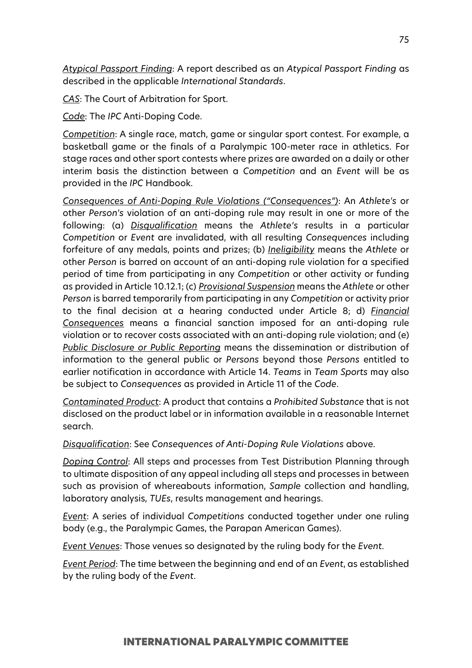*Atypical Passport Finding*: A report described as an *Atypical Passport Finding* as described in the applicable *International Standards*.

*CAS*: The Court of Arbitration for Sport.

*Code*: The *IPC* Anti-Doping Code.

*Competition*: A single race, match, game or singular sport contest. For example, a basketball game or the finals of a Paralympic 100-meter race in athletics. For stage races and other sport contests where prizes are awarded on a daily or other interim basis the distinction between a *Competition* and an *Event* will be as provided in the *IPC* Handbook.

*Consequences of Anti-Doping Rule Violations ("Consequences")*: An *Athlete's* or other *Person's* violation of an anti-doping rule may result in one or more of the following: (a) *Disqualification* means the *Athlete's* results in a particular *Competition* or *Event* are invalidated, with all resulting *Consequences* including forfeiture of any medals, points and prizes; (b) *Ineligibility* means the *Athlete* or other *Person* is barred on account of an anti-doping rule violation for a specified period of time from participating in any *Competition* or other activity or funding as provided in Article 10.12.1; (c) *Provisional Suspension* means the *Athlete* or other *Person* is barred temporarily from participating in any *Competition* or activity prior to the final decision at a hearing conducted under Article 8; d) *Financial Consequences* means a financial sanction imposed for an anti-doping rule violation or to recover costs associated with an anti-doping rule violation; and (e) *Public Disclosure or Public Reporting* means the dissemination or distribution of information to the general public or *Persons* beyond those *Persons* entitled to earlier notification in accordance with Article 14. *Teams* in *Team Sports* may also be subject to *Consequences* as provided in Article 11 of the *Code*.

*Contaminated Product*: A product that contains a *Prohibited Substance* that is not disclosed on the product label or in information available in a reasonable Internet search.

*Disqualification*: See *Consequences of Anti-Doping Rule Violations* above.

*Doping Control*: All steps and processes from Test Distribution Planning through to ultimate disposition of any appeal including all steps and processes in between such as provision of whereabouts information, *Sample* collection and handling, laboratory analysis, *TUEs*, results management and hearings.

*Event*: A series of individual *Competitions* conducted together under one ruling body (e.g., the Paralympic Games, the Parapan American Games).

*Event Venues*: Those venues so designated by the ruling body for the *Event*.

*Event Period*: The time between the beginning and end of an *Event*, as established by the ruling body of the *Event*.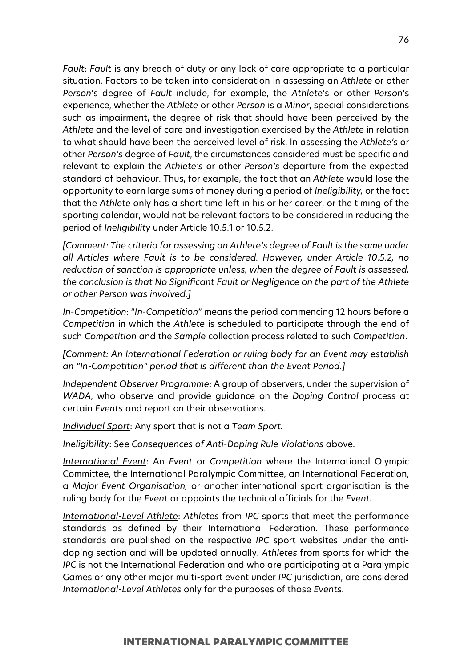*Fault*: *Fault* is any breach of duty or any lack of care appropriate to a particular situation. Factors to be taken into consideration in assessing an *Athlete* or other *Person*'s degree of *Fault* include, for example, the *Athlete*'s or other *Person*'s experience, whether the *Athlete* or other *Person* is a *Minor*, special considerations such as impairment, the degree of risk that should have been perceived by the *Athlete* and the level of care and investigation exercised by the *Athlete* in relation to what should have been the perceived level of risk. In assessing the *Athlete's* or other *Person's* degree of *Fault*, the circumstances considered must be specific and relevant to explain the *Athlete's* or other *Person's* departure from the expected standard of behaviour. Thus, for example, the fact that an *Athlete* would lose the opportunity to earn large sums of money during a period of *Ineligibility,* or the fact that the *Athlete* only has a short time left in his or her career, or the timing of the sporting calendar, would not be relevant factors to be considered in reducing the period of *Ineligibility* under Article 10.5.1 or 10.5.2.

*[Comment: The criteria for assessing an Athlete's degree of Fault is the same under all Articles where Fault is to be considered. However, under Article 10.5.2, no reduction of sanction is appropriate unless, when the degree of Fault is assessed, the conclusion is that No Significant Fault or Negligence on the part of the Athlete or other Person was involved.]*

*In-Competition*: "*In-Competition*" means the period commencing 12 hours before a *Competition* in which the *Athlete* is scheduled to participate through the end of such *Competition* and the *Sample* collection process related to such *Competition*.

*[Comment: An International Federation or ruling body for an Event may establish an "In-Competition" period that is different than the Event Period.]*

*Independent Observer Programme*: A group of observers, under the supervision of *WADA*, who observe and provide guidance on the *Doping Control* process at certain *Events* and report on their observations.

*Individual Sport*: Any sport that is not a *Team Sport.*

*Ineligibility*: See *Consequences of Anti-Doping Rule Violations* above.

*International Event*: An *Event* or *Competition* where the International Olympic Committee, the International Paralympic Committee, an International Federation, a *Major Event Organisation,* or another international sport organisation is the ruling body for the *Event* or appoints the technical officials for the *Event.*

*International-Level Athlete*: *Athletes* from *IPC* sports that meet the performance standards as defined by their International Federation. These performance standards are published on the respective *IPC* sport websites under the antidoping section and will be updated annually. *Athletes* from sports for which the *IPC* is not the International Federation and who are participating at a Paralympic Games or any other major multi-sport event under *IPC* jurisdiction, are considered *International-Level Athletes* only for the purposes of those *Events*.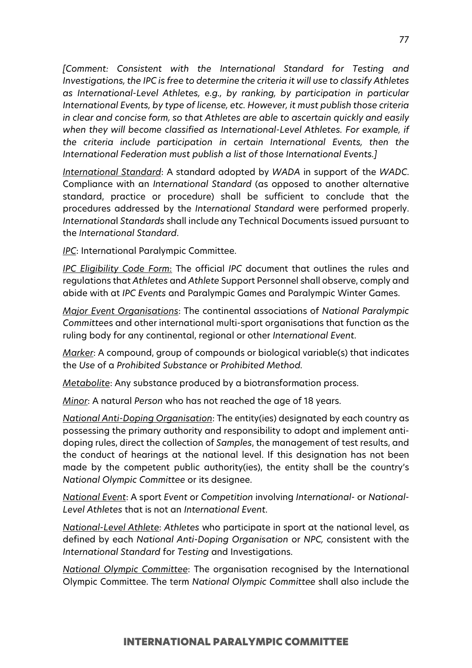*[Comment: Consistent with the International Standard for Testing and Investigations, the IPC is free to determine the criteria it will use to classify Athletes as International-Level Athletes, e.g., by ranking, by participation in particular International Events, by type of license, etc. However, it must publish those criteria in clear and concise form, so that Athletes are able to ascertain quickly and easily when they will become classified as International-Level Athletes. For example, if the criteria include participation in certain International Events, then the International Federation must publish a list of those International Events.]*

*International Standard*: A standard adopted by *WADA* in support of the *WADC*. Compliance with an *International Standard* (as opposed to another alternative standard, practice or procedure) shall be sufficient to conclude that the procedures addressed by the *International Standard* were performed properly. *Internationa*l *Standards* shall include any Technical Documents issued pursuant to the *International Standard*.

*IPC*: International Paralympic Committee.

*IPC Eligibility Code Form*: The official *IPC* document that outlines the rules and regulations that *Athletes* and *Athlete* Support Personnel shall observe, comply and abide with at *IPC Events* and Paralympic Games and Paralympic Winter Games.

*Major Event Organisations*: The continental associations of *National Paralympic Committee*s and other international multi-sport organisations that function as the ruling body for any continental, regional or other *International Event*.

*Marker*: A compound, group of compounds or biological variable(s) that indicates the *Use* of a *Prohibited Substance* or *Prohibited Method.*

*Metabolite*: Any substance produced by a biotransformation process.

*Minor*: A natural *Person* who has not reached the age of 18 years.

*National Anti-Doping Organisation*: The entity(ies) designated by each country as possessing the primary authority and responsibility to adopt and implement antidoping rules, direct the collection of *Samples*, the management of test results, and the conduct of hearings at the national level. If this designation has not been made by the competent public authority(ies), the entity shall be the country's *National Olympic Committee* or its designee.

*National Event*: A sport *Event* or *Competition* involving *International-* or *National-Level Athletes* that is not an *International Event*.

*National-Level Athlete*: *Athletes* who participate in sport at the national level, as defined by each *National Anti-Doping Organisation* or *NPC,* consistent with the *International Standard* for *Testing* and Investigations.

*National Olympic Committee*: The organisation recognised by the International Olympic Committee. The term *National Olympic Committee* shall also include the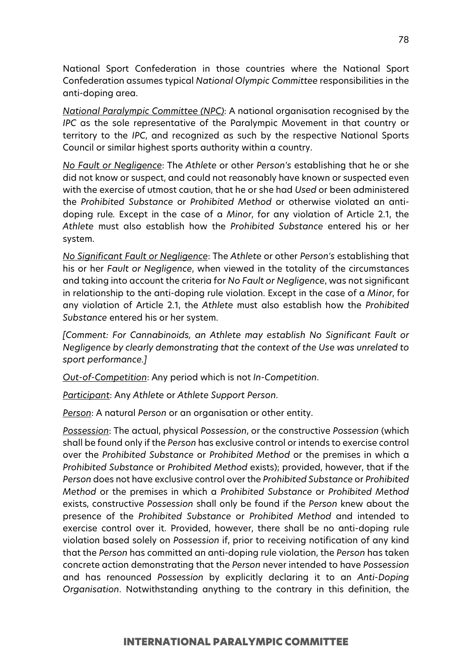National Sport Confederation in those countries where the National Sport Confederation assumes typical *National Olympic Committee* responsibilities in the anti-doping area.

*National Paralympic Committee (NPC)*: A national organisation recognised by the *IPC* as the sole representative of the Paralympic Movement in that country or territory to the *IPC*, and recognized as such by the respective National Sports Council or similar highest sports authority within a country.

*No Fault or Negligence*: The *Athlete* or other *Person's* establishing that he or she did not know or suspect, and could not reasonably have known or suspected even with the exercise of utmost caution, that he or she had *Used* or been administered the *Prohibited Substance* or *Prohibited Method* or otherwise violated an antidoping rule*.* Except in the case of a *Minor*, for any violation of Article 2.1, the *Athlete* must also establish how the *Prohibited Substance* entered his or her system.

*No Significant Fault or Negligence*: The *Athlete* or other *Person's* establishing that his or her *Fault or Negligence*, when viewed in the totality of the circumstances and taking into account the criteria for *No Fault or Negligence*, was not significant in relationship to the anti-doping rule violation. Except in the case of a *Minor*, for any violation of Article 2.1, the *Athlete* must also establish how the *Prohibited Substance* entered his or her system.

*[Comment: For Cannabinoids, an Athlete may establish No Significant Fault or Negligence by clearly demonstrating that the context of the Use was unrelated to sport performance.]*

*Out-of-Competition*: Any period which is not *In-Competition*.

*Participant*: Any *Athlete* or *Athlete Support Person*.

*Person*: A natural *Person* or an organisation or other entity.

*Possession*: The actual, physical *Possession*, or the constructive *Possession* (which shall be found only if the *Person* has exclusive control or intends to exercise control over the *Prohibited Substance* or *Prohibited Method* or the premises in which a *Prohibited Substance* or *Prohibited Method* exists); provided, however, that if the *Person* does not have exclusive control over the *Prohibited Substance* or *Prohibited Method* or the premises in which a *Prohibited Substance* or *Prohibited Method* exists, constructive *Possession* shall only be found if the *Person* knew about the presence of the *Prohibited Substance* or *Prohibited Method* and intended to exercise control over it. Provided, however, there shall be no anti-doping rule violation based solely on *Possession* if, prior to receiving notification of any kind that the *Person* has committed an anti-doping rule violation, the *Person* has taken concrete action demonstrating that the *Person* never intended to have *Possession* and has renounced *Possession* by explicitly declaring it to an *Anti-Doping Organisation*. Notwithstanding anything to the contrary in this definition, the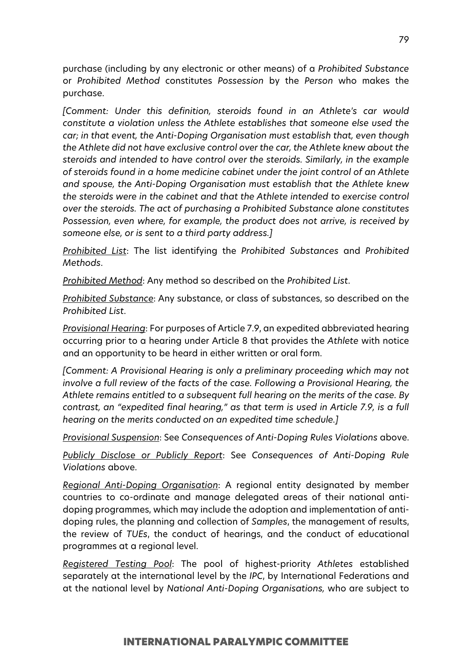purchase (including by any electronic or other means) of a *Prohibited Substance* or *Prohibited Method* constitutes *Possession* by the *Person* who makes the purchase.

*[Comment: Under this definition, steroids found in an Athlete's car would constitute a violation unless the Athlete establishes that someone else used the car; in that event, the Anti-Doping Organisation must establish that, even though the Athlete did not have exclusive control over the car, the Athlete knew about the steroids and intended to have control over the steroids. Similarly, in the example of steroids found in a home medicine cabinet under the joint control of an Athlete and spouse, the Anti-Doping Organisation must establish that the Athlete knew the steroids were in the cabinet and that the Athlete intended to exercise control over the steroids. The act of purchasing a Prohibited Substance alone constitutes Possession, even where, for example, the product does not arrive, is received by someone else, or is sent to a third party address.]*

*Prohibited List*: The list identifying the *Prohibited Substances* and *Prohibited Methods*.

*Prohibited Method*: Any method so described on the *Prohibited List*.

*Prohibited Substance*: Any substance, or class of substances, so described on the *Prohibited List*.

*Provisional Hearing*: For purposes of Article 7.9, an expedited abbreviated hearing occurring prior to a hearing under Article 8 that provides the *Athlete* with notice and an opportunity to be heard in either written or oral form.

*[Comment: A Provisional Hearing is only a preliminary proceeding which may not involve a full review of the facts of the case. Following a Provisional Hearing, the Athlete remains entitled to a subsequent full hearing on the merits of the case. By contrast, an "expedited final hearing," as that term is used in Article 7.9, is a full hearing on the merits conducted on an expedited time schedule.]*

*Provisional Suspension*: See *Consequences of Anti-Doping Rules Violations* above.

*Publicly Disclose or Publicly Report*: See *Consequences of Anti-Doping Rule Violations* above.

*Regional Anti-Doping Organisation*: A regional entity designated by member countries to co-ordinate and manage delegated areas of their national antidoping programmes, which may include the adoption and implementation of antidoping rules, the planning and collection of *Samples*, the management of results, the review of *TUEs*, the conduct of hearings, and the conduct of educational programmes at a regional level.

*Registered Testing Pool*: The pool of highest-priority *Athletes* established separately at the international level by the *IPC*, by International Federations and at the national level by *National Anti-Doping Organisations,* who are subject to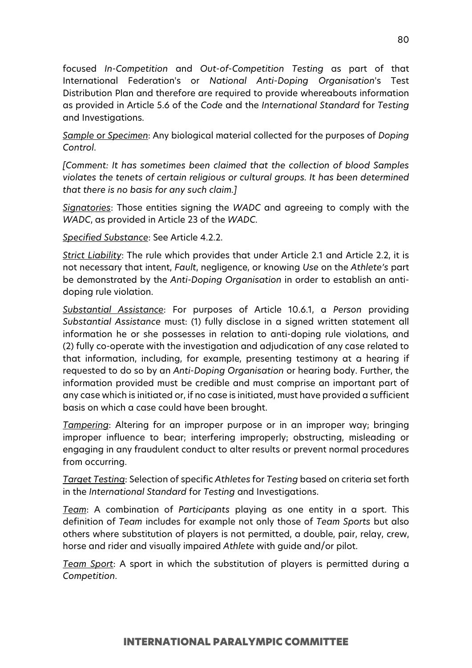focused *In-Competition* and *Out-of-Competition Testing* as part of that International Federation's or *National Anti-Doping Organisation*'s Test Distribution Plan and therefore are required to provide whereabouts information as provided in Article 5.6 of the *Code* and the *International Standard* for *Testing* and Investigations.

*Sample* or *Specimen*: Any biological material collected for the purposes of *Doping Control*.

*[Comment: It has sometimes been claimed that the collection of blood Samples violates the tenets of certain religious or cultural groups. It has been determined that there is no basis for any such claim.]*

*Signatories*: Those entities signing the *WADC* and agreeing to comply with the *WADC*, as provided in Article 23 of the *WADC*.

*Specified Substance*: See Article 4.2.2.

*Strict Liability*: The rule which provides that under Article 2.1 and Article 2.2, it is not necessary that intent, *Fault*, negligence, or knowing *Use* on the *Athlete's* part be demonstrated by the *Anti-Doping Organisation* in order to establish an antidoping rule violation.

*Substantial Assistance*: For purposes of Article 10.6.1, a *Person* providing *Substantial Assistance* must: (1) fully disclose in a signed written statement all information he or she possesses in relation to anti-doping rule violations, and (2) fully co-operate with the investigation and adjudication of any case related to that information, including, for example, presenting testimony at a hearing if requested to do so by an *Anti-Doping Organisation* or hearing body. Further, the information provided must be credible and must comprise an important part of any case which is initiated or, if no case is initiated, must have provided a sufficient basis on which a case could have been brought.

*Tampering*: Altering for an improper purpose or in an improper way; bringing improper influence to bear; interfering improperly; obstructing, misleading or engaging in any fraudulent conduct to alter results or prevent normal procedures from occurring.

*Target Testing*: Selection of specific *Athletes* for *Testing* based on criteria set forth in the *International Standard* for *Testing* and Investigations.

*Team*: A combination of *Participants* playing as one entity in a sport. This definition of *Team* includes for example not only those of *Team Sports* but also others where substitution of players is not permitted, a double, pair, relay, crew, horse and rider and visually impaired *Athlete* with guide and/or pilot.

*Team Sport*: A sport in which the substitution of players is permitted during a *Competition*.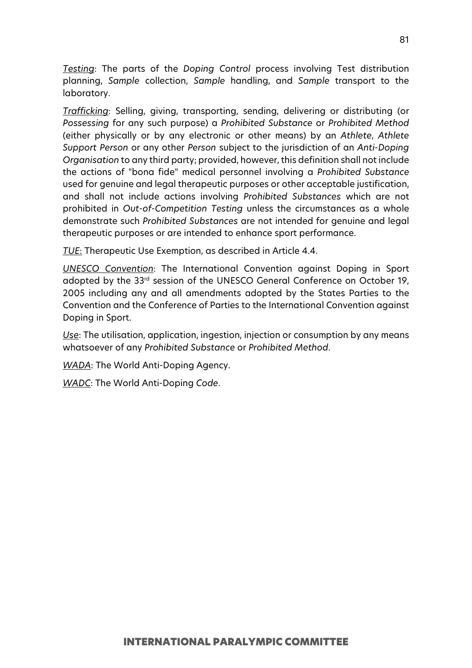*Testing*: The parts of the *Doping Control* process involving Test distribution planning, *Sample* collection, *Sample* handling, and *Sample* transport to the laboratory.

*Trafficking*: Selling, giving, transporting, sending, delivering or distributing (or *Possessing* for any such purpose) a *Prohibited Substance* or *Prohibited Method* (either physically or by any electronic or other means) by an *Athlete*, *Athlete Support Person* or any other *Person* subject to the jurisdiction of an *Anti-Doping Organisation* to any third party; provided, however, this definition shall not include the actions of "bona fide" medical personnel involving a *Prohibited Substance* used for genuine and legal therapeutic purposes or other acceptable justification, and shall not include actions involving *Prohibited Substances* which are not prohibited in *Out-of-Competition Testing* unless the circumstances as a whole demonstrate such *Prohibited Substances* are not intended for genuine and legal therapeutic purposes or are intended to enhance sport performance.

*TUE*: Therapeutic Use Exemption, as described in Article 4.4.

*UNESCO Convention*: The International Convention against Doping in Sport adopted by the 33rd session of the UNESCO General Conference on October 19, 2005 including any and all amendments adopted by the States Parties to the Convention and the Conference of Parties to the International Convention against Doping in Sport.

*Use*: The utilisation, application, ingestion, injection or consumption by any means whatsoever of any *Prohibited Substance* or *Prohibited Method*.

*WADA*: The World Anti-Doping Agency.

*WADC*: The World Anti-Doping *Code*.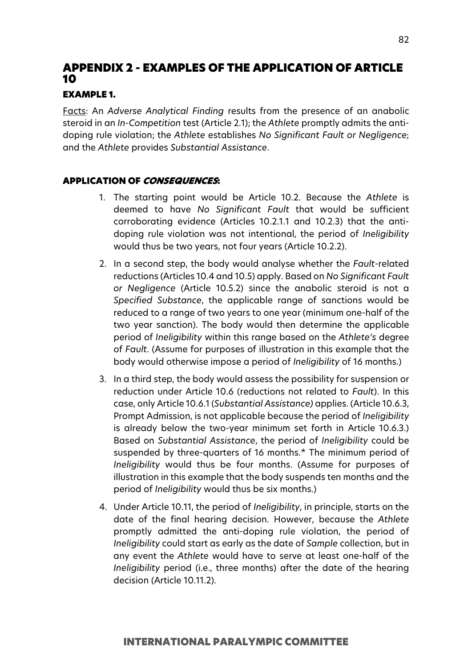# APPENDIX 2 - EXAMPLES OF THE APPLICATION OF ARTICLE 10

# EXAMPLE 1.

Facts: An *Adverse Analytical Finding* results from the presence of an anabolic steroid in an *In-Competition* test (Article 2.1); the *Athlete* promptly admits the antidoping rule violation; the *Athlete* establishes *No Significant Fault or Negligence*; and the *Athlete* provides *Substantial Assistance*.

- 1. The starting point would be Article 10.2. Because the *Athlete* is deemed to have *No Significant Fault* that would be sufficient corroborating evidence (Articles 10.2.1.1 and 10.2.3) that the antidoping rule violation was not intentional, the period of *Ineligibility* would thus be two years, not four years (Article 10.2.2).
- 2. In a second step, the body would analyse whether the *Fault*-related reductions (Articles 10.4 and 10.5) apply. Based on *No Significant Fault or Negligence* (Article 10.5.2) since the anabolic steroid is not a *Specified Substance*, the applicable range of sanctions would be reduced to a range of two years to one year (minimum one-half of the two year sanction). The body would then determine the applicable period of *Ineligibility* within this range based on the *Athlete's* degree of *Fault*. (Assume for purposes of illustration in this example that the body would otherwise impose a period of *Ineligibility* of 16 months.)
- 3. In a third step, the body would assess the possibility for suspension or reduction under Article 10.6 (reductions not related to *Fault*). In this case, only Article 10.6.1 (*Substantial Assistance)* applies. (Article 10.6.3, Prompt Admission, is not applicable because the period of *Ineligibility* is already below the two-year minimum set forth in Article 10.6.3.) Based on *Substantial Assistance*, the period of *Ineligibility* could be suspended by three-quarters of 16 months.\* The minimum period of *Ineligibility* would thus be four months. (Assume for purposes of illustration in this example that the body suspends ten months and the period of *Ineligibility* would thus be six months.)
- 4. Under Article 10.11, the period of *Ineligibility*, in principle, starts on the date of the final hearing decision. However, because the *Athlete* promptly admitted the anti-doping rule violation, the period of *Ineligibility* could start as early as the date of *Sample* collection, but in any event the *Athlete* would have to serve at least one-half of the *Ineligibility* period (i.e., three months) after the date of the hearing decision (Article 10.11.2).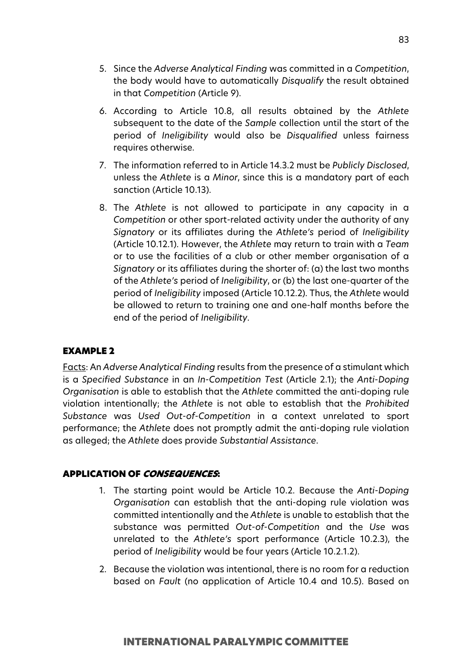- 5. Since the *Adverse Analytical Finding* was committed in a *Competition*, the body would have to automatically *Disqualify* the result obtained in that *Competition* (Article 9).
- 6. According to Article 10.8, all results obtained by the *Athlete* subsequent to the date of the *Sample* collection until the start of the period of *Ineligibility* would also be *Disqualified* unless fairness requires otherwise.
- 7. The information referred to in Article 14.3.2 must be *Publicly Disclosed*, unless the *Athlete* is a *Minor*, since this is a mandatory part of each sanction (Article 10.13).
- 8. The *Athlete* is not allowed to participate in any capacity in a *Competition* or other sport-related activity under the authority of any *Signatory* or its affiliates during the *Athlete's* period of *Ineligibility* (Article 10.12.1). However, the *Athlete* may return to train with a *Team* or to use the facilities of a club or other member organisation of a *Signatory* or its affiliates during the shorter of: (a) the last two months of the *Athlete's* period of *Ineligibility*, or (b) the last one-quarter of the period of *Ineligibility* imposed (Article 10.12.2). Thus, the *Athlete* would be allowed to return to training one and one-half months before the end of the period of *Ineligibility*.

#### EXAMPLE 2

Facts: An *Adverse Analytical Finding* results from the presence of a stimulant which is a *Specified Substance* in an *In-Competition Test* (Article 2.1); the *Anti-Doping Organisation* is able to establish that the *Athlete* committed the anti-doping rule violation intentionally; the *Athlete* is not able to establish that the *Prohibited Substance* was *Used Out-of-Competition* in a context unrelated to sport performance; the *Athlete* does not promptly admit the anti-doping rule violation as alleged; the *Athlete* does provide *Substantial Assistance*.

- 1. The starting point would be Article 10.2. Because the *Anti-Doping Organisation* can establish that the anti-doping rule violation was committed intentionally and the *Athlete* is unable to establish that the substance was permitted *Out-of-Competition* and the *Use* was unrelated to the *Athlete's* sport performance (Article 10.2.3), the period of *Ineligibility* would be four years (Article 10.2.1.2).
- 2. Because the violation was intentional, there is no room for a reduction based on *Fault* (no application of Article 10.4 and 10.5). Based on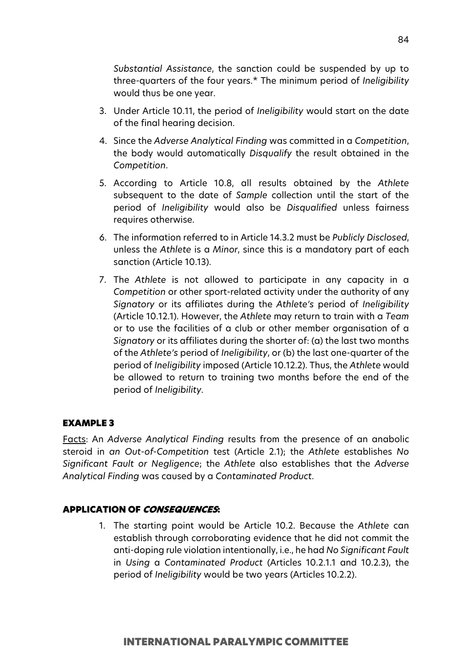*Substantial Assistance*, the sanction could be suspended by up to three-quarters of the four years.\* The minimum period of *Ineligibility* would thus be one year.

- 3. Under Article 10.11, the period of *Ineligibility* would start on the date of the final hearing decision.
- 4. Since the *Adverse Analytical Finding* was committed in a *Competition*, the body would automatically *Disqualify* the result obtained in the *Competition*.
- 5. According to Article 10.8, all results obtained by the *Athlete* subsequent to the date of *Sample* collection until the start of the period of *Ineligibility* would also be *Disqualified* unless fairness requires otherwise.
- 6. The information referred to in Article 14.3.2 must be *Publicly Disclosed*, unless the *Athlete* is a *Minor*, since this is a mandatory part of each sanction (Article 10.13).
- 7. The *Athlete* is not allowed to participate in any capacity in a *Competition* or other sport-related activity under the authority of any *Signatory* or its affiliates during the *Athlete's* period of *Ineligibility* (Article 10.12.1). However, the *Athlete* may return to train with a *Team* or to use the facilities of a club or other member organisation of a *Signatory* or its affiliates during the shorter of: (a) the last two months of the *Athlete's* period of *Ineligibility*, or (b) the last one-quarter of the period of *Ineligibility* imposed (Article 10.12.2). Thus, the *Athlete* would be allowed to return to training two months before the end of the period of *Ineligibility*.

#### EXAMPLE 3

Facts: An *Adverse Analytical Finding* results from the presence of an anabolic steroid in *an Out-of-Competition* test (Article 2.1); the *Athlete* establishes *No Significant Fault or Negligence*; the *Athlete* also establishes that the *Adverse Analytical Finding* was caused by a *Contaminated Product*.

#### APPLICATION OF CONSEQUENCES:

1. The starting point would be Article 10.2. Because the *Athlete* can establish through corroborating evidence that he did not commit the anti-doping rule violation intentionally, i.e., he had *No Significant Fault* in *Using* a *Contaminated Product* (Articles 10.2.1.1 and 10.2.3), the period of *Ineligibility* would be two years (Articles 10.2.2).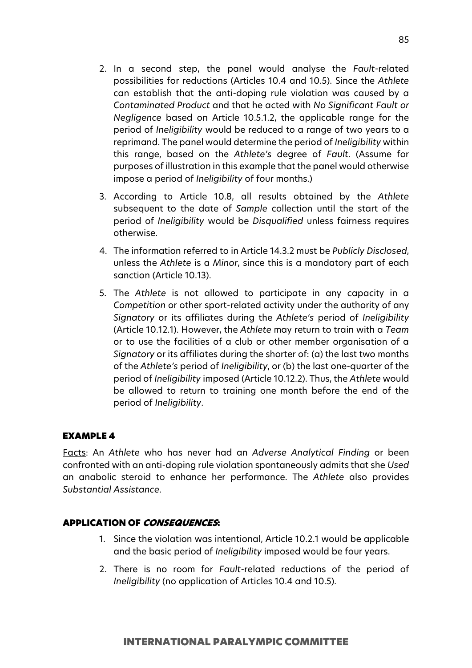- 2. In a second step, the panel would analyse the *Fault*-related possibilities for reductions (Articles 10.4 and 10.5). Since the *Athlete* can establish that the anti-doping rule violation was caused by a *Contaminated Product* and that he acted with *No Significant Fault or Negligence* based on Article 10.5.1.2, the applicable range for the period of *Ineligibility* would be reduced to a range of two years to a reprimand. The panel would determine the period of *Ineligibility* within this range, based on the *Athlete's* degree of *Fault*. (Assume for purposes of illustration in this example that the panel would otherwise impose a period of *Ineligibility* of four months.)
- 3. According to Article 10.8, all results obtained by the *Athlete* subsequent to the date of *Sample* collection until the start of the period of *Ineligibility* would be *Disqualified* unless fairness requires otherwise.
- 4. The information referred to in Article 14.3.2 must be *Publicly Disclosed*, unless the *Athlete* is a *Minor*, since this is a mandatory part of each sanction (Article 10.13).
- 5. The *Athlete* is not allowed to participate in any capacity in a *Competition* or other sport-related activity under the authority of any *Signatory* or its affiliates during the *Athlete's* period of *Ineligibility* (Article 10.12.1). However, the *Athlete* may return to train with a *Team* or to use the facilities of a club or other member organisation of a *Signatory* or its affiliates during the shorter of: (a) the last two months of the *Athlete's* period of *Ineligibility*, or (b) the last one-quarter of the period of *Ineligibility* imposed (Article 10.12.2). Thus, the *Athlete* would be allowed to return to training one month before the end of the period of *Ineligibility*.

#### EXAMPLE 4

Facts: An *Athlete* who has never had an *Adverse Analytical Finding* or been confronted with an anti-doping rule violation spontaneously admits that she *Used* an anabolic steroid to enhance her performance. The *Athlete* also provides *Substantial Assistance*.

- 1. Since the violation was intentional, Article 10.2.1 would be applicable and the basic period of *Ineligibility* imposed would be four years.
- 2. There is no room for *Fault*-related reductions of the period of *Ineligibility* (no application of Articles 10.4 and 10.5).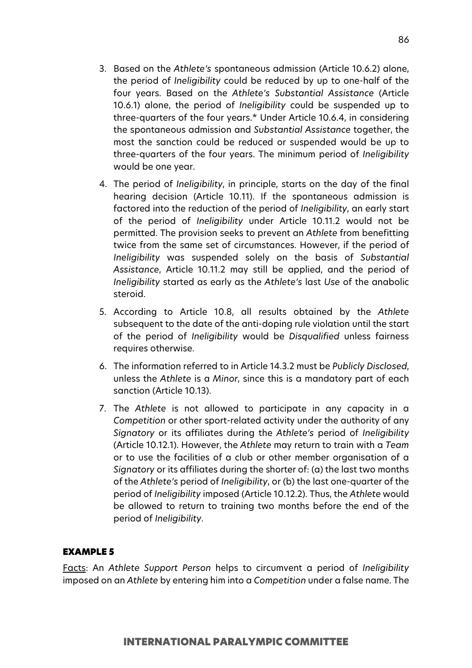- 3. Based on the *Athlete's* spontaneous admission (Article 10.6.2) alone, the period of *Ineligibility* could be reduced by up to one-half of the four years. Based on the *Athlete's Substantial Assistance* (Article 10.6.1) alone, the period of *Ineligibility* could be suspended up to three-quarters of the four years.\* Under Article 10.6.4, in considering the spontaneous admission and *Substantial Assistance* together, the most the sanction could be reduced or suspended would be up to three-quarters of the four years. The minimum period of *Ineligibility* would be one year.
- 4. The period of *Ineligibility*, in principle, starts on the day of the final hearing decision (Article 10.11). If the spontaneous admission is factored into the reduction of the period of *Ineligibility*, an early start of the period of *Ineligibility* under Article 10.11.2 would not be permitted. The provision seeks to prevent an *Athlete* from benefitting twice from the same set of circumstances. However, if the period of *Ineligibility* was suspended solely on the basis of *Substantial Assistance*, Article 10.11.2 may still be applied, and the period of *Ineligibility* started as early as the *Athlete's* last *Use* of the anabolic steroid.
- 5. According to Article 10.8, all results obtained by the *Athlete* subsequent to the date of the anti-doping rule violation until the start of the period of *Ineligibility* would be *Disqualified* unless fairness requires otherwise.
- 6. The information referred to in Article 14.3.2 must be *Publicly Disclosed*, unless the *Athlete* is a *Minor*, since this is a mandatory part of each sanction (Article 10.13).
- 7. The *Athlete* is not allowed to participate in any capacity in a *Competition* or other sport-related activity under the authority of any *Signatory* or its affiliates during the *Athlete's* period of *Ineligibility* (Article 10.12.1). However, the *Athlete* may return to train with a *Team* or to use the facilities of a club or other member organisation of a *Signatory* or its affiliates during the shorter of: (a) the last two months of the *Athlete's* period of *Ineligibility*, or (b) the last one-quarter of the period of *Ineligibility* imposed (Article 10.12.2). Thus, the *Athlete* would be allowed to return to training two months before the end of the period of *Ineligibility*.

#### EXAMPLE 5

Facts: An *Athlete Support Person* helps to circumvent a period of *Ineligibility* imposed on an *Athlete* by entering him into a *Competition* under a false name. The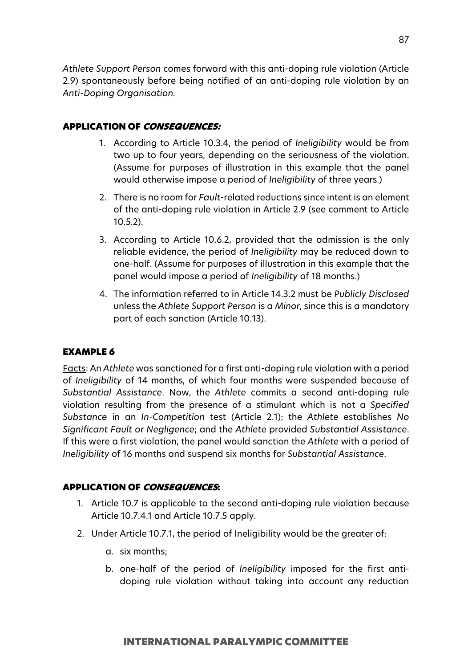*Athlete Support Person* comes forward with this anti-doping rule violation (Article 2.9) spontaneously before being notified of an anti-doping rule violation by an *Anti-Doping Organisation.*

### APPLICATION OF CONSEQUENCES:

- 1. According to Article 10.3.4, the period of *Ineligibility* would be from two up to four years, depending on the seriousness of the violation. (Assume for purposes of illustration in this example that the panel would otherwise impose a period of *Ineligibility* of three years.)
- 2. There is no room for *Fault*-related reductions since intent is an element of the anti-doping rule violation in Article 2.9 (see comment to Article 10.5.2).
- 3. According to Article 10.6.2, provided that the admission is the only reliable evidence, the period of *Ineligibility* may be reduced down to one-half. (Assume for purposes of illustration in this example that the panel would impose a period of *Ineligibility* of 18 months.)
- 4. The information referred to in Article 14.3.2 must be *Publicly Disclosed* unless the *Athlete Support Person* is a *Minor*, since this is a mandatory part of each sanction (Article 10.13).

#### EXAMPLE 6

Facts: An *Athlete* was sanctioned for a first anti-doping rule violation with a period of *Ineligibility* of 14 months, of which four months were suspended because of *Substantial Assistance*. Now, the *Athlete* commits a second anti-doping rule violation resulting from the presence of a stimulant which is not a *Specified Substance* in an *In-Competition* test (Article 2.1); the *Athlete* establishes *No Significant Fault or Negligence*; and the *Athlete* provided *Substantial Assistance*. If this were a first violation, the panel would sanction the *Athlete* with a period of *Ineligibility* of 16 months and suspend six months for *Substantial Assistance*.

- 1. Article 10.7 is applicable to the second anti-doping rule violation because Article 10.7.4.1 and Article 10.7.5 apply.
- 2. Under Article 10.7.1, the period of Ineligibility would be the greater of:
	- a. six months;
	- b. one-half of the period of *Ineligibility* imposed for the first antidoping rule violation without taking into account any reduction